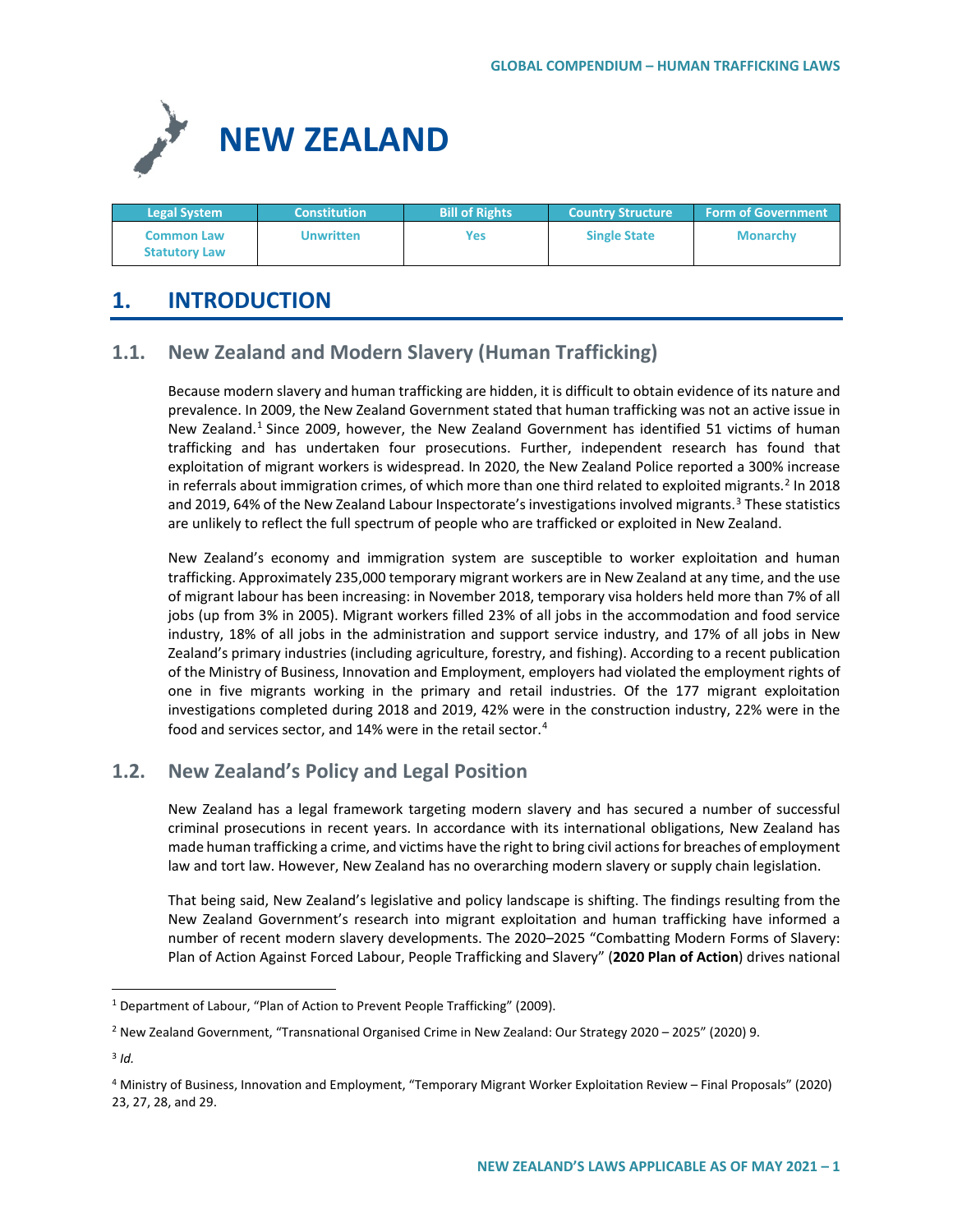

| <b>Legal System</b>                       | <b>Constitution</b> | <b>Bill of Rights</b> | <b>Country Structure</b> | <b>Form of Government</b> |
|-------------------------------------------|---------------------|-----------------------|--------------------------|---------------------------|
| <b>Common Law</b><br><b>Statutory Law</b> | Unwritten           | Yes                   | <b>Single State</b>      | <b>Monarchy</b>           |

# **1. INTRODUCTION**

# **1.1. New Zealand and Modern Slavery (Human Trafficking)**

Because modern slavery and human trafficking are hidden, it is difficult to obtain evidence of its nature and prevalence. In 2009, the New Zealand Government stated that human trafficking was not an active issue in New Zealand.<sup>[1](#page-0-0)</sup> Since 2009, however, the New Zealand Government has identified 51 victims of human trafficking and has undertaken four prosecutions. Further, independent research has found that exploitation of migrant workers is widespread. In 2020, the New Zealand Police reported a 300% increase in referrals about immigration crimes, of which more than one third related to exploited migrants.<sup>[2](#page-0-1)</sup> In 2018 and 2019, 64% of the New Zealand Labour Inspectorate's investigations involved migrants.<sup>[3](#page-0-2)</sup> These statistics are unlikely to reflect the full spectrum of people who are trafficked or exploited in New Zealand.

New Zealand's economy and immigration system are susceptible to worker exploitation and human trafficking. Approximately 235,000 temporary migrant workers are in New Zealand at any time, and the use of migrant labour has been increasing: in November 2018, temporary visa holders held more than 7% of all jobs (up from 3% in 2005). Migrant workers filled 23% of all jobs in the accommodation and food service industry, 18% of all jobs in the administration and support service industry, and 17% of all jobs in New Zealand's primary industries (including agriculture, forestry, and fishing). According to a recent publication of the Ministry of Business, Innovation and Employment, employers had violated the employment rights of one in five migrants working in the primary and retail industries. Of the 177 migrant exploitation investigations completed during 2018 and 2019, 42% were in the construction industry, 22% were in the food and services sector, and 1[4](#page-0-3)% were in the retail sector.<sup>4</sup>

# **1.2. New Zealand's Policy and Legal Position**

New Zealand has a legal framework targeting modern slavery and has secured a number of successful criminal prosecutions in recent years. In accordance with its international obligations, New Zealand has made human trafficking a crime, and victims have the right to bring civil actions for breaches of employment law and tort law. However, New Zealand has no overarching modern slavery or supply chain legislation.

That being said, New Zealand's legislative and policy landscape is shifting. The findings resulting from the New Zealand Government's research into migrant exploitation and human trafficking have informed a number of recent modern slavery developments. The 2020–2025 "Combatting Modern Forms of Slavery: Plan of Action Against Forced Labour, People Trafficking and Slavery" (**2020 Plan of Action**) drives national

<span id="page-0-0"></span><sup>&</sup>lt;sup>1</sup> Department of Labour, "Plan of Action to Prevent People Trafficking" (2009).

<span id="page-0-1"></span><sup>2</sup> New Zealand Government, "Transnational Organised Crime in New Zealand: Our Strategy 2020 – 2025" (2020) 9.

<span id="page-0-2"></span><sup>3</sup> *Id.*

<span id="page-0-3"></span><sup>4</sup> Ministry of Business, Innovation and Employment, "Temporary Migrant Worker Exploitation Review – Final Proposals" (2020) 23, 27, 28, and 29.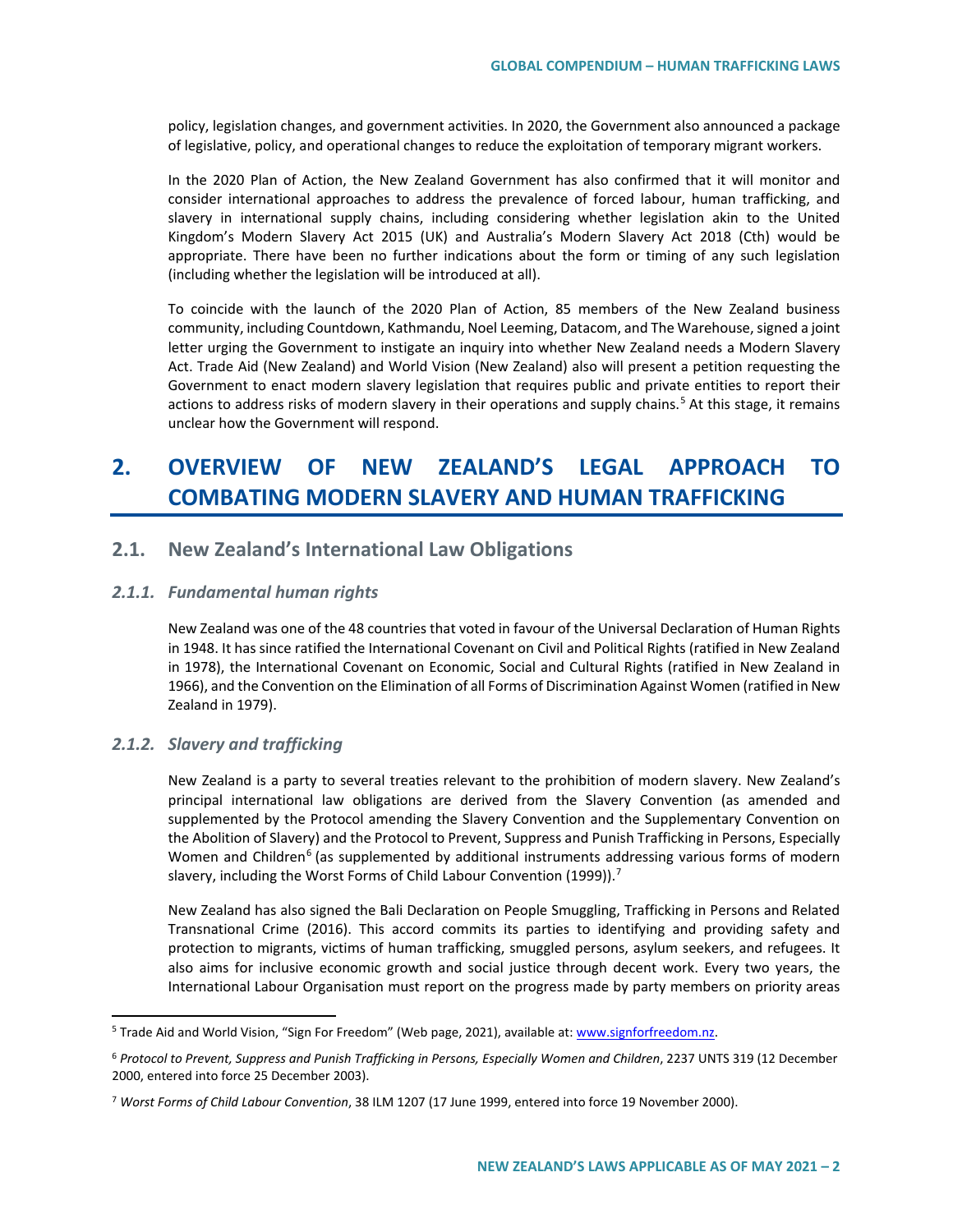policy, legislation changes, and government activities. In 2020, the Government also announced a package of legislative, policy, and operational changes to reduce the exploitation of temporary migrant workers.

In the 2020 Plan of Action, the New Zealand Government has also confirmed that it will monitor and consider international approaches to address the prevalence of forced labour, human trafficking, and slavery in international supply chains, including considering whether legislation akin to the United Kingdom's Modern Slavery Act 2015 (UK) and Australia's Modern Slavery Act 2018 (Cth) would be appropriate. There have been no further indications about the form or timing of any such legislation (including whether the legislation will be introduced at all).

To coincide with the launch of the 2020 Plan of Action, 85 members of the New Zealand business community, including Countdown, Kathmandu, Noel Leeming, Datacom, and The Warehouse, signed a joint letter urging the Government to instigate an inquiry into whether New Zealand needs a Modern Slavery Act. Trade Aid (New Zealand) and World Vision (New Zealand) also will present a petition requesting the Government to enact modern slavery legislation that requires public and private entities to report their actions to address risks of modern slavery in their operations and supply chains.<sup>[5](#page-1-0)</sup> At this stage, it remains unclear how the Government will respond.

# **2. OVERVIEW OF NEW ZEALAND'S LEGAL APPROACH TO COMBATING MODERN SLAVERY AND HUMAN TRAFFICKING**

# **2.1. New Zealand's International Law Obligations**

### *2.1.1. Fundamental human rights*

New Zealand was one of the 48 countries that voted in favour of the Universal Declaration of Human Rights in 1948. It has since ratified the International Covenant on Civil and Political Rights (ratified in New Zealand in 1978), the International Covenant on Economic, Social and Cultural Rights (ratified in New Zealand in 1966), and the Convention on the Elimination of all Forms of Discrimination Against Women (ratified in New Zealand in 1979).

### *2.1.2. Slavery and trafficking*

New Zealand is a party to several treaties relevant to the prohibition of modern slavery. New Zealand's principal international law obligations are derived from the Slavery Convention (as amended and supplemented by the Protocol amending the Slavery Convention and the Supplementary Convention on the Abolition of Slavery) and the Protocol to Prevent, Suppress and Punish Trafficking in Persons, Especially Women and Children<sup>[6](#page-1-1)</sup> (as supplemented by additional instruments addressing various forms of modern slavery, including the Worst Forms of Child Labour Convention (1999)).<sup>[7](#page-1-2)</sup>

New Zealand has also signed the Bali Declaration on People Smuggling, Trafficking in Persons and Related Transnational Crime (2016). This accord commits its parties to identifying and providing safety and protection to migrants, victims of human trafficking, smuggled persons, asylum seekers, and refugees. It also aims for inclusive economic growth and social justice through decent work. Every two years, the International Labour Organisation must report on the progress made by party members on priority areas

<span id="page-1-0"></span><sup>&</sup>lt;sup>5</sup> Trade Aid and World Vision, "Sign For Freedom" (Web page, 2021), available at[: www.signforfreedom.nz.](http://www.signforfreedom.nz/)

<span id="page-1-1"></span><sup>6</sup> *Protocol to Prevent, Suppress and Punish Trafficking in Persons, Especially Women and Children*, 2237 UNTS 319 (12 December 2000, entered into force 25 December 2003).

<span id="page-1-2"></span><sup>7</sup> *Worst Forms of Child Labour Convention*, 38 ILM 1207 (17 June 1999, entered into force 19 November 2000).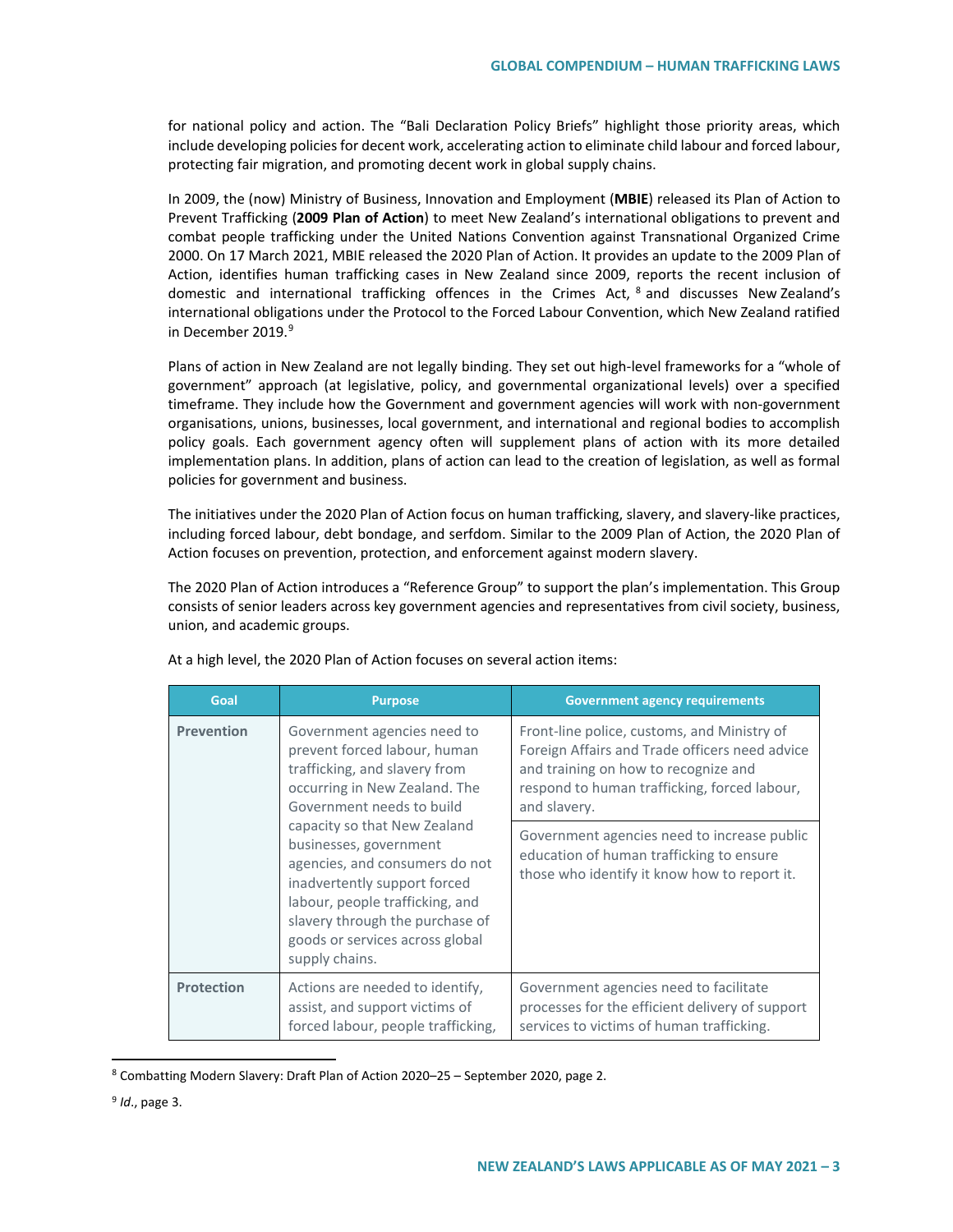for national policy and action. The "Bali Declaration Policy Briefs" highlight those priority areas, which include developing policies for decent work, accelerating action to eliminate child labour and forced labour, protecting fair migration, and promoting decent work in global supply chains.

In 2009, the (now) Ministry of Business, Innovation and Employment (**MBIE**) released its Plan of Action to Prevent Trafficking (**2009 Plan of Action**) to meet New Zealand's international obligations to prevent and combat people trafficking under the United Nations Convention against Transnational Organized Crime 2000. On 17 March 2021, MBIE released the 2020 Plan of Action. It provides an update to the 2009 Plan of Action, identifies human trafficking cases in New Zealand since 2009, reports the recent inclusion of domestic and international trafficking offences in the Crimes Act, [8](#page-2-0) and discusses New Zealand's international obligations under the Protocol to the Forced Labour Convention, which New Zealand ratified in December 201[9](#page-2-1).<sup>9</sup>

Plans of action in New Zealand are not legally binding. They set out high-level frameworks for a "whole of government" approach (at legislative, policy, and governmental organizational levels) over a specified timeframe. They include how the Government and government agencies will work with non-government organisations, unions, businesses, local government, and international and regional bodies to accomplish policy goals. Each government agency often will supplement plans of action with its more detailed implementation plans. In addition, plans of action can lead to the creation of legislation, as well as formal policies for government and business.

The initiatives under the 2020 Plan of Action focus on human trafficking, slavery, and slavery-like practices, including forced labour, debt bondage, and serfdom. Similar to the 2009 Plan of Action, the 2020 Plan of Action focuses on prevention, protection, and enforcement against modern slavery.

The 2020 Plan of Action introduces a "Reference Group" to support the plan's implementation. This Group consists of senior leaders across key government agencies and representatives from civil society, business, union, and academic groups.

| Goal              | <b>Purpose</b>                                                                                                                                                                                                                                      | <b>Government agency requirements</b>                                                                                                                                                                 |  |  |
|-------------------|-----------------------------------------------------------------------------------------------------------------------------------------------------------------------------------------------------------------------------------------------------|-------------------------------------------------------------------------------------------------------------------------------------------------------------------------------------------------------|--|--|
| <b>Prevention</b> | Government agencies need to<br>prevent forced labour, human<br>trafficking, and slavery from<br>occurring in New Zealand. The<br>Government needs to build                                                                                          | Front-line police, customs, and Ministry of<br>Foreign Affairs and Trade officers need advice<br>and training on how to recognize and<br>respond to human trafficking, forced labour,<br>and slavery. |  |  |
|                   | capacity so that New Zealand<br>businesses, government<br>agencies, and consumers do not<br>inadvertently support forced<br>labour, people trafficking, and<br>slavery through the purchase of<br>goods or services across global<br>supply chains. | Government agencies need to increase public<br>education of human trafficking to ensure<br>those who identify it know how to report it.                                                               |  |  |
| <b>Protection</b> | Actions are needed to identify,<br>assist, and support victims of<br>forced labour, people trafficking,                                                                                                                                             | Government agencies need to facilitate<br>processes for the efficient delivery of support<br>services to victims of human trafficking.                                                                |  |  |

At a high level, the 2020 Plan of Action focuses on several action items:

<span id="page-2-0"></span> <sup>8</sup> Combatting Modern Slavery: Draft Plan of Action 2020–25 – September 2020, page 2.

<span id="page-2-1"></span><sup>9</sup> *Id*., page 3.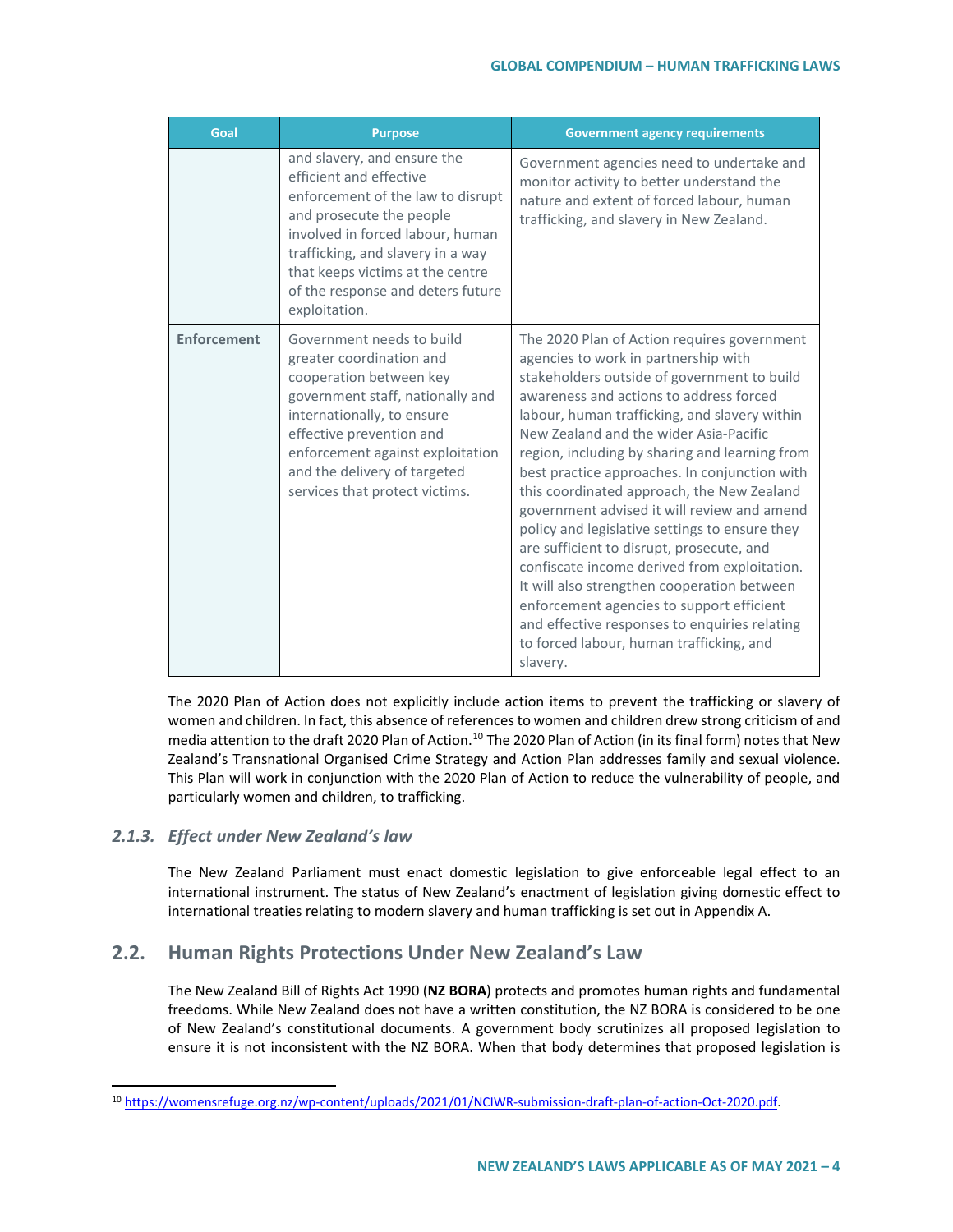| Goal               | <b>Purpose</b>                                                                                                                                                                                                                                                                             | <b>Government agency requirements</b>                                                                                                                                                                                                                                                                                                                                                                                                                                                                                                                                                                                                                                                                                                                                                                                        |  |  |
|--------------------|--------------------------------------------------------------------------------------------------------------------------------------------------------------------------------------------------------------------------------------------------------------------------------------------|------------------------------------------------------------------------------------------------------------------------------------------------------------------------------------------------------------------------------------------------------------------------------------------------------------------------------------------------------------------------------------------------------------------------------------------------------------------------------------------------------------------------------------------------------------------------------------------------------------------------------------------------------------------------------------------------------------------------------------------------------------------------------------------------------------------------------|--|--|
|                    | and slavery, and ensure the<br>efficient and effective<br>enforcement of the law to disrupt<br>and prosecute the people<br>involved in forced labour, human<br>trafficking, and slavery in a way<br>that keeps victims at the centre<br>of the response and deters future<br>exploitation. | Government agencies need to undertake and<br>monitor activity to better understand the<br>nature and extent of forced labour, human<br>trafficking, and slavery in New Zealand.                                                                                                                                                                                                                                                                                                                                                                                                                                                                                                                                                                                                                                              |  |  |
| <b>Enforcement</b> | Government needs to build<br>greater coordination and<br>cooperation between key<br>government staff, nationally and<br>internationally, to ensure<br>effective prevention and<br>enforcement against exploitation<br>and the delivery of targeted<br>services that protect victims.       | The 2020 Plan of Action requires government<br>agencies to work in partnership with<br>stakeholders outside of government to build<br>awareness and actions to address forced<br>labour, human trafficking, and slavery within<br>New Zealand and the wider Asia-Pacific<br>region, including by sharing and learning from<br>best practice approaches. In conjunction with<br>this coordinated approach, the New Zealand<br>government advised it will review and amend<br>policy and legislative settings to ensure they<br>are sufficient to disrupt, prosecute, and<br>confiscate income derived from exploitation.<br>It will also strengthen cooperation between<br>enforcement agencies to support efficient<br>and effective responses to enquiries relating<br>to forced labour, human trafficking, and<br>slavery. |  |  |

The 2020 Plan of Action does not explicitly include action items to prevent the trafficking or slavery of women and children. In fact, this absence of references to women and children drew strong criticism of and media attention to the draft 2020 Plan of Action.<sup>[10](#page-3-0)</sup> The 2020 Plan of Action (in its final form) notes that New Zealand's Transnational Organised Crime Strategy and Action Plan addresses family and sexual violence. This Plan will work in conjunction with the 2020 Plan of Action to reduce the vulnerability of people, and particularly women and children, to trafficking.

# *2.1.3. Effect under New Zealand's law*

The New Zealand Parliament must enact domestic legislation to give enforceable legal effect to an international instrument. The status of New Zealand's enactment of legislation giving domestic effect to international treaties relating to modern slavery and human trafficking is set out in Appendix A.

# **2.2. Human Rights Protections Under New Zealand's Law**

The New Zealand Bill of Rights Act 1990 (**NZ BORA**) protects and promotes human rights and fundamental freedoms. While New Zealand does not have a written constitution, the NZ BORA is considered to be one of New Zealand's constitutional documents. A government body scrutinizes all proposed legislation to ensure it is not inconsistent with the NZ BORA. When that body determines that proposed legislation is

<span id="page-3-0"></span> <sup>10</sup> [https://womensrefuge.org.nz/wp-content/uploads/2021/01/NCIWR-submission-draft-plan-of-action-Oct-2020.pdf.](https://womensrefuge.org.nz/wp-content/uploads/2021/01/NCIWR-submission-draft-plan-of-action-Oct-2020.pdf)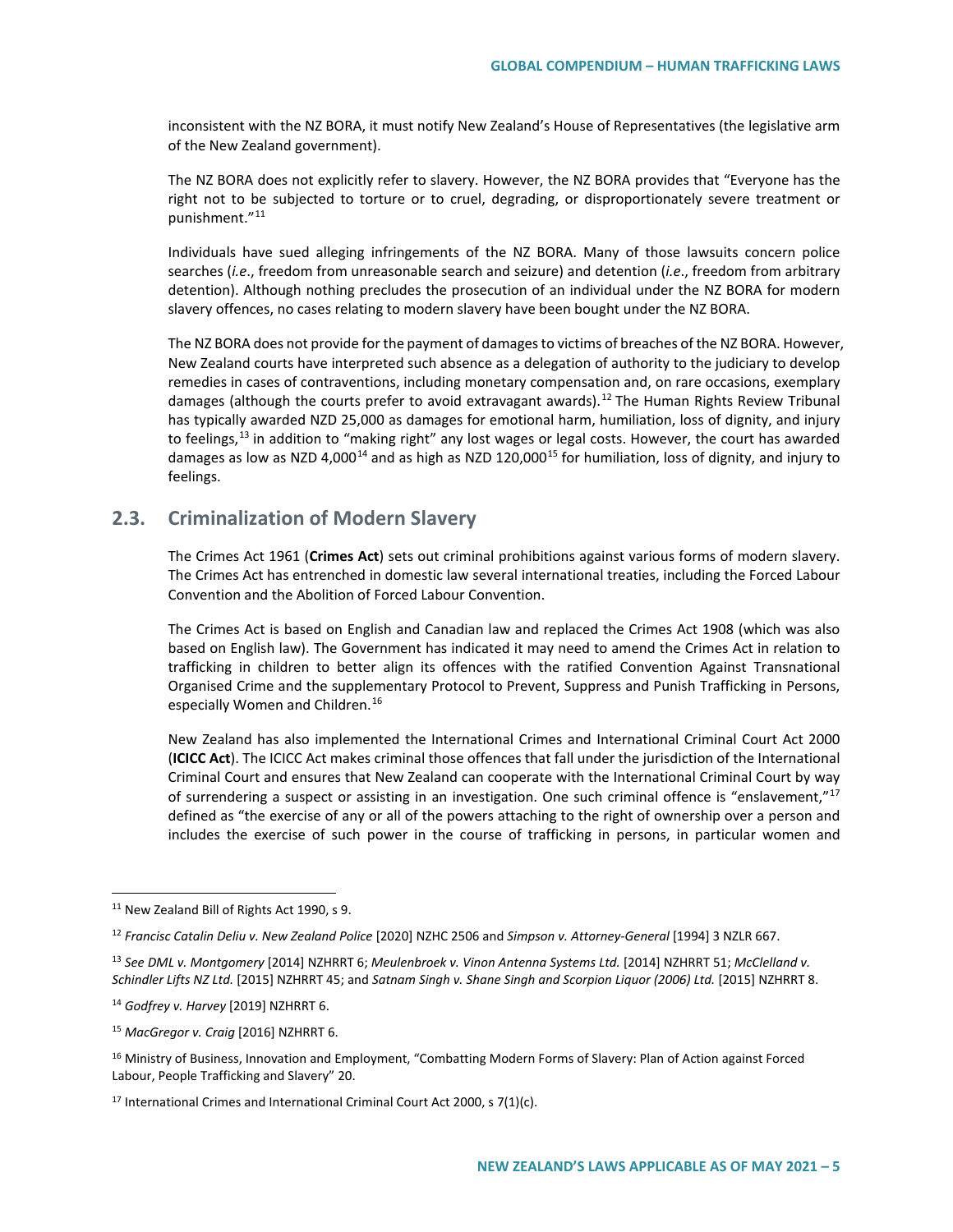inconsistent with the NZ BORA, it must notify New Zealand's House of Representatives (the legislative arm of the New Zealand government).

The NZ BORA does not explicitly refer to slavery. However, the NZ BORA provides that "Everyone has the right not to be subjected to torture or to cruel, degrading, or disproportionately severe treatment or punishment."[11](#page-4-0)

Individuals have sued alleging infringements of the NZ BORA. Many of those lawsuits concern police searches (*i.e*., freedom from unreasonable search and seizure) and detention (*i.e*., freedom from arbitrary detention). Although nothing precludes the prosecution of an individual under the NZ BORA for modern slavery offences, no cases relating to modern slavery have been bought under the NZ BORA.

The NZ BORA does not provide for the payment of damages to victims of breaches of the NZ BORA. However, New Zealand courts have interpreted such absence as a delegation of authority to the judiciary to develop remedies in cases of contraventions, including monetary compensation and, on rare occasions, exemplary damages (although the courts prefer to avoid extravagant awards).<sup>[12](#page-4-1)</sup> The Human Rights Review Tribunal has typically awarded NZD 25,000 as damages for emotional harm, humiliation, loss of dignity, and injury to feelings,<sup>[13](#page-4-2)</sup> in addition to "making right" any lost wages or legal costs. However, the court has awarded damages as low as NZD 4,000<sup>[14](#page-4-3)</sup> and as high as NZD 120,000<sup>[15](#page-4-4)</sup> for humiliation, loss of dignity, and injury to feelings.

# **2.3. Criminalization of Modern Slavery**

The Crimes Act 1961 (**Crimes Act**) sets out criminal prohibitions against various forms of modern slavery. The Crimes Act has entrenched in domestic law several international treaties, including the Forced Labour Convention and the Abolition of Forced Labour Convention.

The Crimes Act is based on English and Canadian law and replaced the Crimes Act 1908 (which was also based on English law). The Government has indicated it may need to amend the Crimes Act in relation to trafficking in children to better align its offences with the ratified Convention Against Transnational Organised Crime and the supplementary Protocol to Prevent, Suppress and Punish Trafficking in Persons, especially Women and Children.<sup>[16](#page-4-5)</sup>

New Zealand has also implemented the International Crimes and International Criminal Court Act 2000 (**ICICC Act**). The ICICC Act makes criminal those offences that fall under the jurisdiction of the International Criminal Court and ensures that New Zealand can cooperate with the International Criminal Court by way of surrendering a suspect or assisting in an investigation. One such criminal offence is "enslavement,"<sup>[17](#page-4-6)</sup> defined as "the exercise of any or all of the powers attaching to the right of ownership over a person and includes the exercise of such power in the course of trafficking in persons, in particular women and

<span id="page-4-0"></span><sup>&</sup>lt;sup>11</sup> New Zealand Bill of Rights Act 1990, s 9.

<span id="page-4-1"></span><sup>12</sup> *Francisc Catalin Deliu v. New Zealand Police* [2020] NZHC 2506 and *Simpson v. Attorney-General* [1994] 3 NZLR 667.

<span id="page-4-2"></span><sup>13</sup> *See DML v. Montgomery* [2014] NZHRRT 6; *Meulenbroek v. Vinon Antenna Systems Ltd.* [2014] NZHRRT 51; *McClelland v. Schindler Lifts NZ Ltd.* [2015] NZHRRT 45; and *Satnam Singh v. Shane Singh and Scorpion Liquor (2006) Ltd.* [2015] NZHRRT 8.

<span id="page-4-3"></span><sup>14</sup> *Godfrey v. Harvey* [2019] NZHRRT 6.

<span id="page-4-4"></span><sup>15</sup> *MacGregor v. Craig* [2016] NZHRRT 6.

<span id="page-4-5"></span><sup>&</sup>lt;sup>16</sup> Ministry of Business, Innovation and Employment, "Combatting Modern Forms of Slavery: Plan of Action against Forced Labour, People Trafficking and Slavery" 20.

<span id="page-4-6"></span> $17$  International Crimes and International Criminal Court Act 2000, s 7(1)(c).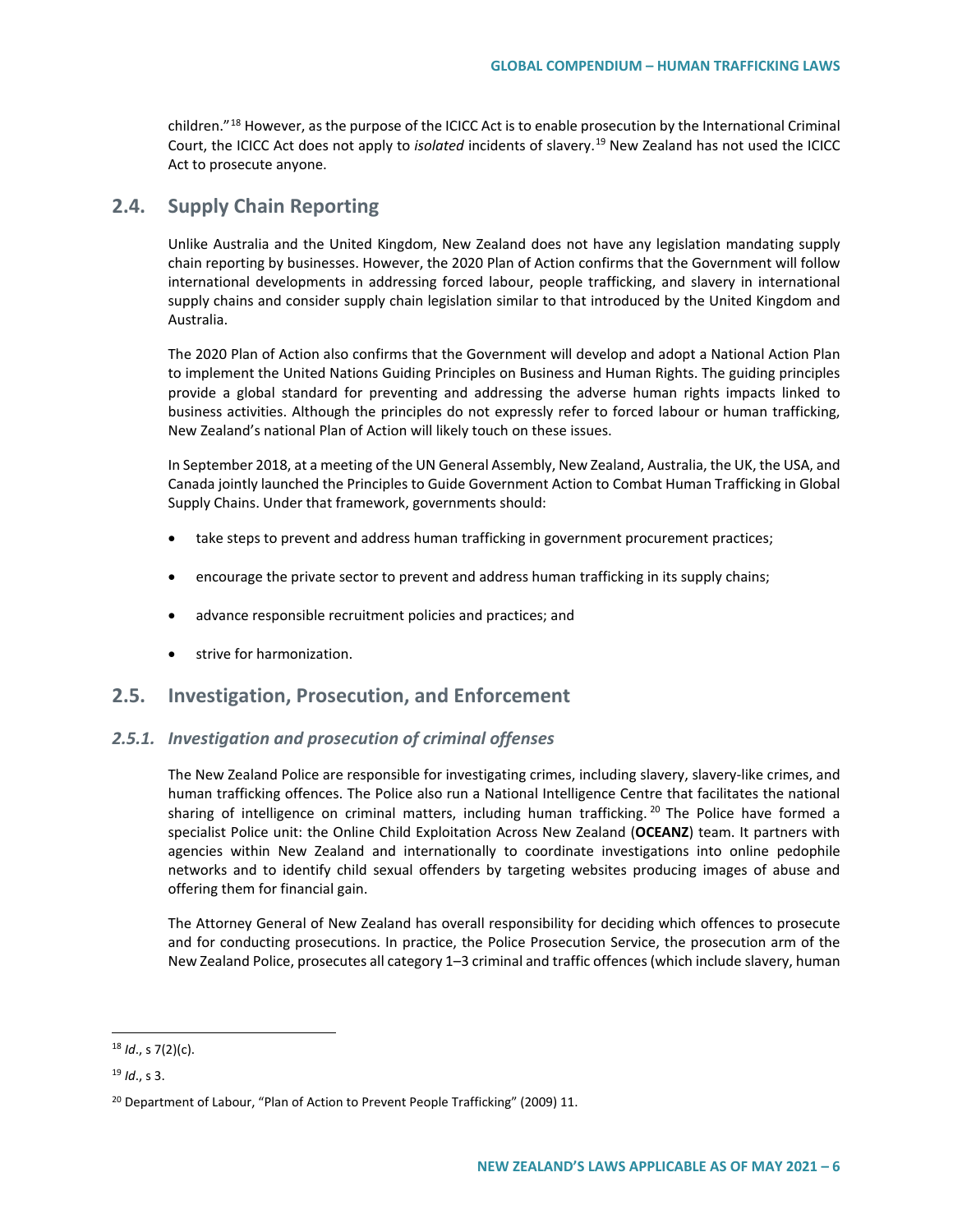children."[18](#page-5-0) However, as the purpose of the ICICC Act is to enable prosecution by the International Criminal Court, the ICICC Act does not apply to *isolated* incidents of slavery.[19](#page-5-1) New Zealand has not used the ICICC Act to prosecute anyone.

# **2.4. Supply Chain Reporting**

Unlike Australia and the United Kingdom, New Zealand does not have any legislation mandating supply chain reporting by businesses. However, the 2020 Plan of Action confirms that the Government will follow international developments in addressing forced labour, people trafficking, and slavery in international supply chains and consider supply chain legislation similar to that introduced by the United Kingdom and Australia.

The 2020 Plan of Action also confirms that the Government will develop and adopt a National Action Plan to implement the United Nations Guiding Principles on Business and Human Rights. The guiding principles provide a global standard for preventing and addressing the adverse human rights impacts linked to business activities. Although the principles do not expressly refer to forced labour or human trafficking, New Zealand's national Plan of Action will likely touch on these issues.

In September 2018, at a meeting of the UN General Assembly, New Zealand, Australia, the UK, the USA, and Canada jointly launched the Principles to Guide Government Action to Combat Human Trafficking in Global Supply Chains. Under that framework, governments should:

- take steps to prevent and address human trafficking in government procurement practices;
- encourage the private sector to prevent and address human trafficking in its supply chains;
- advance responsible recruitment policies and practices; and
- strive for harmonization.

# **2.5. Investigation, Prosecution, and Enforcement**

### *2.5.1. Investigation and prosecution of criminal offenses*

The New Zealand Police are responsible for investigating crimes, including slavery, slavery-like crimes, and human trafficking offences. The Police also run a National Intelligence Centre that facilitates the national sharing of intelligence on criminal matters, including human trafficking.<sup>[20](#page-5-2)</sup> The Police have formed a specialist Police unit: the Online Child Exploitation Across New Zealand (**OCEANZ**) team. It partners with agencies within New Zealand and internationally to coordinate investigations into online pedophile networks and to identify child sexual offenders by targeting websites producing images of abuse and offering them for financial gain.

The Attorney General of New Zealand has overall responsibility for deciding which offences to prosecute and for conducting prosecutions. In practice, the Police Prosecution Service, the prosecution arm of the New Zealand Police, prosecutes all category 1–3 criminal and traffic offences (which include slavery, human

<span id="page-5-0"></span> <sup>18</sup> *Id*., s 7(2)(c).

<span id="page-5-1"></span><sup>19</sup> *Id*., s 3.

<span id="page-5-2"></span><sup>&</sup>lt;sup>20</sup> Department of Labour, "Plan of Action to Prevent People Trafficking" (2009) 11.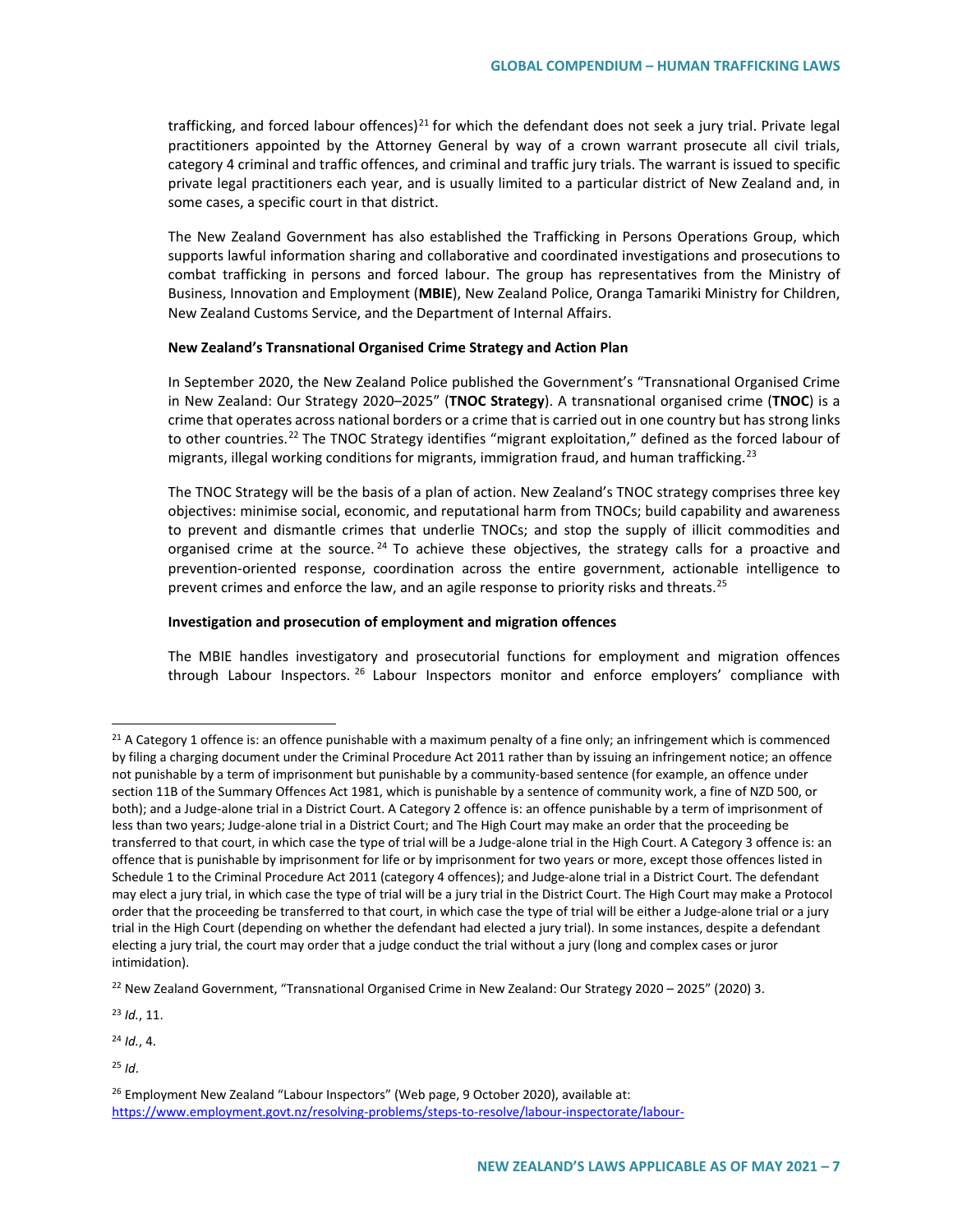trafficking, and forced labour offences)<sup>[21](#page-6-0)</sup> for which the defendant does not seek a jury trial. Private legal practitioners appointed by the Attorney General by way of a crown warrant prosecute all civil trials, category 4 criminal and traffic offences, and criminal and traffic jury trials. The warrant is issued to specific private legal practitioners each year, and is usually limited to a particular district of New Zealand and, in some cases, a specific court in that district.

The New Zealand Government has also established the Trafficking in Persons Operations Group, which supports lawful information sharing and collaborative and coordinated investigations and prosecutions to combat trafficking in persons and forced labour. The group has representatives from the Ministry of Business, Innovation and Employment (**MBIE**), New Zealand Police, Oranga Tamariki Ministry for Children, New Zealand Customs Service, and the Department of Internal Affairs.

#### **New Zealand's Transnational Organised Crime Strategy and Action Plan**

In September 2020, the New Zealand Police published the Government's "Transnational Organised Crime in New Zealand: Our Strategy 2020–2025" (**TNOC Strategy**). A transnational organised crime (**TNOC**) is a crime that operates across national borders or a crime that is carried out in one country but has strong links to other countries.[22](#page-6-1) The TNOC Strategy identifies "migrant exploitation," defined as the forced labour of migrants, illegal working conditions for migrants, immigration fraud, and human trafficking.<sup>[23](#page-6-2)</sup>

The TNOC Strategy will be the basis of a plan of action. New Zealand's TNOC strategy comprises three key objectives: minimise social, economic, and reputational harm from TNOCs; build capability and awareness to prevent and dismantle crimes that underlie TNOCs; and stop the supply of illicit commodities and organised crime at the source.<sup>[24](#page-6-3)</sup> To achieve these objectives, the strategy calls for a proactive and prevention-oriented response, coordination across the entire government, actionable intelligence to prevent crimes and enforce the law, and an agile response to priority risks and threats.<sup>[25](#page-6-4)</sup>

#### **Investigation and prosecution of employment and migration offences**

The MBIE handles investigatory and prosecutorial functions for employment and migration offences through Labour Inspectors. <sup>[26](#page-6-5)</sup> Labour Inspectors monitor and enforce employers' compliance with

<span id="page-6-2"></span><sup>23</sup> *Id.*, 11.

<span id="page-6-3"></span><sup>24</sup> *Id.*, 4.

<span id="page-6-0"></span> $21$  A Category 1 offence is: an offence punishable with a maximum penalty of a fine only; an infringement which is commenced by filing a charging document under the Criminal Procedure Act 2011 rather than by issuing an infringement notice; an offence not punishable by a term of imprisonment but punishable by a community-based sentence (for example, an offence under section 11B of the Summary Offences Act 1981, which is punishable by a sentence of community work, a fine of NZD 500, or both); and a Judge-alone trial in a District Court. A Category 2 offence is: an offence punishable by a term of imprisonment of less than two years; Judge-alone trial in a District Court; and The High Court may make an order that the proceeding be transferred to that court, in which case the type of trial will be a Judge-alone trial in the High Court. A Category 3 offence is: an offence that is punishable by imprisonment for life or by imprisonment for two years or more, except those offences listed in Schedule 1 to the Criminal Procedure Act 2011 (category 4 offences); and Judge-alone trial in a District Court. The defendant may elect a jury trial, in which case the type of trial will be a jury trial in the District Court. The High Court may make a Protocol order that the proceeding be transferred to that court, in which case the type of trial will be either a Judge-alone trial or a jury trial in the High Court (depending on whether the defendant had elected a jury trial). In some instances, despite a defendant electing a jury trial, the court may order that a judge conduct the trial without a jury (long and complex cases or juror intimidation).

<span id="page-6-1"></span><sup>&</sup>lt;sup>22</sup> New Zealand Government, "Transnational Organised Crime in New Zealand: Our Strategy 2020 – 2025" (2020) 3.

<span id="page-6-4"></span><sup>25</sup> *Id*.

<span id="page-6-5"></span><sup>&</sup>lt;sup>26</sup> Employment New Zealand "Labour Inspectors" (Web page, 9 October 2020), available at: [https://www.employment.govt.nz/resolving-problems/steps-to-resolve/labour-inspectorate/labour-](https://www.employment.govt.nz/resolving-problems/steps-to-resolve/labour-inspectorate/labour-inspectors/#:%7E:text=Labour%20Inspectors%20make%20sure%20workplaces,the%20following%20employment%2Drelated%20Acts.&text=The%20role%20of%20Labour%20Inspectors,holiday%20pay)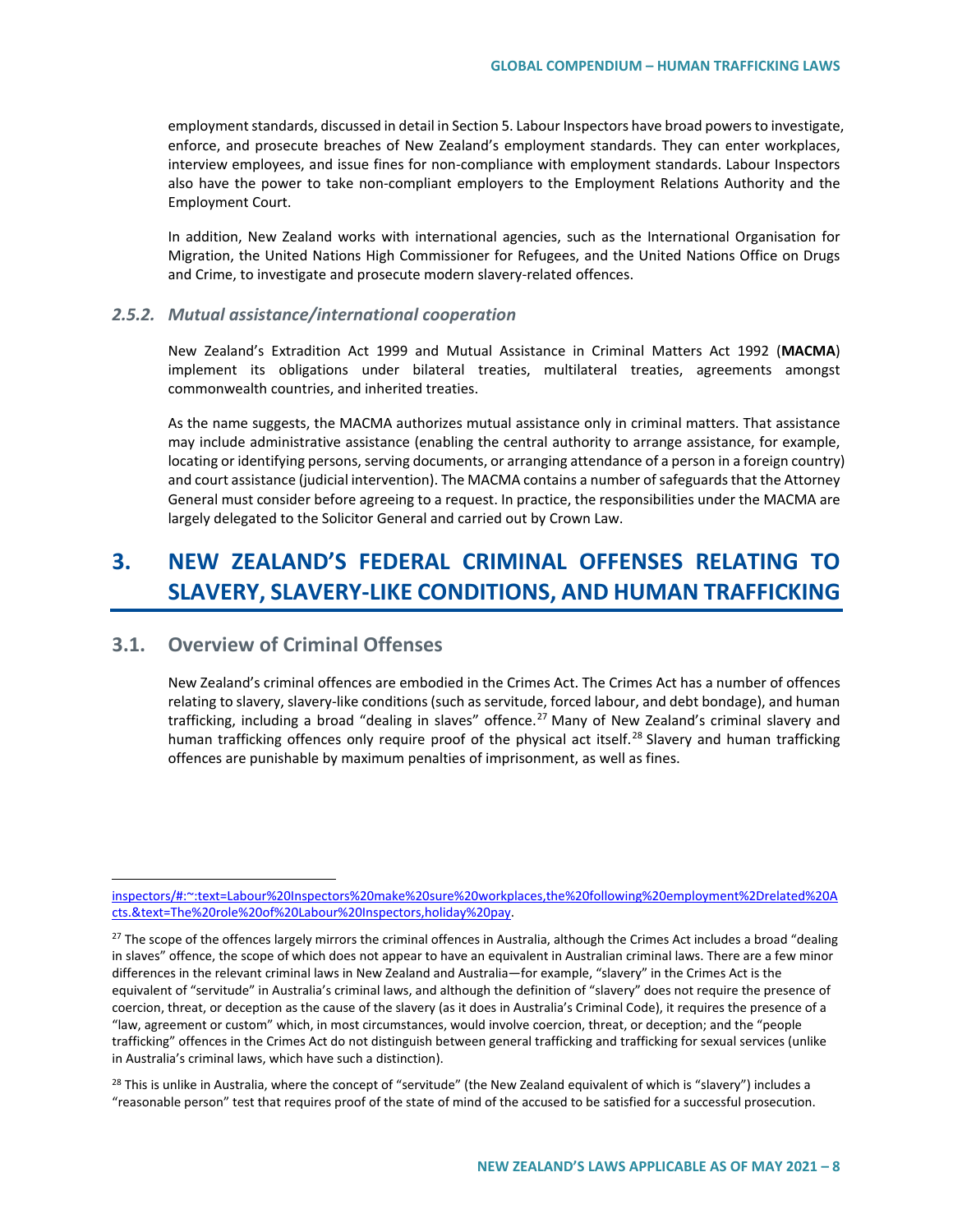employment standards, discussed in detail in Section 5. Labour Inspectors have broad powers to investigate, enforce, and prosecute breaches of New Zealand's employment standards. They can enter workplaces, interview employees, and issue fines for non-compliance with employment standards. Labour Inspectors also have the power to take non-compliant employers to the Employment Relations Authority and the Employment Court.

In addition, New Zealand works with international agencies, such as the International Organisation for Migration, the United Nations High Commissioner for Refugees, and the United Nations Office on Drugs and Crime, to investigate and prosecute modern slavery-related offences.

#### *2.5.2. Mutual assistance/international cooperation*

New Zealand's Extradition Act 1999 and Mutual Assistance in Criminal Matters Act 1992 (**MACMA**) implement its obligations under bilateral treaties, multilateral treaties, agreements amongst commonwealth countries, and inherited treaties.

As the name suggests, the MACMA authorizes mutual assistance only in criminal matters. That assistance may include administrative assistance (enabling the central authority to arrange assistance, for example, locating or identifying persons, serving documents, or arranging attendance of a person in a foreign country) and court assistance (judicial intervention). The MACMA contains a number of safeguards that the Attorney General must consider before agreeing to a request. In practice, the responsibilities under the MACMA are largely delegated to the Solicitor General and carried out by Crown Law.

# **3. NEW ZEALAND'S FEDERAL CRIMINAL OFFENSES RELATING TO SLAVERY, SLAVERY-LIKE CONDITIONS, AND HUMAN TRAFFICKING**

# **3.1. Overview of Criminal Offenses**

 $\overline{a}$ 

New Zealand's criminal offences are embodied in the Crimes Act. The Crimes Act has a number of offences relating to slavery, slavery-like conditions (such as servitude, forced labour, and debt bondage), and human trafficking, including a broad "dealing in slaves" offence.<sup>[27](#page-7-0)</sup> Many of New Zealand's criminal slavery and human trafficking offences only require proof of the physical act itself.<sup>[28](#page-7-1)</sup> Slavery and human trafficking offences are punishable by maximum penalties of imprisonment, as well as fines.

[inspectors/#:~:text=Labour%20Inspectors%20make%20sure%20workplaces,the%20following%20employment%2Drelated%20A](https://www.employment.govt.nz/resolving-problems/steps-to-resolve/labour-inspectorate/labour-inspectors/#:%7E:text=Labour%20Inspectors%20make%20sure%20workplaces,the%20following%20employment%2Drelated%20Acts.&text=The%20role%20of%20Labour%20Inspectors,holiday%20pay) [cts.&text=The%20role%20of%20Labour%20Inspectors,holiday%20pay.](https://www.employment.govt.nz/resolving-problems/steps-to-resolve/labour-inspectorate/labour-inspectors/#:%7E:text=Labour%20Inspectors%20make%20sure%20workplaces,the%20following%20employment%2Drelated%20Acts.&text=The%20role%20of%20Labour%20Inspectors,holiday%20pay)

<span id="page-7-0"></span> $27$  The scope of the offences largely mirrors the criminal offences in Australia, although the Crimes Act includes a broad "dealing in slaves" offence, the scope of which does not appear to have an equivalent in Australian criminal laws. There are a few minor differences in the relevant criminal laws in New Zealand and Australia—for example, "slavery" in the Crimes Act is the equivalent of "servitude" in Australia's criminal laws, and although the definition of "slavery" does not require the presence of coercion, threat, or deception as the cause of the slavery (as it does in Australia's Criminal Code), it requires the presence of a "law, agreement or custom" which, in most circumstances, would involve coercion, threat, or deception; and the "people trafficking" offences in the Crimes Act do not distinguish between general trafficking and trafficking for sexual services (unlike in Australia's criminal laws, which have such a distinction).

<span id="page-7-1"></span><sup>&</sup>lt;sup>28</sup> This is unlike in Australia, where the concept of "servitude" (the New Zealand equivalent of which is "slavery") includes a "reasonable person" test that requires proof of the state of mind of the accused to be satisfied for a successful prosecution.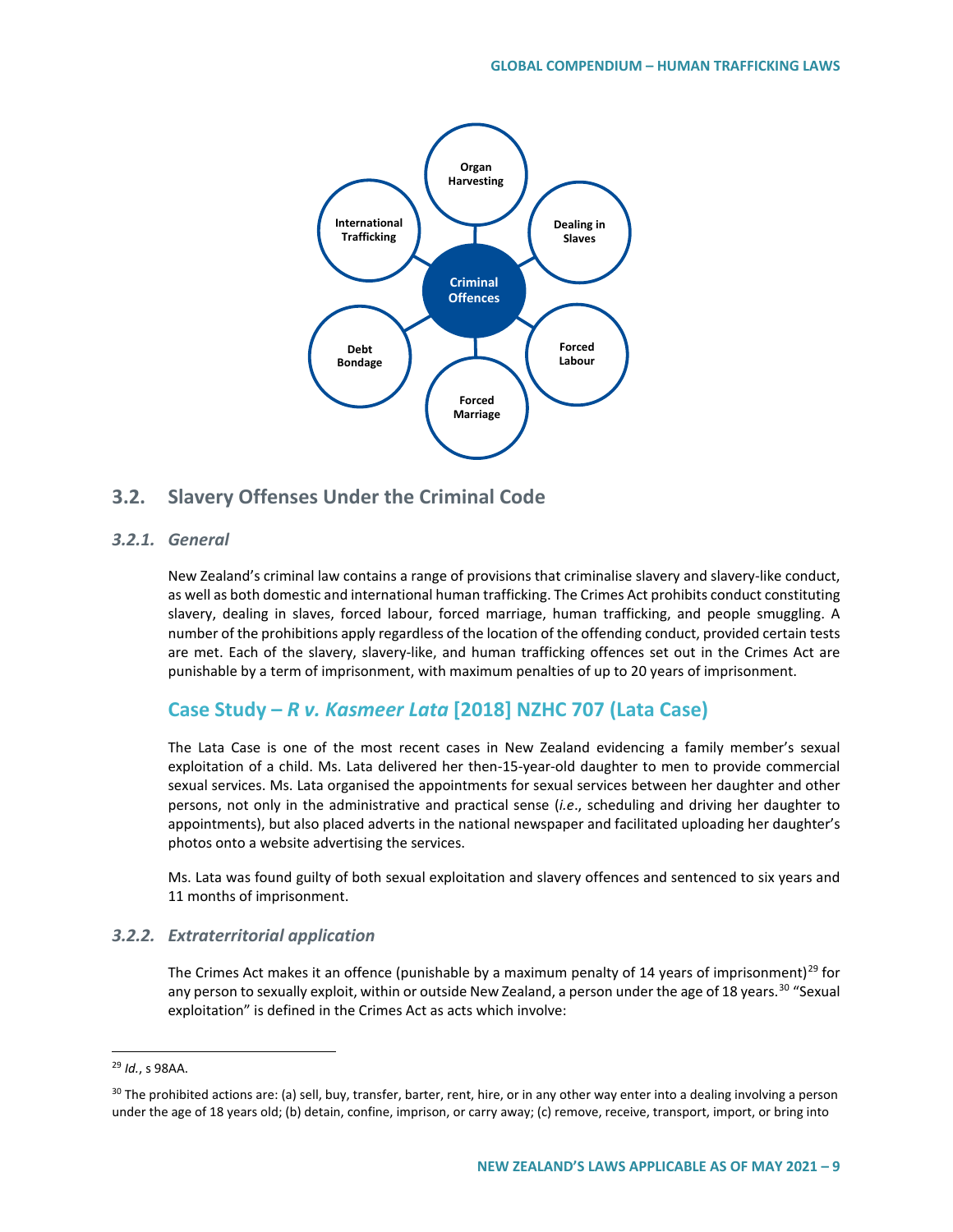

# **3.2. Slavery Offenses Under the Criminal Code**

## *3.2.1. General*

New Zealand's criminal law contains a range of provisions that criminalise slavery and slavery-like conduct, as well as both domestic and international human trafficking. The Crimes Act prohibits conduct constituting slavery, dealing in slaves, forced labour, forced marriage, human trafficking, and people smuggling. A number of the prohibitions apply regardless of the location of the offending conduct, provided certain tests are met. Each of the slavery, slavery-like, and human trafficking offences set out in the Crimes Act are punishable by a term of imprisonment, with maximum penalties of up to 20 years of imprisonment.

# **Case Study –** *R v. Kasmeer Lata* **[2018] NZHC 707 (Lata Case)**

The Lata Case is one of the most recent cases in New Zealand evidencing a family member's sexual exploitation of a child. Ms. Lata delivered her then-15-year-old daughter to men to provide commercial sexual services. Ms. Lata organised the appointments for sexual services between her daughter and other persons, not only in the administrative and practical sense (*i.e*., scheduling and driving her daughter to appointments), but also placed adverts in the national newspaper and facilitated uploading her daughter's photos onto a website advertising the services.

Ms. Lata was found guilty of both sexual exploitation and slavery offences and sentenced to six years and 11 months of imprisonment.

## *3.2.2. Extraterritorial application*

The Crimes Act makes it an offence (punishable by a maximum penalty of 14 years of imprisonment)<sup>[29](#page-8-0)</sup> for any person to sexually exploit, within or outside New Zealand, a person under the age of 18 years.<sup>[30](#page-8-1)</sup> "Sexual exploitation" is defined in the Crimes Act as acts which involve:

<span id="page-8-0"></span> <sup>29</sup> *Id.*, s 98AA.

<span id="page-8-1"></span><sup>&</sup>lt;sup>30</sup> The prohibited actions are: (a) sell, buy, transfer, barter, rent, hire, or in any other way enter into a dealing involving a person under the age of 18 years old; (b) detain, confine, imprison, or carry away; (c) remove, receive, transport, import, or bring into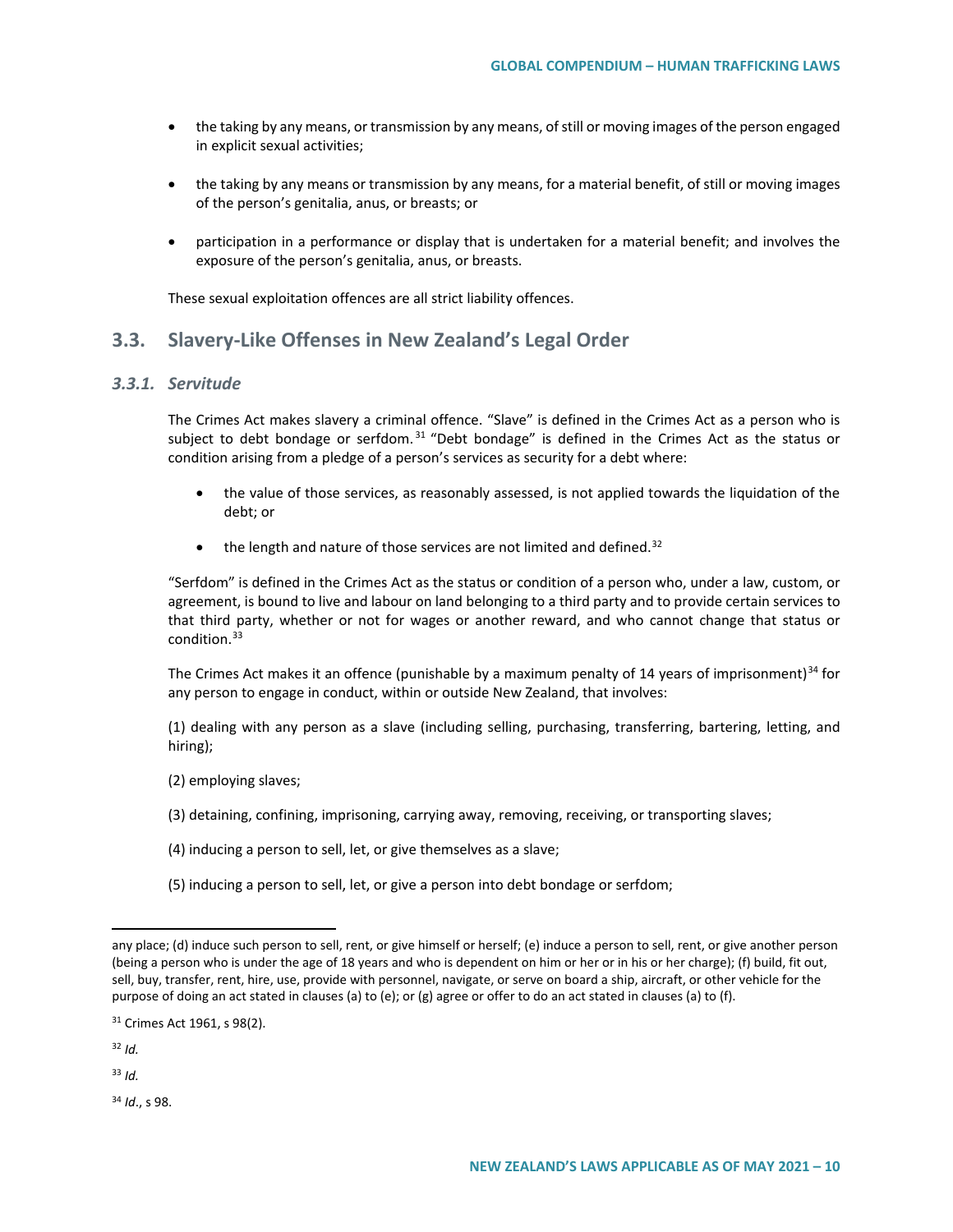- the taking by any means, or transmission by any means, of still or moving images of the person engaged in explicit sexual activities;
- the taking by any means or transmission by any means, for a material benefit, of still or moving images of the person's genitalia, anus, or breasts; or
- participation in a performance or display that is undertaken for a material benefit; and involves the exposure of the person's genitalia, anus, or breasts.

These sexual exploitation offences are all strict liability offences.

# **3.3. Slavery-Like Offenses in New Zealand's Legal Order**

### *3.3.1. Servitude*

The Crimes Act makes slavery a criminal offence. "Slave" is defined in the Crimes Act as a person who is subject to debt bondage or serfdom. $31$  "Debt bondage" is defined in the Crimes Act as the status or condition arising from a pledge of a person's services as security for a debt where:

- the value of those services, as reasonably assessed, is not applied towards the liquidation of the debt; or
- $\bullet$  the length and nature of those services are not limited and defined.<sup>[32](#page-9-1)</sup>

"Serfdom" is defined in the Crimes Act as the status or condition of a person who, under a law, custom, or agreement, is bound to live and labour on land belonging to a third party and to provide certain services to that third party, whether or not for wages or another reward, and who cannot change that status or condition.<sup>[33](#page-9-2)</sup>

The Crimes Act makes it an offence (punishable by a maximum penalty of 14 years of imprisonment)<sup>[34](#page-9-3)</sup> for any person to engage in conduct, within or outside New Zealand, that involves:

(1) dealing with any person as a slave (including selling, purchasing, transferring, bartering, letting, and hiring);

- (2) employing slaves;
- (3) detaining, confining, imprisoning, carrying away, removing, receiving, or transporting slaves;
- (4) inducing a person to sell, let, or give themselves as a slave;
- (5) inducing a person to sell, let, or give a person into debt bondage or serfdom;

 $\overline{a}$ 

<span id="page-9-2"></span><sup>33</sup> *Id.*

<span id="page-9-3"></span><sup>34</sup> *Id*., s 98.

any place; (d) induce such person to sell, rent, or give himself or herself; (e) induce a person to sell, rent, or give another person (being a person who is under the age of 18 years and who is dependent on him or her or in his or her charge); (f) build, fit out, sell, buy, transfer, rent, hire, use, provide with personnel, navigate, or serve on board a ship, aircraft, or other vehicle for the purpose of doing an act stated in clauses (a) to (e); or (g) agree or offer to do an act stated in clauses (a) to (f).

<span id="page-9-0"></span><sup>31</sup> Crimes Act 1961, s 98(2).

<span id="page-9-1"></span><sup>32</sup> *Id.*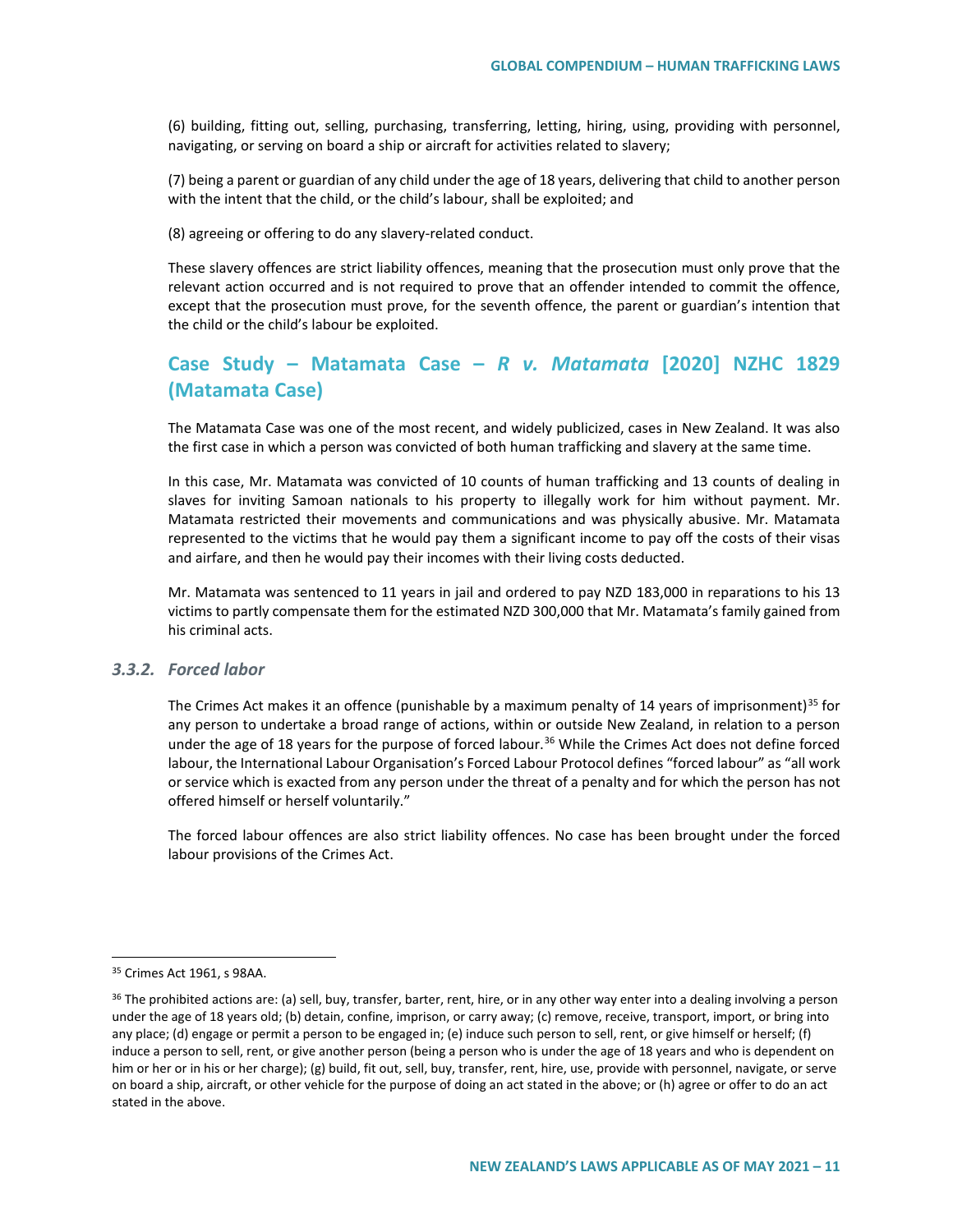(6) building, fitting out, selling, purchasing, transferring, letting, hiring, using, providing with personnel, navigating, or serving on board a ship or aircraft for activities related to slavery;

(7) being a parent or guardian of any child under the age of 18 years, delivering that child to another person with the intent that the child, or the child's labour, shall be exploited; and

(8) agreeing or offering to do any slavery-related conduct.

These slavery offences are strict liability offences, meaning that the prosecution must only prove that the relevant action occurred and is not required to prove that an offender intended to commit the offence, except that the prosecution must prove, for the seventh offence, the parent or guardian's intention that the child or the child's labour be exploited.

# **Case Study – Matamata Case –** *R v. Matamata* **[2020] NZHC 1829 (Matamata Case)**

The Matamata Case was one of the most recent, and widely publicized, cases in New Zealand. It was also the first case in which a person was convicted of both human trafficking and slavery at the same time.

In this case, Mr. Matamata was convicted of 10 counts of human trafficking and 13 counts of dealing in slaves for inviting Samoan nationals to his property to illegally work for him without payment. Mr. Matamata restricted their movements and communications and was physically abusive. Mr. Matamata represented to the victims that he would pay them a significant income to pay off the costs of their visas and airfare, and then he would pay their incomes with their living costs deducted.

Mr. Matamata was sentenced to 11 years in jail and ordered to pay NZD 183,000 in reparations to his 13 victims to partly compensate them for the estimated NZD 300,000 that Mr. Matamata's family gained from his criminal acts.

## *3.3.2. Forced labor*

The Crimes Act makes it an offence (punishable by a maximum penalty of 14 years of imprisonment)<sup>[35](#page-10-0)</sup> for any person to undertake a broad range of actions, within or outside New Zealand, in relation to a person under the age of 18 years for the purpose of forced labour.<sup>[36](#page-10-1)</sup> While the Crimes Act does not define forced labour, the International Labour Organisation's Forced Labour Protocol defines "forced labour" as "all work or service which is exacted from any person under the threat of a penalty and for which the person has not offered himself or herself voluntarily."

The forced labour offences are also strict liability offences. No case has been brought under the forced labour provisions of the Crimes Act.

<span id="page-10-0"></span> <sup>35</sup> Crimes Act 1961, s 98AA.

<span id="page-10-1"></span><sup>&</sup>lt;sup>36</sup> The prohibited actions are: (a) sell, buy, transfer, barter, rent, hire, or in any other way enter into a dealing involving a person under the age of 18 years old; (b) detain, confine, imprison, or carry away; (c) remove, receive, transport, import, or bring into any place; (d) engage or permit a person to be engaged in; (e) induce such person to sell, rent, or give himself or herself; (f) induce a person to sell, rent, or give another person (being a person who is under the age of 18 years and who is dependent on him or her or in his or her charge); (g) build, fit out, sell, buy, transfer, rent, hire, use, provide with personnel, navigate, or serve on board a ship, aircraft, or other vehicle for the purpose of doing an act stated in the above; or (h) agree or offer to do an act stated in the above.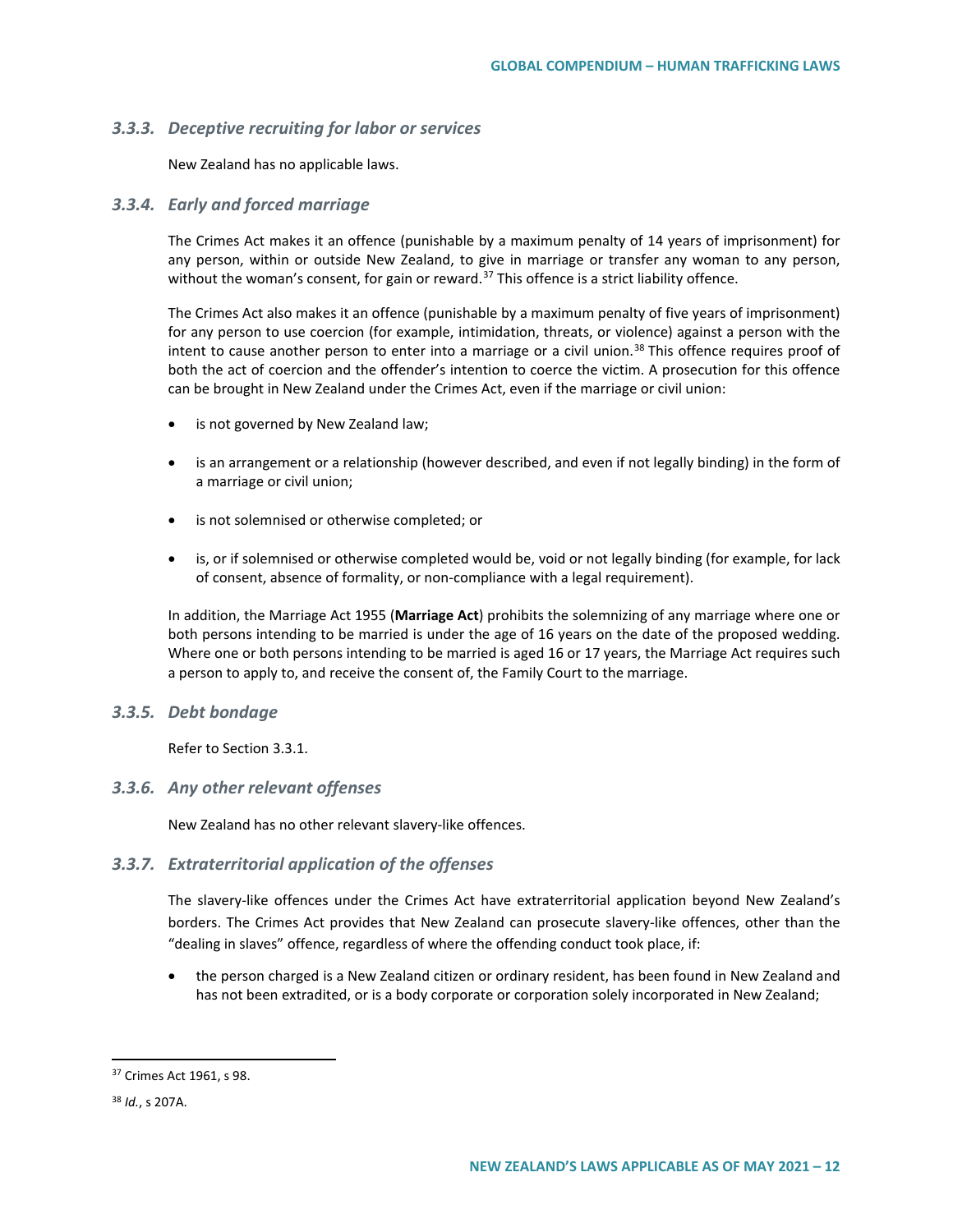### *3.3.3. Deceptive recruiting for labor or services*

New Zealand has no applicable laws.

### *3.3.4. Early and forced marriage*

The Crimes Act makes it an offence (punishable by a maximum penalty of 14 years of imprisonment) for any person, within or outside New Zealand, to give in marriage or transfer any woman to any person, without the woman's consent, for gain or reward.<sup>[37](#page-11-0)</sup> This offence is a strict liability offence.

The Crimes Act also makes it an offence (punishable by a maximum penalty of five years of imprisonment) for any person to use coercion (for example, intimidation, threats, or violence) against a person with the intent to cause another person to enter into a marriage or a civil union.<sup>[38](#page-11-1)</sup> This offence requires proof of both the act of coercion and the offender's intention to coerce the victim. A prosecution for this offence can be brought in New Zealand under the Crimes Act, even if the marriage or civil union:

- is not governed by New Zealand law;
- is an arrangement or a relationship (however described, and even if not legally binding) in the form of a marriage or civil union;
- is not solemnised or otherwise completed; or
- is, or if solemnised or otherwise completed would be, void or not legally binding (for example, for lack of consent, absence of formality, or non-compliance with a legal requirement).

In addition, the Marriage Act 1955 (**Marriage Act**) prohibits the solemnizing of any marriage where one or both persons intending to be married is under the age of 16 years on the date of the proposed wedding. Where one or both persons intending to be married is aged 16 or 17 years, the Marriage Act requires such a person to apply to, and receive the consent of, the Family Court to the marriage.

### *3.3.5. Debt bondage*

Refer to Section 3.3.1.

### *3.3.6. Any other relevant offenses*

New Zealand has no other relevant slavery-like offences.

## *3.3.7. Extraterritorial application of the offenses*

The slavery-like offences under the Crimes Act have extraterritorial application beyond New Zealand's borders. The Crimes Act provides that New Zealand can prosecute slavery-like offences, other than the "dealing in slaves" offence, regardless of where the offending conduct took place, if:

• the person charged is a New Zealand citizen or ordinary resident, has been found in New Zealand and has not been extradited, or is a body corporate or corporation solely incorporated in New Zealand;

<span id="page-11-0"></span> <sup>37</sup> Crimes Act 1961, s 98.

<span id="page-11-1"></span><sup>38</sup> *Id.*, s 207A.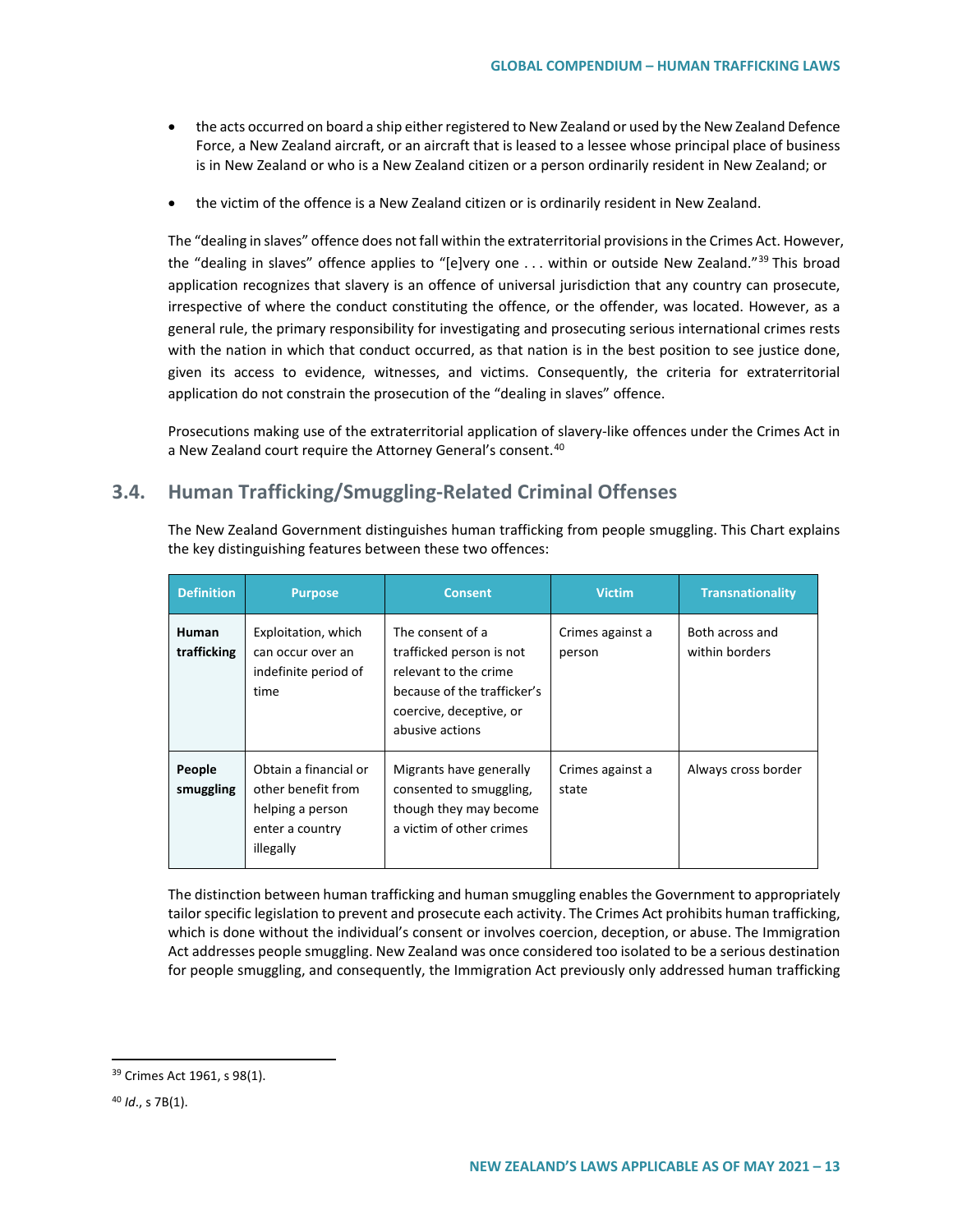- the acts occurred on board a ship either registered to New Zealand or used by the New Zealand Defence Force, a New Zealand aircraft, or an aircraft that is leased to a lessee whose principal place of business is in New Zealand or who is a New Zealand citizen or a person ordinarily resident in New Zealand; or
- the victim of the offence is a New Zealand citizen or is ordinarily resident in New Zealand.

The "dealing in slaves" offence does not fall within the extraterritorial provisions in the Crimes Act. However, the "dealing in slaves" offence applies to "[e]very one . . . within or outside New Zealand."<sup>[39](#page-12-0)</sup> This broad application recognizes that slavery is an offence of universal jurisdiction that any country can prosecute, irrespective of where the conduct constituting the offence, or the offender, was located. However, as a general rule, the primary responsibility for investigating and prosecuting serious international crimes rests with the nation in which that conduct occurred, as that nation is in the best position to see justice done, given its access to evidence, witnesses, and victims. Consequently, the criteria for extraterritorial application do not constrain the prosecution of the "dealing in slaves" offence.

Prosecutions making use of the extraterritorial application of slavery-like offences under the Crimes Act in a New Zealand court require the Attorney General's consent.<sup>[40](#page-12-1)</sup>

# **3.4. Human Trafficking/Smuggling-Related Criminal Offenses**

The New Zealand Government distinguishes human trafficking from people smuggling. This Chart explains the key distinguishing features between these two offences:

| <b>Definition</b>           | <b>Purpose</b>                                                                                  | <b>Consent</b>                                                                                                                                     | <b>Victim</b>              | <b>Transnationality</b>           |
|-----------------------------|-------------------------------------------------------------------------------------------------|----------------------------------------------------------------------------------------------------------------------------------------------------|----------------------------|-----------------------------------|
| <b>Human</b><br>trafficking | Exploitation, which<br>can occur over an<br>indefinite period of<br>time                        | The consent of a<br>trafficked person is not<br>relevant to the crime<br>because of the trafficker's<br>coercive, deceptive, or<br>abusive actions | Crimes against a<br>person | Both across and<br>within borders |
| People<br>smuggling         | Obtain a financial or<br>other benefit from<br>helping a person<br>enter a country<br>illegally | Migrants have generally<br>consented to smuggling,<br>though they may become<br>a victim of other crimes                                           | Crimes against a<br>state  | Always cross border               |

The distinction between human trafficking and human smuggling enables the Government to appropriately tailor specific legislation to prevent and prosecute each activity. The Crimes Act prohibits human trafficking, which is done without the individual's consent or involves coercion, deception, or abuse. The Immigration Act addresses people smuggling. New Zealand was once considered too isolated to be a serious destination for people smuggling, and consequently, the Immigration Act previously only addressed human trafficking

<span id="page-12-0"></span> <sup>39</sup> Crimes Act 1961, s 98(1).

<span id="page-12-1"></span><sup>40</sup> *Id*., s 7B(1).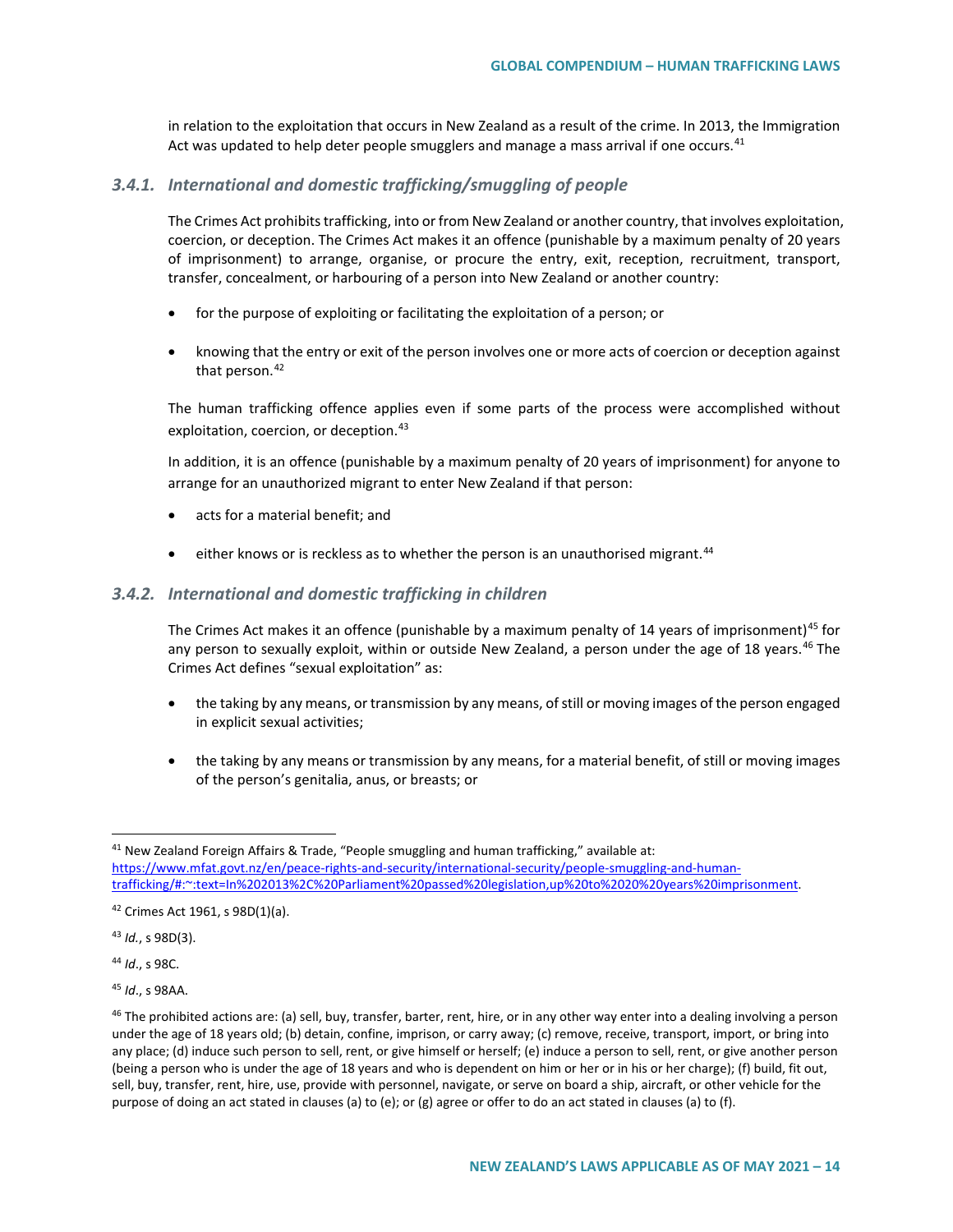in relation to the exploitation that occurs in New Zealand as a result of the crime. In 2013, the Immigration Act was updated to help deter people smugglers and manage a mass arrival if one occurs.<sup>[41](#page-13-0)</sup>

#### *3.4.1. International and domestic trafficking/smuggling of people*

The Crimes Act prohibits trafficking, into or from New Zealand or another country, that involves exploitation, coercion, or deception. The Crimes Act makes it an offence (punishable by a maximum penalty of 20 years of imprisonment) to arrange, organise, or procure the entry, exit, reception, recruitment, transport, transfer, concealment, or harbouring of a person into New Zealand or another country:

- for the purpose of exploiting or facilitating the exploitation of a person; or
- knowing that the entry or exit of the person involves one or more acts of coercion or deception against that person. $42$

The human trafficking offence applies even if some parts of the process were accomplished without exploitation, coercion, or deception.<sup>[43](#page-13-2)</sup>

In addition, it is an offence (punishable by a maximum penalty of 20 years of imprisonment) for anyone to arrange for an unauthorized migrant to enter New Zealand if that person:

- acts for a material benefit; and
- $\bullet$  either knows or is reckless as to whether the person is an unauthorised migrant.<sup>[44](#page-13-3)</sup>

#### *3.4.2. International and domestic trafficking in children*

The Crimes Act makes it an offence (punishable by a maximum penalty of 14 years of imprisonment)<sup>[45](#page-13-4)</sup> for any person to sexually exploit, within or outside New Zealand, a person under the age of 18 years.<sup>[46](#page-13-5)</sup> The Crimes Act defines "sexual exploitation" as:

- the taking by any means, or transmission by any means, of still or moving images of the person engaged in explicit sexual activities;
- the taking by any means or transmission by any means, for a material benefit, of still or moving images of the person's genitalia, anus, or breasts; or

<span id="page-13-2"></span><sup>43</sup> *Id.*, s 98D(3).

<span id="page-13-3"></span><sup>44</sup> *Id*., s 98C.

<span id="page-13-4"></span><sup>45</sup> *Id*., s 98AA.

<span id="page-13-0"></span><sup>&</sup>lt;sup>41</sup> New Zealand Foreign Affairs & Trade, "People smuggling and human trafficking," available at: [https://www.mfat.govt.nz/en/peace-rights-and-security/international-security/people-smuggling-and-human](https://www.mfat.govt.nz/en/peace-rights-and-security/international-security/people-smuggling-and-human-trafficking/#:%7E:text=In%202013%2C%20Parliament%20passed%20legislation,up%20to%2020%20years%20imprisonment)[trafficking/#:~:text=In%202013%2C%20Parliament%20passed%20legislation,up%20to%2020%20years%20imprisonment.](https://www.mfat.govt.nz/en/peace-rights-and-security/international-security/people-smuggling-and-human-trafficking/#:%7E:text=In%202013%2C%20Parliament%20passed%20legislation,up%20to%2020%20years%20imprisonment)

<span id="page-13-1"></span><sup>42</sup> Crimes Act 1961, s 98D(1)(a).

<span id="page-13-5"></span><sup>&</sup>lt;sup>46</sup> The prohibited actions are: (a) sell, buy, transfer, barter, rent, hire, or in any other way enter into a dealing involving a person under the age of 18 years old; (b) detain, confine, imprison, or carry away; (c) remove, receive, transport, import, or bring into any place; (d) induce such person to sell, rent, or give himself or herself; (e) induce a person to sell, rent, or give another person (being a person who is under the age of 18 years and who is dependent on him or her or in his or her charge); (f) build, fit out, sell, buy, transfer, rent, hire, use, provide with personnel, navigate, or serve on board a ship, aircraft, or other vehicle for the purpose of doing an act stated in clauses (a) to (e); or (g) agree or offer to do an act stated in clauses (a) to (f).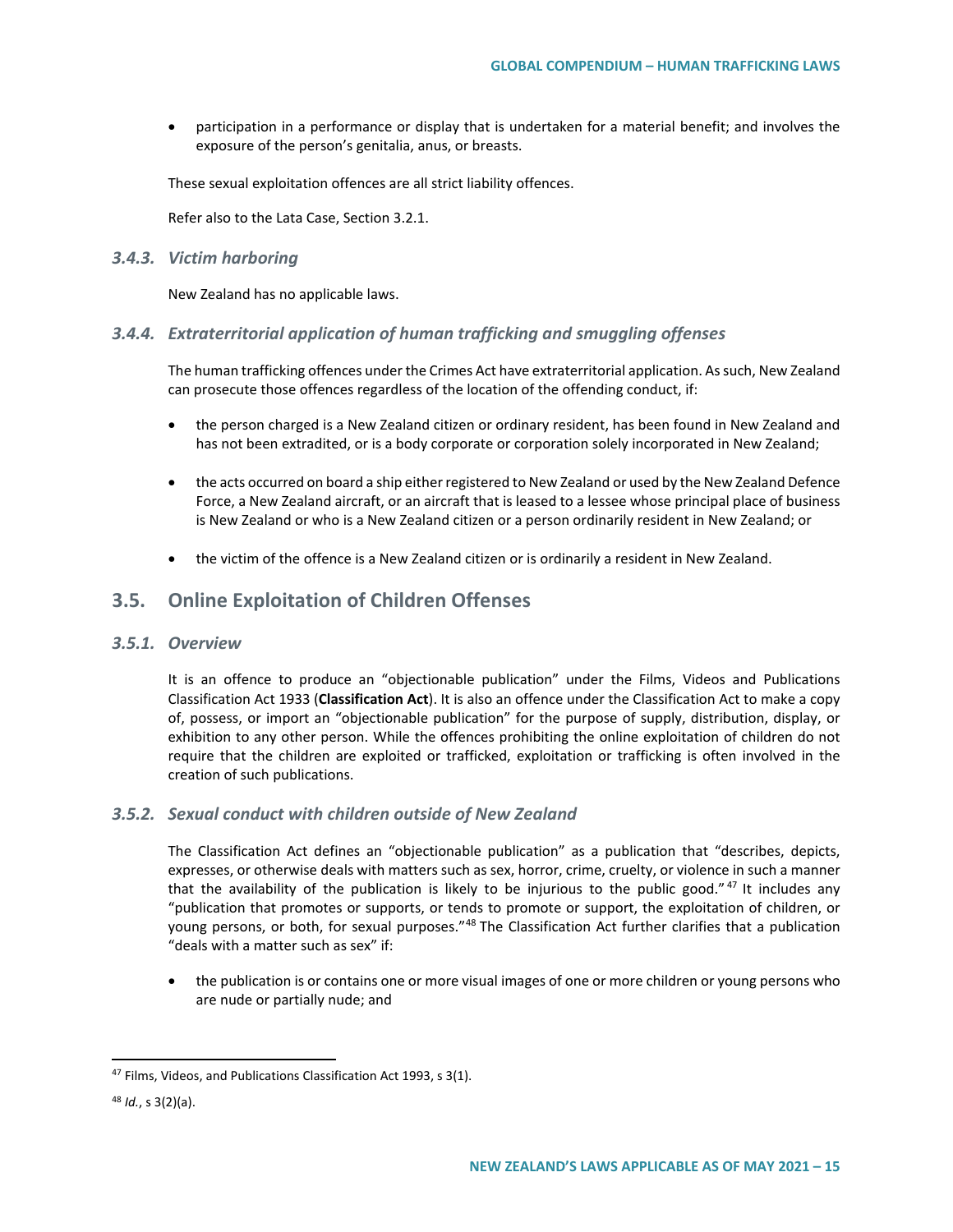• participation in a performance or display that is undertaken for a material benefit; and involves the exposure of the person's genitalia, anus, or breasts.

These sexual exploitation offences are all strict liability offences.

Refer also to the Lata Case, Section 3.2.1.

#### *3.4.3. Victim harboring*

New Zealand has no applicable laws.

## *3.4.4. Extraterritorial application of human trafficking and smuggling offenses*

The human trafficking offences under the Crimes Act have extraterritorial application. As such, New Zealand can prosecute those offences regardless of the location of the offending conduct, if:

- the person charged is a New Zealand citizen or ordinary resident, has been found in New Zealand and has not been extradited, or is a body corporate or corporation solely incorporated in New Zealand;
- the acts occurred on board a ship either registered to New Zealand or used by the New Zealand Defence Force, a New Zealand aircraft, or an aircraft that is leased to a lessee whose principal place of business is New Zealand or who is a New Zealand citizen or a person ordinarily resident in New Zealand; or
- the victim of the offence is a New Zealand citizen or is ordinarily a resident in New Zealand.

# **3.5. Online Exploitation of Children Offenses**

### *3.5.1. Overview*

It is an offence to produce an "objectionable publication" under the Films, Videos and Publications Classification Act 1933 (**Classification Act**). It is also an offence under the Classification Act to make a copy of, possess, or import an "objectionable publication" for the purpose of supply, distribution, display, or exhibition to any other person. While the offences prohibiting the online exploitation of children do not require that the children are exploited or trafficked, exploitation or trafficking is often involved in the creation of such publications.

#### *3.5.2. Sexual conduct with children outside of New Zealand*

The Classification Act defines an "objectionable publication" as a publication that "describes, depicts, expresses, or otherwise deals with matters such as sex, horror, crime, cruelty, or violence in such a manner that the availability of the publication is likely to be injurious to the public good." $47$  It includes any "publication that promotes or supports, or tends to promote or support, the exploitation of children, or young persons, or both, for sexual purposes."<sup>[48](#page-14-1)</sup> The Classification Act further clarifies that a publication "deals with a matter such as sex" if:

• the publication is or contains one or more visual images of one or more children or young persons who are nude or partially nude; and

<span id="page-14-0"></span><sup>&</sup>lt;sup>47</sup> Films, Videos, and Publications Classification Act 1993, s 3(1).

<span id="page-14-1"></span><sup>48</sup> *Id.*, s 3(2)(a).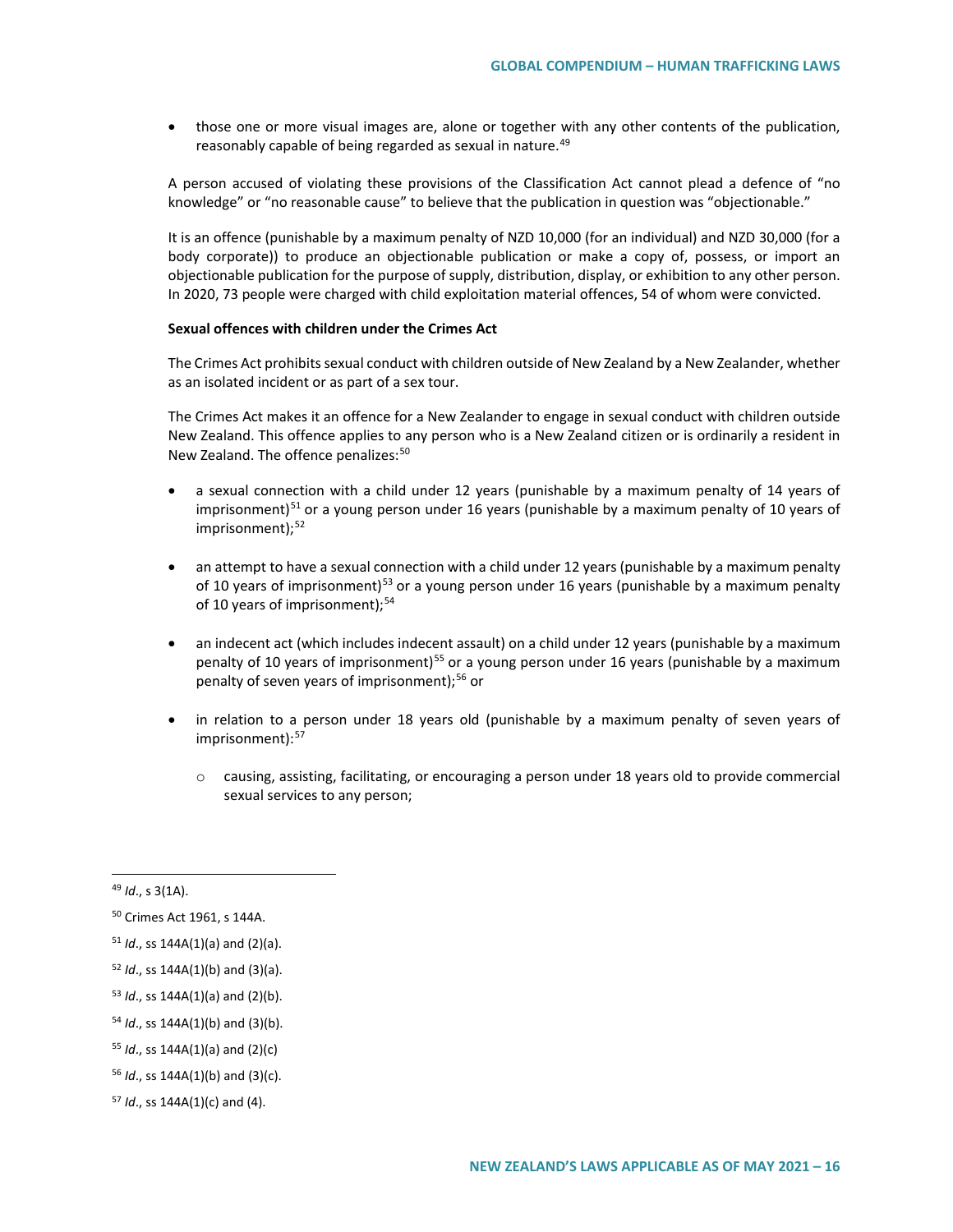• those one or more visual images are, alone or together with any other contents of the publication, reasonably capable of being regarded as sexual in nature.<sup>[49](#page-15-0)</sup>

A person accused of violating these provisions of the Classification Act cannot plead a defence of "no knowledge" or "no reasonable cause" to believe that the publication in question was "objectionable."

It is an offence (punishable by a maximum penalty of NZD 10,000 (for an individual) and NZD 30,000 (for a body corporate)) to produce an objectionable publication or make a copy of, possess, or import an objectionable publication for the purpose of supply, distribution, display, or exhibition to any other person. In 2020, 73 people were charged with child exploitation material offences, 54 of whom were convicted.

#### **Sexual offences with children under the Crimes Act**

The Crimes Act prohibits sexual conduct with children outside of New Zealand by a New Zealander, whether as an isolated incident or as part of a sex tour.

The Crimes Act makes it an offence for a New Zealander to engage in sexual conduct with children outside New Zealand. This offence applies to any person who is a New Zealand citizen or is ordinarily a resident in New Zealand. The offence penalizes:<sup>[50](#page-15-1)</sup>

- a sexual connection with a child under 12 years (punishable by a maximum penalty of 14 years of imprisonment)<sup>[51](#page-15-2)</sup> or a young person under 16 years (punishable by a maximum penalty of 10 years of imprisonment);<sup>[52](#page-15-3)</sup>
- an attempt to have a sexual connection with a child under 12 years (punishable by a maximum penalty of 10 years of imprisonment)<sup>[53](#page-15-4)</sup> or a young person under 16 years (punishable by a maximum penalty of 10 years of imprisonment);<sup>[54](#page-15-5)</sup>
- an indecent act (which includes indecent assault) on a child under 12 years (punishable by a maximum penalty of 10 years of imprisonment)<sup>[55](#page-15-6)</sup> or a young person under 16 years (punishable by a maximum penalty of seven years of imprisonment);<sup>[56](#page-15-7)</sup> or
- in relation to a person under 18 years old (punishable by a maximum penalty of seven years of imprisonment): [57](#page-15-8)
	- $\circ$  causing, assisting, facilitating, or encouraging a person under 18 years old to provide commercial sexual services to any person;

<span id="page-15-0"></span> <sup>49</sup> *Id*., s 3(1A).

<span id="page-15-1"></span><sup>50</sup> Crimes Act 1961, s 144A.

<span id="page-15-2"></span><sup>51</sup> *Id*., ss 144A(1)(a) and (2)(a).

<span id="page-15-3"></span><sup>52</sup> *Id*., ss 144A(1)(b) and (3)(a).

<span id="page-15-4"></span><sup>53</sup> *Id*., ss 144A(1)(a) and (2)(b).

<span id="page-15-5"></span><sup>54</sup> *Id*., ss 144A(1)(b) and (3)(b).

<span id="page-15-6"></span><sup>55</sup> *Id*., ss 144A(1)(a) and (2)(c)

<span id="page-15-7"></span><sup>56</sup> *Id*., ss 144A(1)(b) and (3)(c).

<span id="page-15-8"></span><sup>57</sup> *Id*., ss 144A(1)(c) and (4).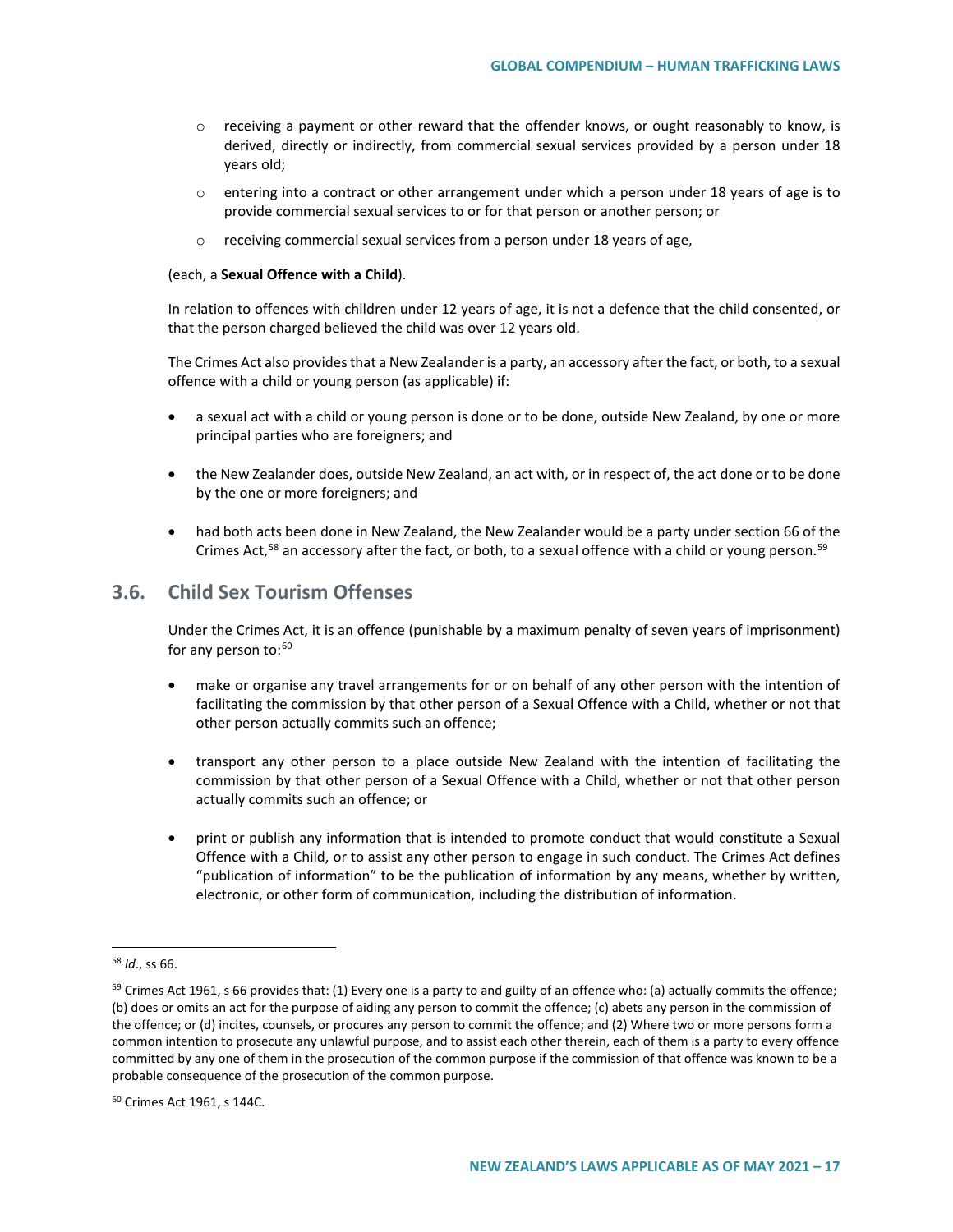- $\circ$  receiving a payment or other reward that the offender knows, or ought reasonably to know, is derived, directly or indirectly, from commercial sexual services provided by a person under 18 years old;
- $\circ$  entering into a contract or other arrangement under which a person under 18 years of age is to provide commercial sexual services to or for that person or another person; or
- o receiving commercial sexual services from a person under 18 years of age,

#### (each, a **Sexual Offence with a Child**).

In relation to offences with children under 12 years of age, it is not a defence that the child consented, or that the person charged believed the child was over 12 years old.

The Crimes Act also provides that a New Zealander is a party, an accessory after the fact, or both, to a sexual offence with a child or young person (as applicable) if:

- a sexual act with a child or young person is done or to be done, outside New Zealand, by one or more principal parties who are foreigners; and
- the New Zealander does, outside New Zealand, an act with, or in respect of, the act done or to be done by the one or more foreigners; and
- had both acts been done in New Zealand, the New Zealander would be a party under section 66 of the Crimes Act,<sup>[58](#page-16-0)</sup> an accessory after the fact, or both, to a sexual offence with a child or young person.<sup>[59](#page-16-1)</sup>

# **3.6. Child Sex Tourism Offenses**

Under the Crimes Act, it is an offence (punishable by a maximum penalty of seven years of imprisonment) for any person to:<sup>[60](#page-16-2)</sup>

- make or organise any travel arrangements for or on behalf of any other person with the intention of facilitating the commission by that other person of a Sexual Offence with a Child, whether or not that other person actually commits such an offence;
- transport any other person to a place outside New Zealand with the intention of facilitating the commission by that other person of a Sexual Offence with a Child, whether or not that other person actually commits such an offence; or
- print or publish any information that is intended to promote conduct that would constitute a Sexual Offence with a Child, or to assist any other person to engage in such conduct. The Crimes Act defines "publication of information" to be the publication of information by any means, whether by written, electronic, or other form of communication, including the distribution of information.

<span id="page-16-0"></span> <sup>58</sup> *Id*., ss 66.

<span id="page-16-1"></span> $59$  Crimes Act 1961, s 66 provides that: (1) Every one is a party to and guilty of an offence who: (a) actually commits the offence; (b) does or omits an act for the purpose of aiding any person to commit the offence; (c) abets any person in the commission of the offence; or (d) incites, counsels, or procures any person to commit the offence; and (2) Where two or more persons form a common intention to prosecute any unlawful purpose, and to assist each other therein, each of them is a party to every offence committed by any one of them in the prosecution of the common purpose if the commission of that offence was known to be a probable consequence of the prosecution of the common purpose.

<span id="page-16-2"></span><sup>60</sup> Crimes Act 1961, s 144C.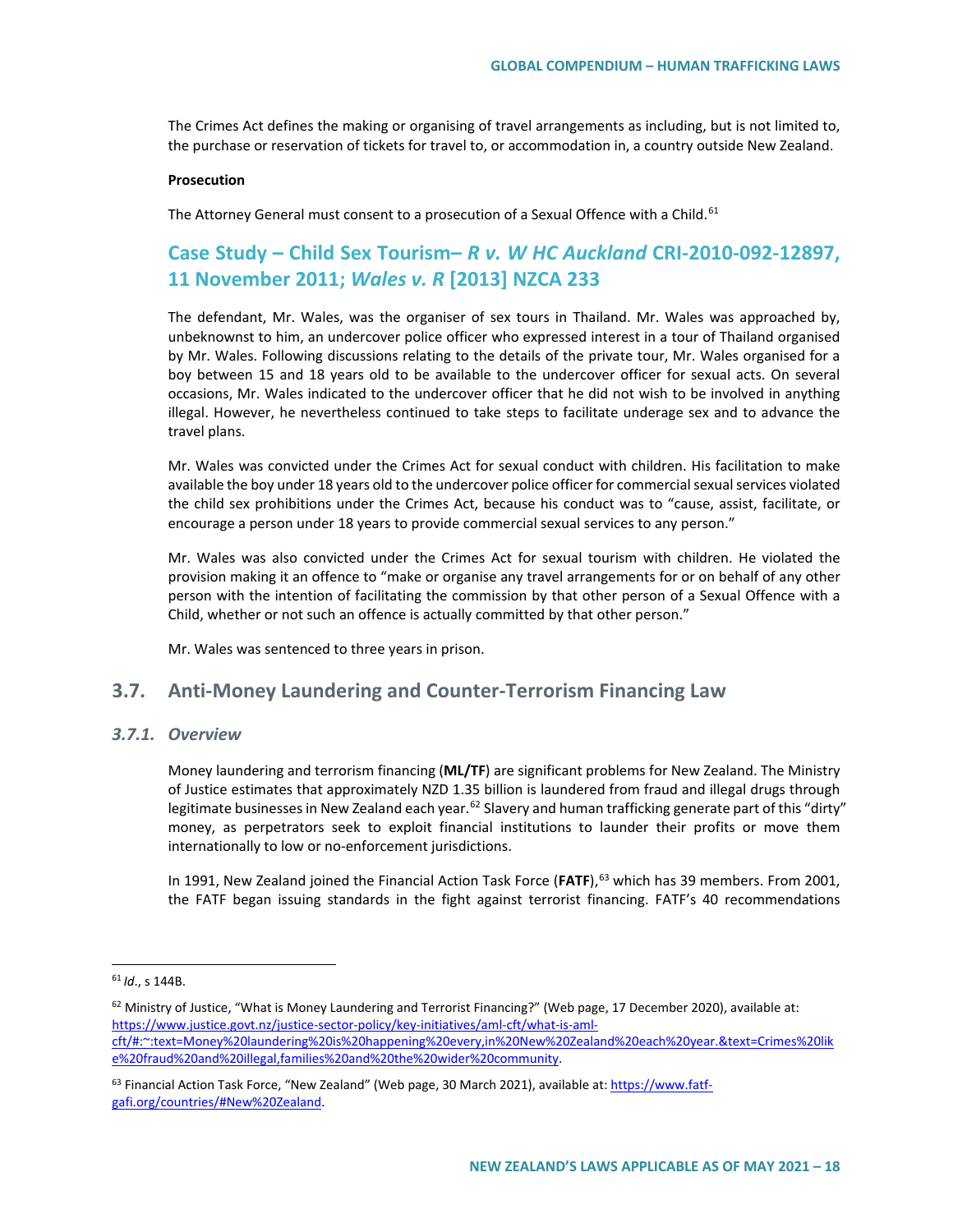The Crimes Act defines the making or organising of travel arrangements as including, but is not limited to, the purchase or reservation of tickets for travel to, or accommodation in, a country outside New Zealand.

#### **Prosecution**

The Attorney General must consent to a prosecution of a Sexual Offence with a Child.<sup>[61](#page-17-0)</sup>

# **Case Study – Child Sex Tourism–** *R v. W HC Auckland* **CRI-2010-092-12897, 11 November 2011;** *Wales v. R* **[2013] NZCA 233**

The defendant, Mr. Wales, was the organiser of sex tours in Thailand. Mr. Wales was approached by, unbeknownst to him, an undercover police officer who expressed interest in a tour of Thailand organised by Mr. Wales. Following discussions relating to the details of the private tour, Mr. Wales organised for a boy between 15 and 18 years old to be available to the undercover officer for sexual acts. On several occasions, Mr. Wales indicated to the undercover officer that he did not wish to be involved in anything illegal. However, he nevertheless continued to take steps to facilitate underage sex and to advance the travel plans.

Mr. Wales was convicted under the Crimes Act for sexual conduct with children. His facilitation to make available the boy under 18 years old to the undercover police officer for commercial sexual services violated the child sex prohibitions under the Crimes Act, because his conduct was to "cause, assist, facilitate, or encourage a person under 18 years to provide commercial sexual services to any person."

Mr. Wales was also convicted under the Crimes Act for sexual tourism with children. He violated the provision making it an offence to "make or organise any travel arrangements for or on behalf of any other person with the intention of facilitating the commission by that other person of a Sexual Offence with a Child, whether or not such an offence is actually committed by that other person."

Mr. Wales was sentenced to three years in prison.

## **3.7. Anti-Money Laundering and Counter-Terrorism Financing Law**

### *3.7.1. Overview*

Money laundering and terrorism financing (**ML/TF**) are significant problems for New Zealand. The Ministry of Justice estimates that approximately NZD 1.35 billion is laundered from fraud and illegal drugs through legitimate businesses in New Zealand each year.<sup>[62](#page-17-1)</sup> Slavery and human trafficking generate part of this "dirty" money, as perpetrators seek to exploit financial institutions to launder their profits or move them internationally to low or no-enforcement jurisdictions.

In 1991, New Zealand joined the Financial Action Task Force (FATF),<sup>[63](#page-17-2)</sup> which has 39 members. From 2001, the FATF began issuing standards in the fight against terrorist financing. FATF's 40 recommendations

<span id="page-17-0"></span> <sup>61</sup> *Id*., s 144B.

<span id="page-17-1"></span><sup>62</sup> Ministry of Justice, "What is Money Laundering and Terrorist Financing?" (Web page, 17 December 2020), available at: [https://www.justice.govt.nz/justice-sector-policy/key-initiatives/aml-cft/what-is-aml](https://www.justice.govt.nz/justice-sector-policy/key-initiatives/aml-cft/what-is-aml-cft/#:%7E:text=Money%20laundering%20is%20happening%20every,in%20New%20Zealand%20each%20year.&text=Crimes%20like%20fraud%20and%20illegal,families%20and%20the%20wider%20community)[cft/#:~:text=Money%20laundering%20is%20happening%20every,in%20New%20Zealand%20each%20year.&text=Crimes%20lik](https://www.justice.govt.nz/justice-sector-policy/key-initiatives/aml-cft/what-is-aml-cft/#:%7E:text=Money%20laundering%20is%20happening%20every,in%20New%20Zealand%20each%20year.&text=Crimes%20like%20fraud%20and%20illegal,families%20and%20the%20wider%20community) [e%20fraud%20and%20illegal,families%20and%20the%20wider%20community.](https://www.justice.govt.nz/justice-sector-policy/key-initiatives/aml-cft/what-is-aml-cft/#:%7E:text=Money%20laundering%20is%20happening%20every,in%20New%20Zealand%20each%20year.&text=Crimes%20like%20fraud%20and%20illegal,families%20and%20the%20wider%20community)

<span id="page-17-2"></span><sup>&</sup>lt;sup>63</sup> Financial Action Task Force, "New Zealand" (Web page, 30 March 2021), available at[: https://www.fatf](https://www.fatf-gafi.org/countries/#New%20Zealand)[gafi.org/countries/#New%20Zealand.](https://www.fatf-gafi.org/countries/#New%20Zealand)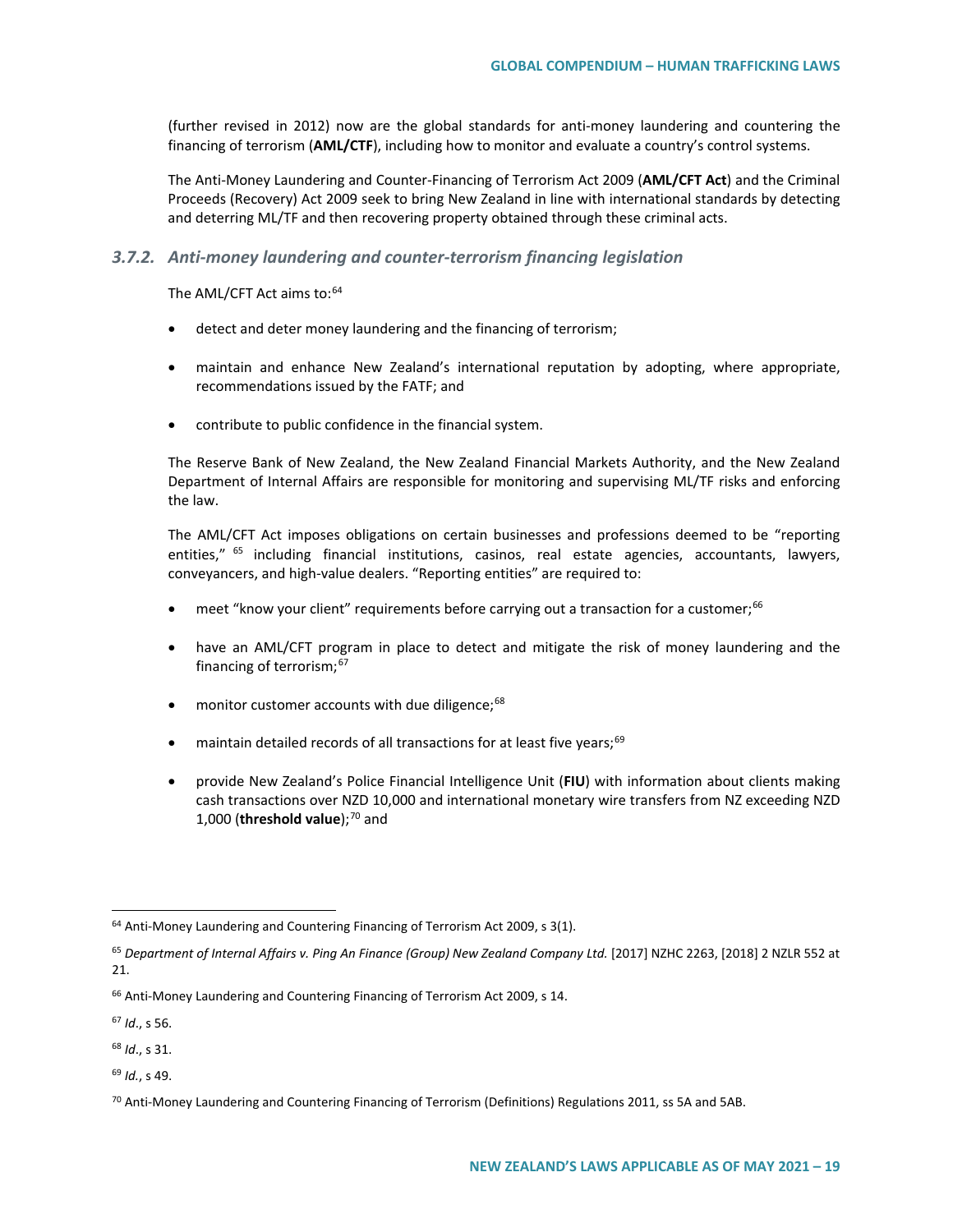(further revised in 2012) now are the global standards for anti-money laundering and countering the financing of terrorism (**AML/CTF**), including how to monitor and evaluate a country's control systems.

The Anti-Money Laundering and Counter-Financing of Terrorism Act 2009 (**AML/CFT Act**) and the Criminal Proceeds (Recovery) Act 2009 seek to bring New Zealand in line with international standards by detecting and deterring ML/TF and then recovering property obtained through these criminal acts.

#### *3.7.2. Anti-money laundering and counter-terrorism financing legislation*

The AML/CFT Act aims to:<sup>64</sup>

- detect and deter money laundering and the financing of terrorism;
- maintain and enhance New Zealand's international reputation by adopting, where appropriate, recommendations issued by the FATF; and
- contribute to public confidence in the financial system.

The Reserve Bank of New Zealand, the New Zealand Financial Markets Authority, and the New Zealand Department of Internal Affairs are responsible for monitoring and supervising ML/TF risks and enforcing the law.

The AML/CFT Act imposes obligations on certain businesses and professions deemed to be "reporting entities," <sup>[65](#page-18-1)</sup> including financial institutions, casinos, real estate agencies, accountants, lawyers, conveyancers, and high-value dealers. "Reporting entities" are required to:

- meet "know your client" requirements before carrying out a transaction for a customer:<sup>[66](#page-18-2)</sup>
- have an AML/CFT program in place to detect and mitigate the risk of money laundering and the financing of terrorism;[67](#page-18-3)
- monitor customer accounts with due diligence; $68$
- maintain detailed records of all transactions for at least five years;<sup>[69](#page-18-5)</sup>
- provide New Zealand's Police Financial Intelligence Unit (**FIU**) with information about clients making cash transactions over NZD 10,000 and international monetary wire transfers from NZ exceeding NZD 1,000 (**threshold value**);<sup>[70](#page-18-6)</sup> and

<span id="page-18-3"></span><sup>67</sup> *Id*., s 56.

<span id="page-18-4"></span><sup>68</sup> *Id*., s 31.

<span id="page-18-5"></span><sup>69</sup> *Id.*, s 49.

<span id="page-18-0"></span> $64$  Anti-Money Laundering and Countering Financing of Terrorism Act 2009, s 3(1).

<span id="page-18-1"></span><sup>&</sup>lt;sup>65</sup> Department of Internal Affairs v. Ping An Finance (Group) New Zealand Company Ltd. [2017] NZHC 2263, [2018] 2 NZLR 552 at 21.

<span id="page-18-2"></span><sup>&</sup>lt;sup>66</sup> Anti-Money Laundering and Countering Financing of Terrorism Act 2009, s 14.

<span id="page-18-6"></span><sup>&</sup>lt;sup>70</sup> Anti-Money Laundering and Countering Financing of Terrorism (Definitions) Regulations 2011, ss 5A and 5AB.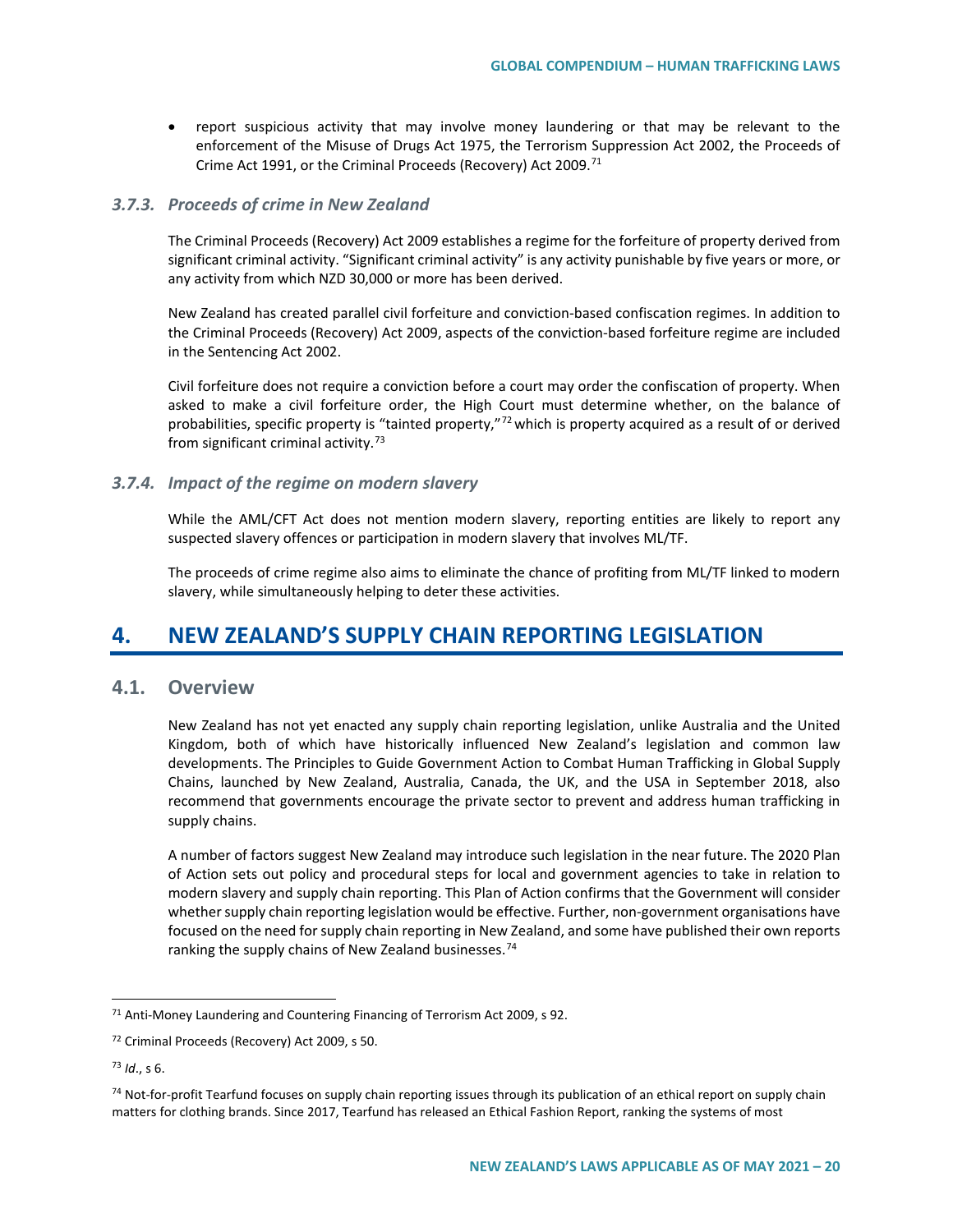• report suspicious activity that may involve money laundering or that may be relevant to the enforcement of the Misuse of Drugs Act 1975, the Terrorism Suppression Act 2002, the Proceeds of Crime Act 1991, or the Criminal Proceeds (Recovery) Act 2009.<sup>[71](#page-19-0)</sup>

#### *3.7.3. Proceeds of crime in New Zealand*

The Criminal Proceeds (Recovery) Act 2009 establishes a regime for the forfeiture of property derived from significant criminal activity. "Significant criminal activity" is any activity punishable by five years or more, or any activity from which NZD 30,000 or more has been derived.

New Zealand has created parallel civil forfeiture and conviction-based confiscation regimes. In addition to the Criminal Proceeds (Recovery) Act 2009, aspects of the conviction-based forfeiture regime are included in the Sentencing Act 2002.

Civil forfeiture does not require a conviction before a court may order the confiscation of property. When asked to make a civil forfeiture order, the High Court must determine whether, on the balance of probabilities, specific property is "tainted property,"<sup>[72](#page-19-1)</sup> which is property acquired as a result of or derived from significant criminal activity.<sup>[73](#page-19-2)</sup>

### *3.7.4. Impact of the regime on modern slavery*

While the AML/CFT Act does not mention modern slavery, reporting entities are likely to report any suspected slavery offences or participation in modern slavery that involves ML/TF.

The proceeds of crime regime also aims to eliminate the chance of profiting from ML/TF linked to modern slavery, while simultaneously helping to deter these activities.

# **4. NEW ZEALAND'S SUPPLY CHAIN REPORTING LEGISLATION**

## **4.1. Overview**

New Zealand has not yet enacted any supply chain reporting legislation, unlike Australia and the United Kingdom, both of which have historically influenced New Zealand's legislation and common law developments. The Principles to Guide Government Action to Combat Human Trafficking in Global Supply Chains, launched by New Zealand, Australia, Canada, the UK, and the USA in September 2018, also recommend that governments encourage the private sector to prevent and address human trafficking in supply chains.

A number of factors suggest New Zealand may introduce such legislation in the near future. The 2020 Plan of Action sets out policy and procedural steps for local and government agencies to take in relation to modern slavery and supply chain reporting. This Plan of Action confirms that the Government will consider whether supply chain reporting legislation would be effective. Further, non-government organisations have focused on the need for supply chain reporting in New Zealand, and some have published their own reports ranking the supply chains of New Zealand businesses.<sup>[74](#page-19-3)</sup>

<span id="page-19-0"></span><sup>&</sup>lt;sup>71</sup> Anti-Money Laundering and Countering Financing of Terrorism Act 2009, s 92.

<span id="page-19-1"></span><sup>72</sup> Criminal Proceeds (Recovery) Act 2009, s 50.

<span id="page-19-2"></span><sup>73</sup> *Id*., s 6.

<span id="page-19-3"></span><sup>74</sup> Not-for-profit Tearfund focuses on supply chain reporting issues through its publication of an ethical report on supply chain matters for clothing brands. Since 2017, Tearfund has released an Ethical Fashion Report, ranking the systems of most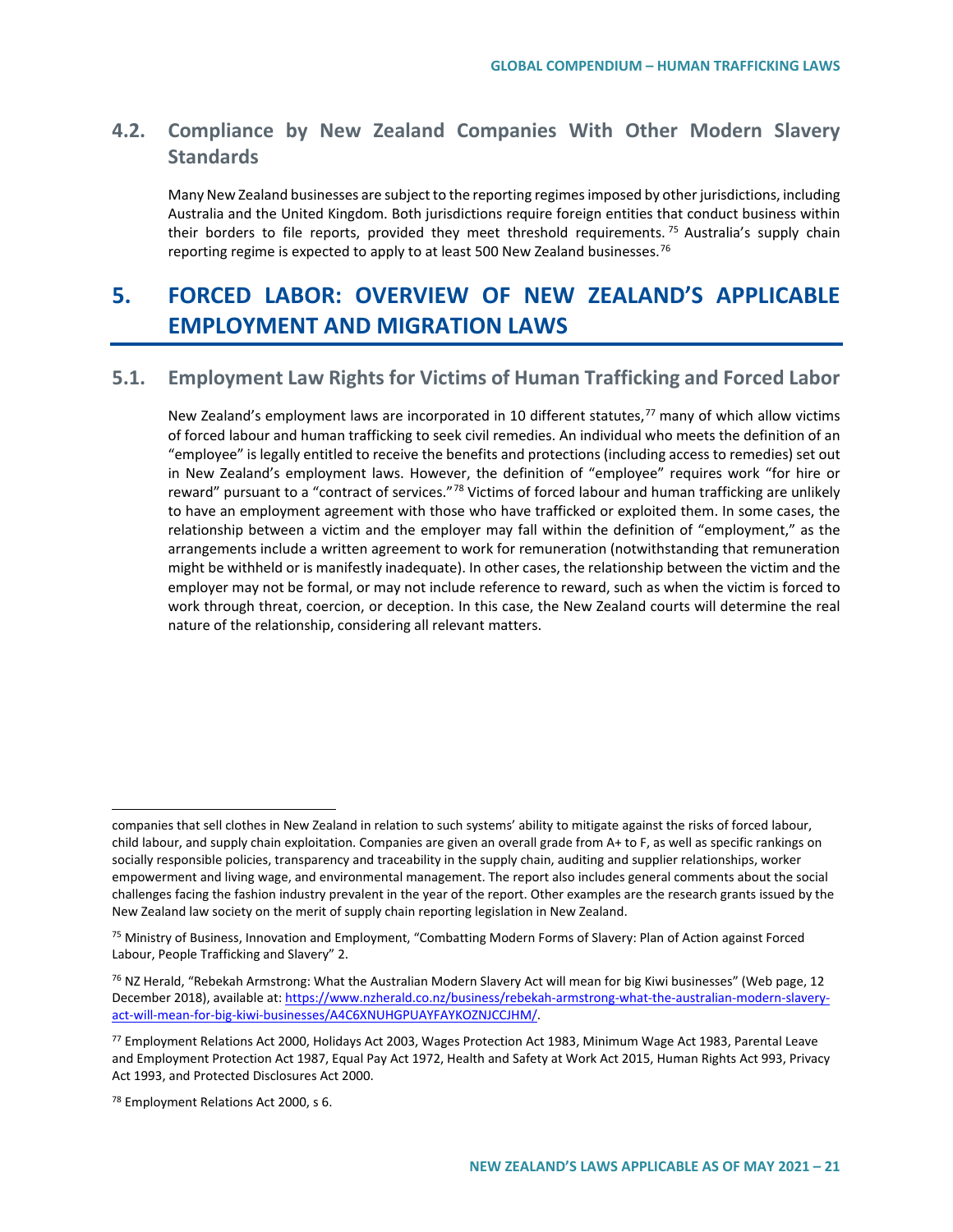# **4.2. Compliance by New Zealand Companies With Other Modern Slavery Standards**

Many New Zealand businesses are subject to the reporting regimes imposed by other jurisdictions, including Australia and the United Kingdom. Both jurisdictions require foreign entities that conduct business within their borders to file reports, provided they meet threshold requirements.<sup>[75](#page-20-0)</sup> Australia's supply chain reporting regime is expected to apply to at least 500 New Zealand businesses.<sup>[76](#page-20-1)</sup>

# **5. FORCED LABOR: OVERVIEW OF NEW ZEALAND'S APPLICABLE EMPLOYMENT AND MIGRATION LAWS**

# **5.1. Employment Law Rights for Victims of Human Trafficking and Forced Labor**

New Zealand's employment laws are incorporated in 10 different statutes,<sup>[77](#page-20-2)</sup> many of which allow victims of forced labour and human trafficking to seek civil remedies. An individual who meets the definition of an "employee" is legally entitled to receive the benefits and protections (including access to remedies) set out in New Zealand's employment laws. However, the definition of "employee" requires work "for hire or reward" pursuant to a "contract of services."<sup>[78](#page-20-3)</sup> Victims of forced labour and human trafficking are unlikely to have an employment agreement with those who have trafficked or exploited them. In some cases, the relationship between a victim and the employer may fall within the definition of "employment," as the arrangements include a written agreement to work for remuneration (notwithstanding that remuneration might be withheld or is manifestly inadequate). In other cases, the relationship between the victim and the employer may not be formal, or may not include reference to reward, such as when the victim is forced to work through threat, coercion, or deception. In this case, the New Zealand courts will determine the real nature of the relationship, considering all relevant matters.

 $\overline{a}$ 

companies that sell clothes in New Zealand in relation to such systems' ability to mitigate against the risks of forced labour, child labour, and supply chain exploitation. Companies are given an overall grade from A+ to F, as well as specific rankings on socially responsible policies, transparency and traceability in the supply chain, auditing and supplier relationships, worker empowerment and living wage, and environmental management. The report also includes general comments about the social challenges facing the fashion industry prevalent in the year of the report. Other examples are the research grants issued by the New Zealand law society on the merit of supply chain reporting legislation in New Zealand.

<span id="page-20-0"></span><sup>75</sup> Ministry of Business, Innovation and Employment, "Combatting Modern Forms of Slavery: Plan of Action against Forced Labour, People Trafficking and Slavery" 2.

<span id="page-20-1"></span> $76$  NZ Herald, "Rebekah Armstrong: What the Australian Modern Slavery Act will mean for big Kiwi businesses" (Web page, 12 December 2018), available at[: https://www.nzherald.co.nz/business/rebekah-armstrong-what-the-australian-modern-slavery](https://www.nzherald.co.nz/business/rebekah-armstrong-what-the-australian-modern-slavery-act-will-mean-for-big-kiwi-businesses/A4C6XNUHGPUAYFAYKOZNJCCJHM/)[act-will-mean-for-big-kiwi-businesses/A4C6XNUHGPUAYFAYKOZNJCCJHM/.](https://www.nzherald.co.nz/business/rebekah-armstrong-what-the-australian-modern-slavery-act-will-mean-for-big-kiwi-businesses/A4C6XNUHGPUAYFAYKOZNJCCJHM/)

<span id="page-20-2"></span><sup>77</sup> Employment Relations Act 2000, Holidays Act 2003, Wages Protection Act 1983, Minimum Wage Act 1983, Parental Leave and Employment Protection Act 1987, Equal Pay Act 1972, Health and Safety at Work Act 2015, Human Rights Act 993, Privacy Act 1993, and Protected Disclosures Act 2000.

<span id="page-20-3"></span><sup>78</sup> Employment Relations Act 2000, s 6.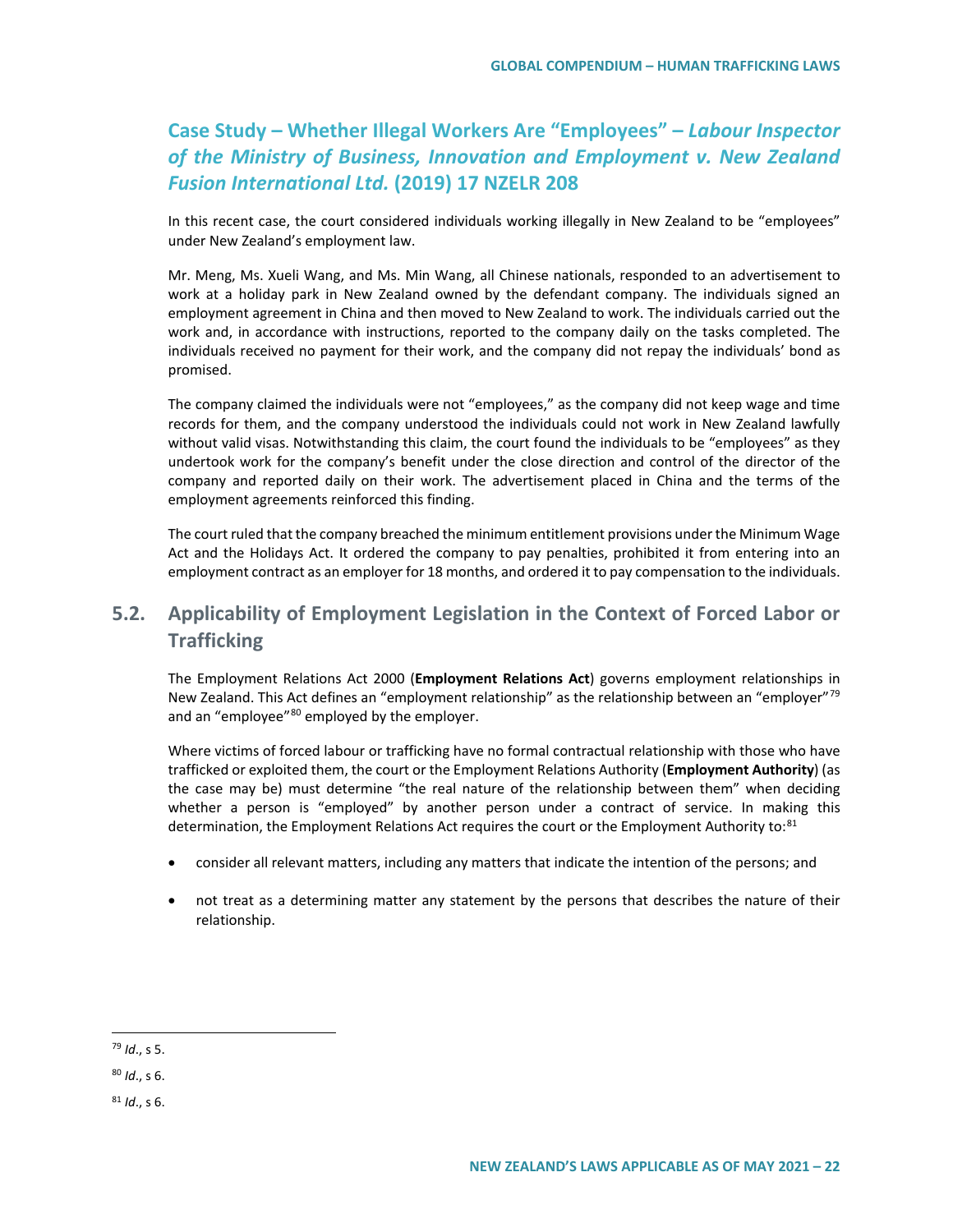# **Case Study – Whether Illegal Workers Are "Employees" –** *Labour Inspector of the Ministry of Business, Innovation and Employment v. New Zealand Fusion International Ltd.* **(2019) 17 NZELR 208**

In this recent case, the court considered individuals working illegally in New Zealand to be "employees" under New Zealand's employment law.

Mr. Meng, Ms. Xueli Wang, and Ms. Min Wang, all Chinese nationals, responded to an advertisement to work at a holiday park in New Zealand owned by the defendant company. The individuals signed an employment agreement in China and then moved to New Zealand to work. The individuals carried out the work and, in accordance with instructions, reported to the company daily on the tasks completed. The individuals received no payment for their work, and the company did not repay the individuals' bond as promised.

The company claimed the individuals were not "employees," as the company did not keep wage and time records for them, and the company understood the individuals could not work in New Zealand lawfully without valid visas. Notwithstanding this claim, the court found the individuals to be "employees" as they undertook work for the company's benefit under the close direction and control of the director of the company and reported daily on their work. The advertisement placed in China and the terms of the employment agreements reinforced this finding.

The court ruled that the company breached the minimum entitlement provisions under the Minimum Wage Act and the Holidays Act. It ordered the company to pay penalties, prohibited it from entering into an employment contract as an employer for 18 months, and ordered it to pay compensation to the individuals.

# **5.2. Applicability of Employment Legislation in the Context of Forced Labor or Trafficking**

The Employment Relations Act 2000 (**Employment Relations Act**) governs employment relationships in New Zealand. This Act defines an "employment relationship" as the relationship between an "employer"<sup>[79](#page-21-0)</sup> and an "employee"<sup>[80](#page-21-1)</sup> employed by the employer.

Where victims of forced labour or trafficking have no formal contractual relationship with those who have trafficked or exploited them, the court or the Employment Relations Authority (**Employment Authority**) (as the case may be) must determine "the real nature of the relationship between them" when deciding whether a person is "employed" by another person under a contract of service. In making this determination, the Employment Relations Act requires the court or the Employment Authority to:<sup>[81](#page-21-2)</sup>

- consider all relevant matters, including any matters that indicate the intention of the persons; and
- not treat as a determining matter any statement by the persons that describes the nature of their relationship.

<span id="page-21-0"></span> <sup>79</sup> *Id*., s 5.

<span id="page-21-1"></span><sup>80</sup> *Id*., s 6.

<span id="page-21-2"></span><sup>81</sup> *Id*., s 6.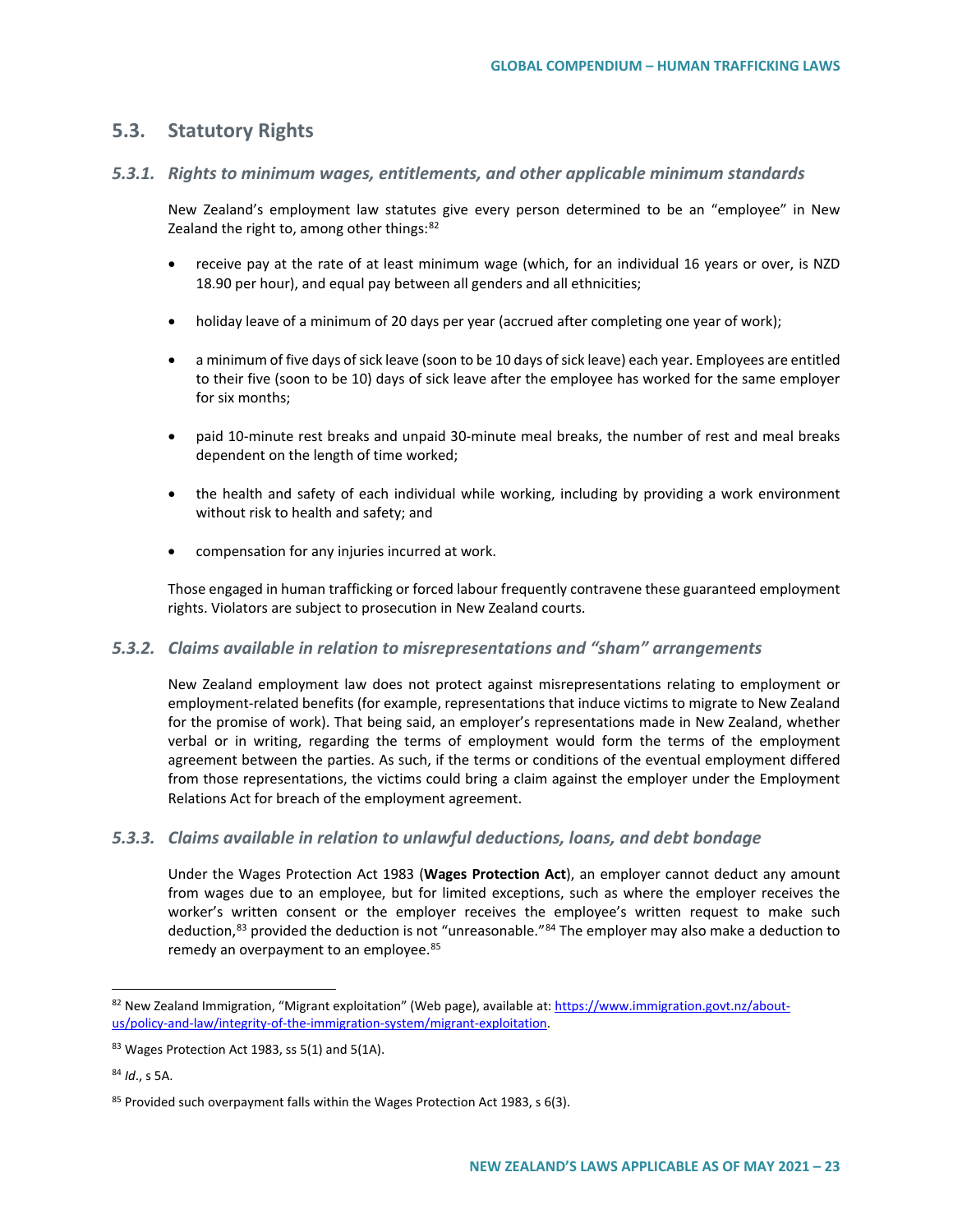# **5.3. Statutory Rights**

## *5.3.1. Rights to minimum wages, entitlements, and other applicable minimum standards*

New Zealand's employment law statutes give every person determined to be an "employee" in New Zealand the right to, among other things: $82$ 

- receive pay at the rate of at least minimum wage (which, for an individual 16 years or over, is NZD 18.90 per hour), and equal pay between all genders and all ethnicities;
- holiday leave of a minimum of 20 days per year (accrued after completing one year of work);
- a minimum of five days of sick leave (soon to be 10 days of sick leave) each year. Employees are entitled to their five (soon to be 10) days of sick leave after the employee has worked for the same employer for six months;
- paid 10-minute rest breaks and unpaid 30-minute meal breaks, the number of rest and meal breaks dependent on the length of time worked;
- the health and safety of each individual while working, including by providing a work environment without risk to health and safety; and
- compensation for any injuries incurred at work.

Those engaged in human trafficking or forced labour frequently contravene these guaranteed employment rights. Violators are subject to prosecution in New Zealand courts.

### *5.3.2. Claims available in relation to misrepresentations and "sham" arrangements*

New Zealand employment law does not protect against misrepresentations relating to employment or employment-related benefits (for example, representations that induce victims to migrate to New Zealand for the promise of work). That being said, an employer's representations made in New Zealand, whether verbal or in writing, regarding the terms of employment would form the terms of the employment agreement between the parties. As such, if the terms or conditions of the eventual employment differed from those representations, the victims could bring a claim against the employer under the Employment Relations Act for breach of the employment agreement.

### *5.3.3. Claims available in relation to unlawful deductions, loans, and debt bondage*

Under the Wages Protection Act 1983 (**Wages Protection Act**), an employer cannot deduct any amount from wages due to an employee, but for limited exceptions, such as where the employer receives the worker's written consent or the employer receives the employee's written request to make such deduction,<sup>[83](#page-22-1)</sup> provided the deduction is not "unreasonable."<sup>[84](#page-22-2)</sup> The employer may also make a deduction to remedy an overpayment to an employee.<sup>[85](#page-22-3)</sup>

<span id="page-22-0"></span> <sup>82</sup> New Zealand Immigration, "Migrant exploitation" (Web page), available at[: https://www.immigration.govt.nz/about](https://www.immigration.govt.nz/about-us/policy-and-law/integrity-of-the-immigration-system/migrant-exploitation)[us/policy-and-law/integrity-of-the-immigration-system/migrant-exploitation.](https://www.immigration.govt.nz/about-us/policy-and-law/integrity-of-the-immigration-system/migrant-exploitation)

<span id="page-22-1"></span><sup>83</sup> Wages Protection Act 1983, ss 5(1) and 5(1A).

<span id="page-22-2"></span><sup>84</sup> *Id*., s 5A.

<span id="page-22-3"></span><sup>85</sup> Provided such overpayment falls within the Wages Protection Act 1983, s 6(3).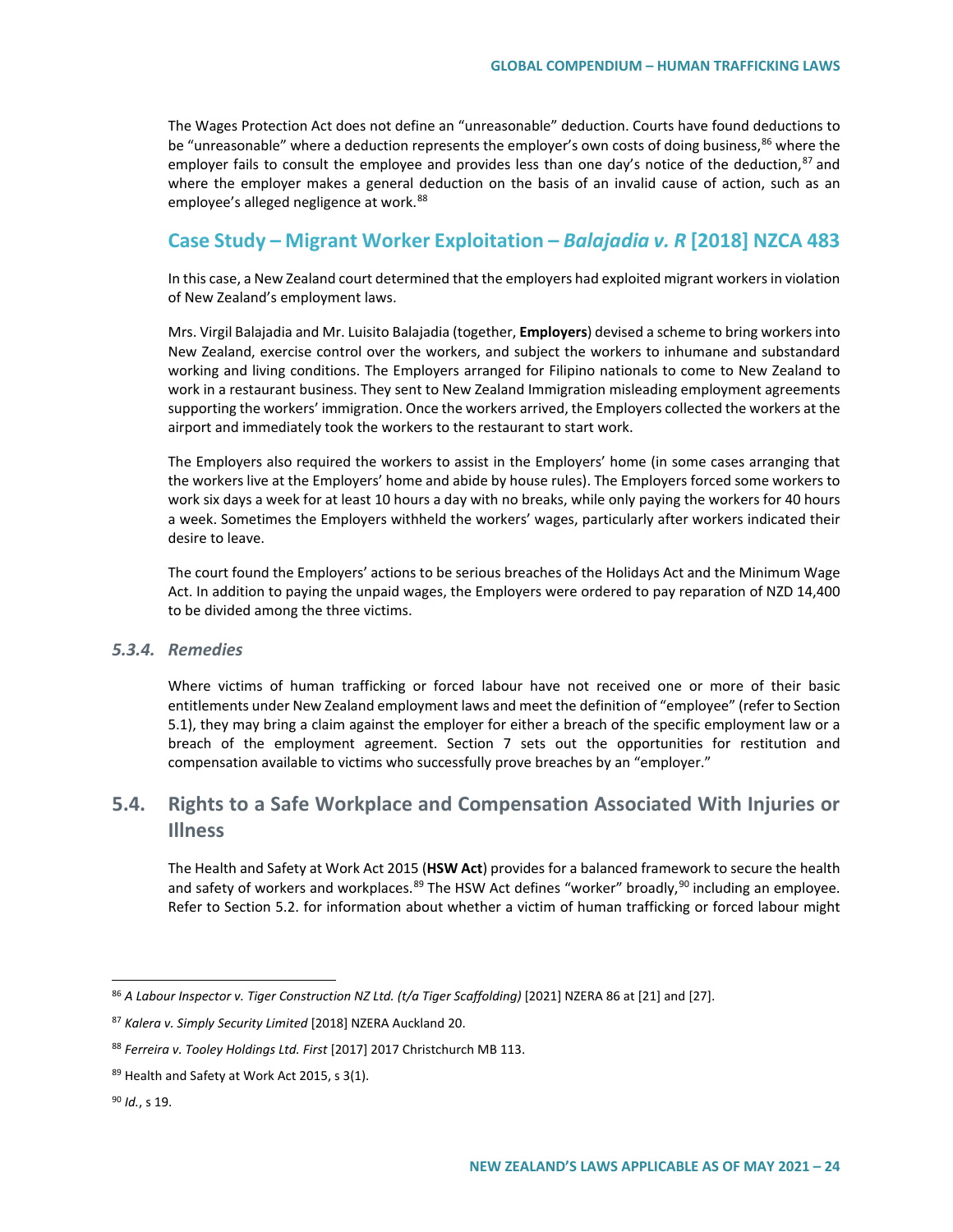The Wages Protection Act does not define an "unreasonable" deduction. Courts have found deductions to be "unreasonable" where a deduction represents the employer's own costs of doing business,<sup>[86](#page-23-0)</sup> where the employer fails to consult the employee and provides less than one day's notice of the deduction, [87](#page-23-1) and where the employer makes a general deduction on the basis of an invalid cause of action, such as an employee's alleged negligence at work.<sup>[88](#page-23-2)</sup>

# **Case Study – Migrant Worker Exploitation –** *Balajadia v. R* **[2018] NZCA 483**

In this case, a New Zealand court determined that the employers had exploited migrant workers in violation of New Zealand's employment laws.

Mrs. Virgil Balajadia and Mr. Luisito Balajadia (together, **Employers**) devised a scheme to bring workers into New Zealand, exercise control over the workers, and subject the workers to inhumane and substandard working and living conditions. The Employers arranged for Filipino nationals to come to New Zealand to work in a restaurant business. They sent to New Zealand Immigration misleading employment agreements supporting the workers' immigration. Once the workers arrived, the Employers collected the workers at the airport and immediately took the workers to the restaurant to start work.

The Employers also required the workers to assist in the Employers' home (in some cases arranging that the workers live at the Employers' home and abide by house rules). The Employers forced some workers to work six days a week for at least 10 hours a day with no breaks, while only paying the workers for 40 hours a week. Sometimes the Employers withheld the workers' wages, particularly after workers indicated their desire to leave.

The court found the Employers' actions to be serious breaches of the Holidays Act and the Minimum Wage Act. In addition to paying the unpaid wages, the Employers were ordered to pay reparation of NZD 14,400 to be divided among the three victims.

### *5.3.4. Remedies*

Where victims of human trafficking or forced labour have not received one or more of their basic entitlements under New Zealand employment laws and meet the definition of "employee" (refer to Section 5.1), they may bring a claim against the employer for either a breach of the specific employment law or a breach of the employment agreement. Section 7 sets out the opportunities for restitution and compensation available to victims who successfully prove breaches by an "employer."

# **5.4. Rights to a Safe Workplace and Compensation Associated With Injuries or Illness**

The Health and Safety at Work Act 2015 (**HSW Act**) provides for a balanced framework to secure the health and safety of workers and workplaces.<sup>[89](#page-23-3)</sup> The HSW Act defines "worker" broadly,<sup>[90](#page-23-4)</sup> including an employee. Refer to Section 5.2. for information about whether a victim of human trafficking or forced labour might

<span id="page-23-0"></span><sup>&</sup>lt;sup>86</sup> A Labour Inspector v. Tiger Construction NZ Ltd. (t/a Tiger Scaffolding) [2021] NZERA 86 at [21] and [27].

<span id="page-23-1"></span><sup>87</sup> *Kalera v. Simply Security Limited* [2018] NZERA Auckland 20.

<span id="page-23-2"></span><sup>88</sup> *Ferreira v. Tooley Holdings Ltd. First* [2017] 2017 Christchurch MB 113.

<span id="page-23-3"></span><sup>89</sup> Health and Safety at Work Act 2015, s 3(1).

<span id="page-23-4"></span><sup>90</sup> *Id.*, s 19.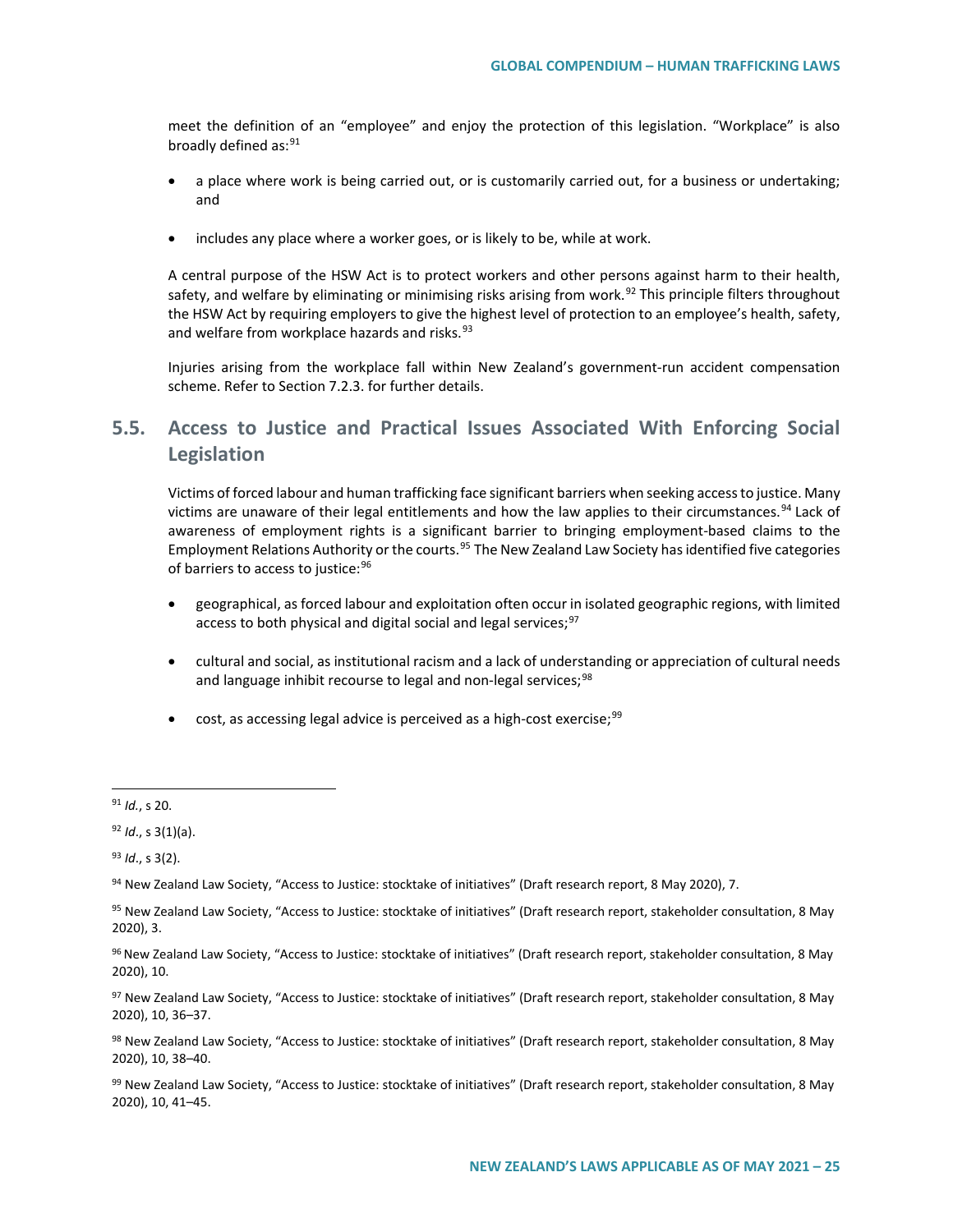meet the definition of an "employee" and enjoy the protection of this legislation. "Workplace" is also broadly defined as:<sup>[91](#page-24-0)</sup>

- a place where work is being carried out, or is customarily carried out, for a business or undertaking; and
- includes any place where a worker goes, or is likely to be, while at work.

A central purpose of the HSW Act is to protect workers and other persons against harm to their health, safety, and welfare by eliminating or minimising risks arising from work.<sup>[92](#page-24-1)</sup> This principle filters throughout the HSW Act by requiring employers to give the highest level of protection to an employee's health, safety, and welfare from workplace hazards and risks.<sup>[93](#page-24-2)</sup>

Injuries arising from the workplace fall within New Zealand's government-run accident compensation scheme. Refer to Section 7.2.3. for further details.

# **5.5. Access to Justice and Practical Issues Associated With Enforcing Social Legislation**

Victims of forced labour and human trafficking face significant barriers when seeking access to justice. Many victims are unaware of their legal entitlements and how the law applies to their circumstances.<sup>[94](#page-24-3)</sup> Lack of awareness of employment rights is a significant barrier to bringing employment-based claims to the Employment Relations Authority or the courts.<sup>[95](#page-24-4)</sup> The New Zealand Law Society has identified five categories of barriers to access to justice: [96](#page-24-5)

- geographical, as forced labour and exploitation often occur in isolated geographic regions, with limited access to both physical and digital social and legal services;<sup>[97](#page-24-6)</sup>
- cultural and social, as institutional racism and a lack of understanding or appreciation of cultural needs and language inhibit recourse to legal and non-legal services;<sup>[98](#page-24-7)</sup>
- $\bullet$  cost, as accessing legal advice is perceived as a high-cost exercise;  $99$

<span id="page-24-2"></span><sup>93</sup> *Id*., s 3(2).

<span id="page-24-8"></span>99 New Zealand Law Society, "Access to Justice: stocktake of initiatives" (Draft research report, stakeholder consultation, 8 May 2020), 10, 41–45.

<span id="page-24-0"></span> <sup>91</sup> *Id.*, s 20.

<span id="page-24-1"></span><sup>92</sup> *Id*., s 3(1)(a).

<span id="page-24-3"></span><sup>94</sup> New Zealand Law Society, "Access to Justice: stocktake of initiatives" (Draft research report, 8 May 2020), 7.

<span id="page-24-4"></span><sup>95</sup> New Zealand Law Society, "Access to Justice: stocktake of initiatives" (Draft research report, stakeholder consultation, 8 May 2020), 3.

<span id="page-24-5"></span><sup>96</sup> New Zealand Law Society, "Access to Justice: stocktake of initiatives" (Draft research report, stakeholder consultation, 8 May 2020), 10.

<span id="page-24-6"></span><sup>97</sup> New Zealand Law Society, "Access to Justice: stocktake of initiatives" (Draft research report, stakeholder consultation, 8 May 2020), 10, 36–37.

<span id="page-24-7"></span><sup>98</sup> New Zealand Law Society, "Access to Justice: stocktake of initiatives" (Draft research report, stakeholder consultation, 8 May 2020), 10, 38–40.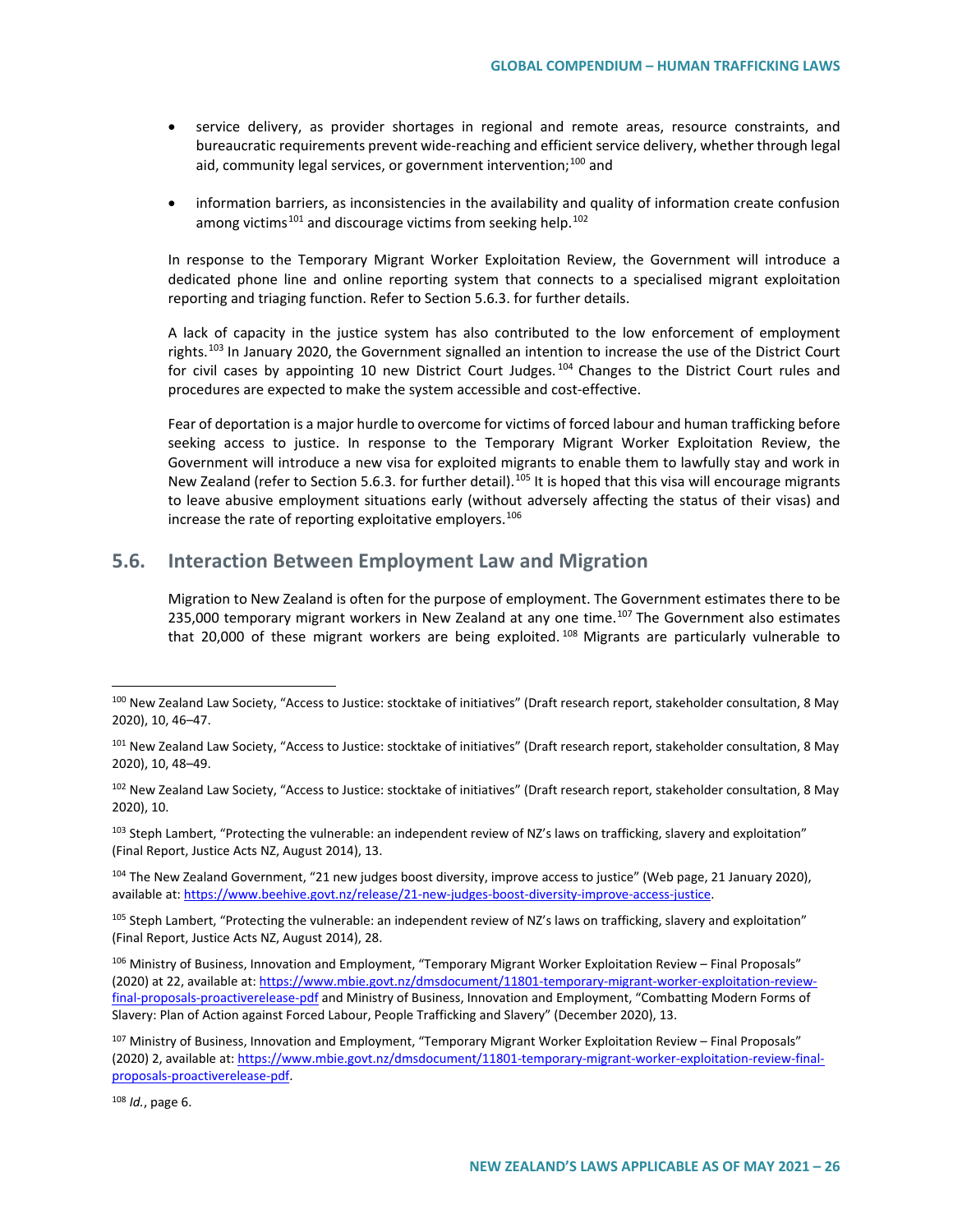- service delivery, as provider shortages in regional and remote areas, resource constraints, and bureaucratic requirements prevent wide-reaching and efficient service delivery, whether through legal aid, community legal services, or government intervention: [100](#page-25-0) and
- information barriers, as inconsistencies in the availability and quality of information create confusion among victims<sup>[101](#page-25-1)</sup> and discourage victims from seeking help.<sup>[102](#page-25-2)</sup>

In response to the Temporary Migrant Worker Exploitation Review, the Government will introduce a dedicated phone line and online reporting system that connects to a specialised migrant exploitation reporting and triaging function. Refer to Section 5.6.3. for further details.

A lack of capacity in the justice system has also contributed to the low enforcement of employment rights.<sup>[103](#page-25-3)</sup> In January 2020, the Government signalled an intention to increase the use of the District Court for civil cases by appointing 10 new District Court Judges.<sup>[104](#page-25-4)</sup> Changes to the District Court rules and procedures are expected to make the system accessible and cost-effective.

Fear of deportation is a major hurdle to overcome for victims of forced labour and human trafficking before seeking access to justice. In response to the Temporary Migrant Worker Exploitation Review, the Government will introduce a new visa for exploited migrants to enable them to lawfully stay and work in New Zealand (refer to Section 5.6.3. for further detail).<sup>[105](#page-25-5)</sup> It is hoped that this visa will encourage migrants to leave abusive employment situations early (without adversely affecting the status of their visas) and increase the rate of reporting exploitative employers.  $106$ 

# **5.6. Interaction Between Employment Law and Migration**

Migration to New Zealand is often for the purpose of employment. The Government estimates there to be 235,000 temporary migrant workers in New Zealand at any one time.<sup>[107](#page-25-7)</sup> The Government also estimates that 20,000 of these migrant workers are being exploited.<sup>[108](#page-25-8)</sup> Migrants are particularly vulnerable to

<span id="page-25-3"></span> $103$  Steph Lambert, "Protecting the vulnerable: an independent review of NZ's laws on trafficking, slavery and exploitation" (Final Report, Justice Acts NZ, August 2014), 13.

<span id="page-25-4"></span><sup>104</sup> The New Zealand Government, "21 new judges boost diversity, improve access to justice" (Web page, 21 January 2020), available at[: https://www.beehive.govt.nz/release/21-new-judges-boost-diversity-improve-access-justice.](https://www.beehive.govt.nz/release/21-new-judges-boost-diversity-improve-access-justice)

<span id="page-25-5"></span> $105$  Steph Lambert, "Protecting the vulnerable: an independent review of NZ's laws on trafficking, slavery and exploitation" (Final Report, Justice Acts NZ, August 2014), 28.

<span id="page-25-6"></span><sup>106</sup> Ministry of Business, Innovation and Employment, "Temporary Migrant Worker Exploitation Review – Final Proposals" (2020) at 22, available at[: https://www.mbie.govt.nz/dmsdocument/11801-temporary-migrant-worker-exploitation-review](https://www.mbie.govt.nz/dmsdocument/11801-temporary-migrant-worker-exploitation-review-final-proposals-proactiverelease-pdf)[final-proposals-proactiverelease-pdf](https://www.mbie.govt.nz/dmsdocument/11801-temporary-migrant-worker-exploitation-review-final-proposals-proactiverelease-pdf) and Ministry of Business, Innovation and Employment, "Combatting Modern Forms of Slavery: Plan of Action against Forced Labour, People Trafficking and Slavery" (December 2020), 13.

<span id="page-25-7"></span>107 Ministry of Business, Innovation and Employment, "Temporary Migrant Worker Exploitation Review – Final Proposals" (2020) 2, available at: [https://www.mbie.govt.nz/dmsdocument/11801-temporary-migrant-worker-exploitation-review-final](https://www.mbie.govt.nz/dmsdocument/11801-temporary-migrant-worker-exploitation-review-final-proposals-proactiverelease-pdf)[proposals-proactiverelease-pdf.](https://www.mbie.govt.nz/dmsdocument/11801-temporary-migrant-worker-exploitation-review-final-proposals-proactiverelease-pdf)

<span id="page-25-8"></span><sup>108</sup> *Id.*, page 6.

<span id="page-25-0"></span><sup>100</sup> New Zealand Law Society, "Access to Justice: stocktake of initiatives" (Draft research report, stakeholder consultation, 8 May 2020), 10, 46–47.

<span id="page-25-1"></span><sup>&</sup>lt;sup>101</sup> New Zealand Law Society, "Access to Justice: stocktake of initiatives" (Draft research report, stakeholder consultation, 8 May 2020), 10, 48–49.

<span id="page-25-2"></span><sup>&</sup>lt;sup>102</sup> New Zealand Law Society, "Access to Justice: stocktake of initiatives" (Draft research report, stakeholder consultation, 8 May 2020), 10.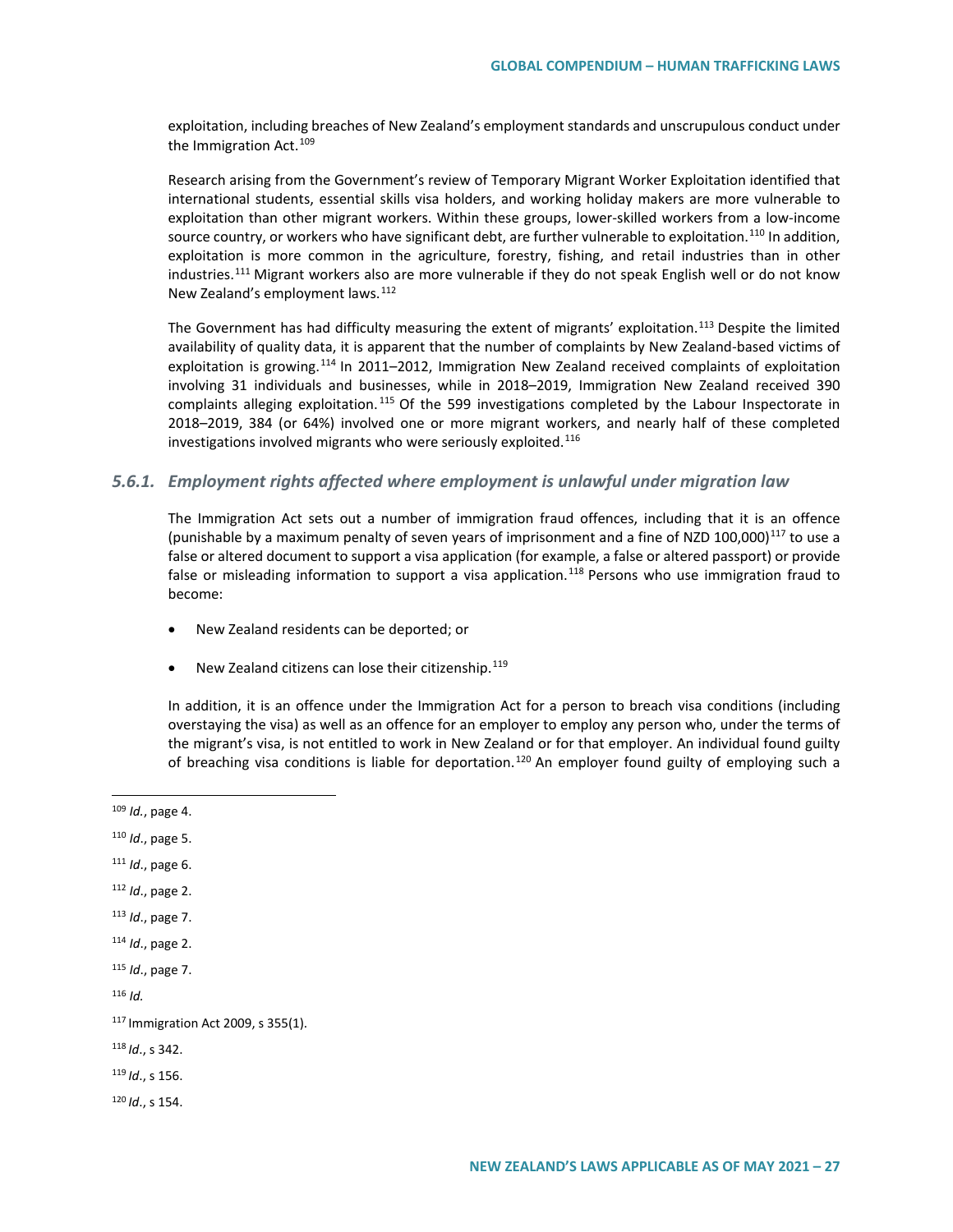exploitation, including breaches of New Zealand's employment standards and unscrupulous conduct under the Immigration Act.<sup>[109](#page-26-0)</sup>

Research arising from the Government's review of Temporary Migrant Worker Exploitation identified that international students, essential skills visa holders, and working holiday makers are more vulnerable to exploitation than other migrant workers. Within these groups, lower-skilled workers from a low-income source country, or workers who have significant debt, are further vulnerable to exploitation.<sup>[110](#page-26-1)</sup> In addition, exploitation is more common in the agriculture, forestry, fishing, and retail industries than in other industries.<sup>[111](#page-26-2)</sup> Migrant workers also are more vulnerable if they do not speak English well or do not know New Zealand's employment laws.<sup>[112](#page-26-3)</sup>

The Government has had difficulty measuring the extent of migrants' exploitation.<sup>[113](#page-26-4)</sup> Despite the limited availability of quality data, it is apparent that the number of complaints by New Zealand-based victims of exploitation is growing.<sup>[114](#page-26-5)</sup> In 2011–2012, Immigration New Zealand received complaints of exploitation involving 31 individuals and businesses, while in 2018–2019, Immigration New Zealand received 390 complaints alleging exploitation.<sup>[115](#page-26-6)</sup> Of the 599 investigations completed by the Labour Inspectorate in 2018–2019, 384 (or 64%) involved one or more migrant workers, and nearly half of these completed investigations involved migrants who were seriously exploited.<sup>[116](#page-26-7)</sup>

## *5.6.1. Employment rights affected where employment is unlawful under migration law*

The Immigration Act sets out a number of immigration fraud offences, including that it is an offence (punishable by a maximum penalty of seven years of imprisonment and a fine of NZD 100,000)<sup>[117](#page-26-8)</sup> to use a false or altered document to support a visa application (for example, a false or altered passport) or provide false or misleading information to support a visa application.<sup>[118](#page-26-9)</sup> Persons who use immigration fraud to become:

- New Zealand residents can be deported; or
- New Zealand citizens can lose their citizenship.<sup>[119](#page-26-10)</sup>

In addition, it is an offence under the Immigration Act for a person to breach visa conditions (including overstaying the visa) as well as an offence for an employer to employ any person who, under the terms of the migrant's visa, is not entitled to work in New Zealand or for that employer. An individual found guilty of breaching visa conditions is liable for deportation.<sup>[120](#page-26-11)</sup> An employer found guilty of employing such a

<span id="page-26-3"></span><sup>112</sup> *Id*., page 2.

<span id="page-26-5"></span><sup>114</sup> *Id*., page 2.

```
115 Id., page 7.
```
<span id="page-26-7"></span><sup>116</sup> *Id.*

- <span id="page-26-9"></span><sup>118</sup> *Id*., s 342.
- <span id="page-26-10"></span><sup>119</sup> *Id*., s 156.

<span id="page-26-11"></span><sup>120</sup> *Id*., s 154.

<span id="page-26-0"></span> <sup>109</sup> *Id.*, page 4.

<span id="page-26-1"></span><sup>110</sup> *Id*., page 5.

<span id="page-26-2"></span><sup>111</sup> *Id*., page 6.

<span id="page-26-4"></span><sup>113</sup> *Id*., page 7.

<span id="page-26-8"></span><sup>117</sup> Immigration Act 2009, s 355(1).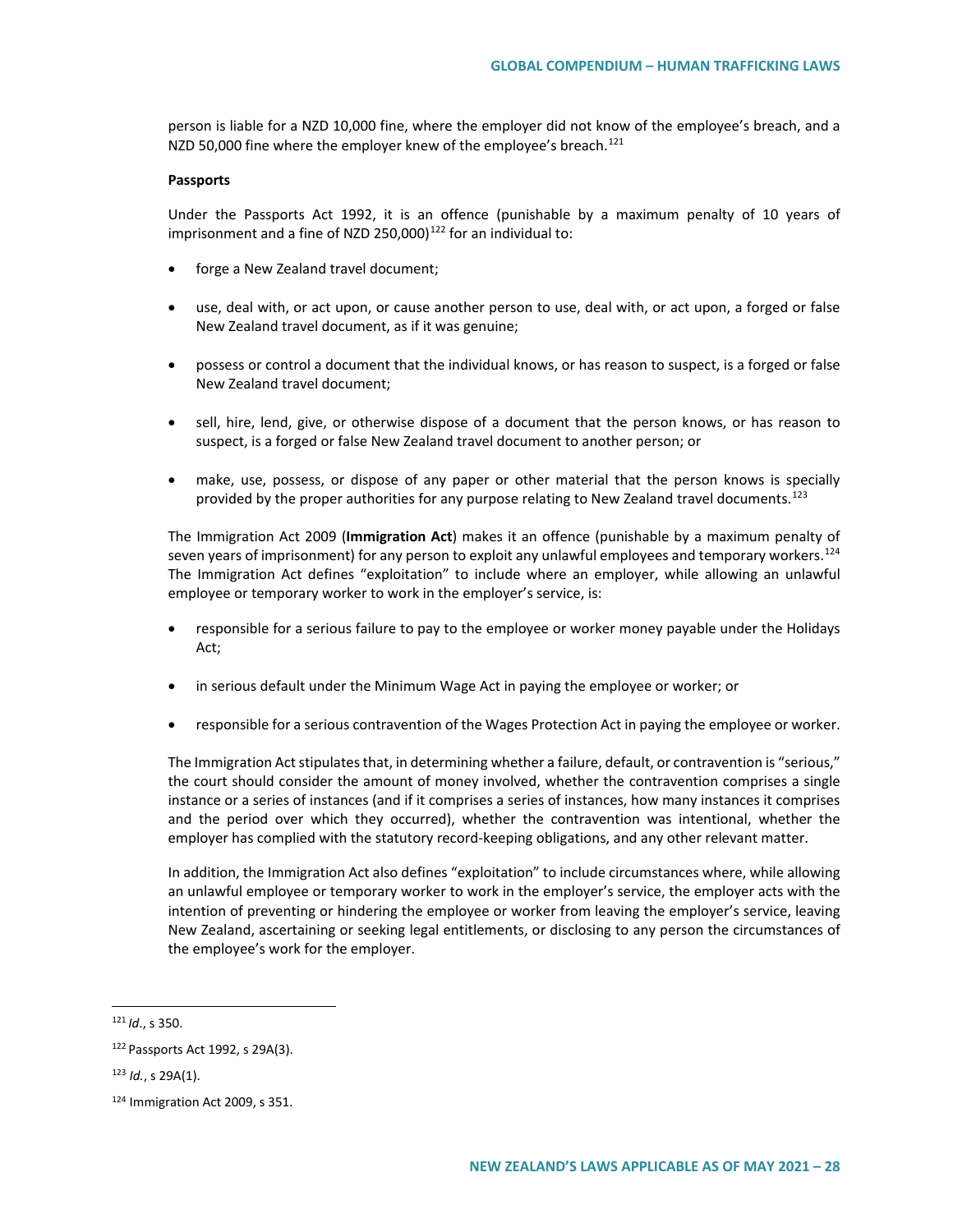person is liable for a NZD 10,000 fine, where the employer did not know of the employee's breach, and a NZD 50,000 fine where the employer knew of the employee's breach.<sup>[121](#page-27-0)</sup>

#### **Passports**

Under the Passports Act 1992, it is an offence (punishable by a maximum penalty of 10 years of imprisonment and a fine of NZD 250,000) $122$  for an individual to:

- forge a New Zealand travel document;
- use, deal with, or act upon, or cause another person to use, deal with, or act upon, a forged or false New Zealand travel document, as if it was genuine;
- possess or control a document that the individual knows, or has reason to suspect, is a forged or false New Zealand travel document;
- sell, hire, lend, give, or otherwise dispose of a document that the person knows, or has reason to suspect, is a forged or false New Zealand travel document to another person; or
- make, use, possess, or dispose of any paper or other material that the person knows is specially provided by the proper authorities for any purpose relating to New Zealand travel documents.<sup>[123](#page-27-2)</sup>

The Immigration Act 2009 (**Immigration Act**) makes it an offence (punishable by a maximum penalty of seven years of imprisonment) for any person to exploit any unlawful employees and temporary workers.<sup>[124](#page-27-3)</sup> The Immigration Act defines "exploitation" to include where an employer, while allowing an unlawful employee or temporary worker to work in the employer's service, is:

- responsible for a serious failure to pay to the employee or worker money payable under the Holidays Act;
- in serious default under the Minimum Wage Act in paying the employee or worker; or
- responsible for a serious contravention of the Wages Protection Act in paying the employee or worker.

The Immigration Act stipulates that, in determining whether a failure, default, or contravention is "serious," the court should consider the amount of money involved, whether the contravention comprises a single instance or a series of instances (and if it comprises a series of instances, how many instances it comprises and the period over which they occurred), whether the contravention was intentional, whether the employer has complied with the statutory record-keeping obligations, and any other relevant matter.

In addition, the Immigration Act also defines "exploitation" to include circumstances where, while allowing an unlawful employee or temporary worker to work in the employer's service, the employer acts with the intention of preventing or hindering the employee or worker from leaving the employer's service, leaving New Zealand, ascertaining or seeking legal entitlements, or disclosing to any person the circumstances of the employee's work for the employer.

<span id="page-27-0"></span> <sup>121</sup> *Id*., s 350.

<span id="page-27-1"></span><sup>122</sup> Passports Act 1992, s 29A(3).

<span id="page-27-2"></span><sup>123</sup> *Id.*, s 29A(1).

<span id="page-27-3"></span><sup>124</sup> Immigration Act 2009, s 351.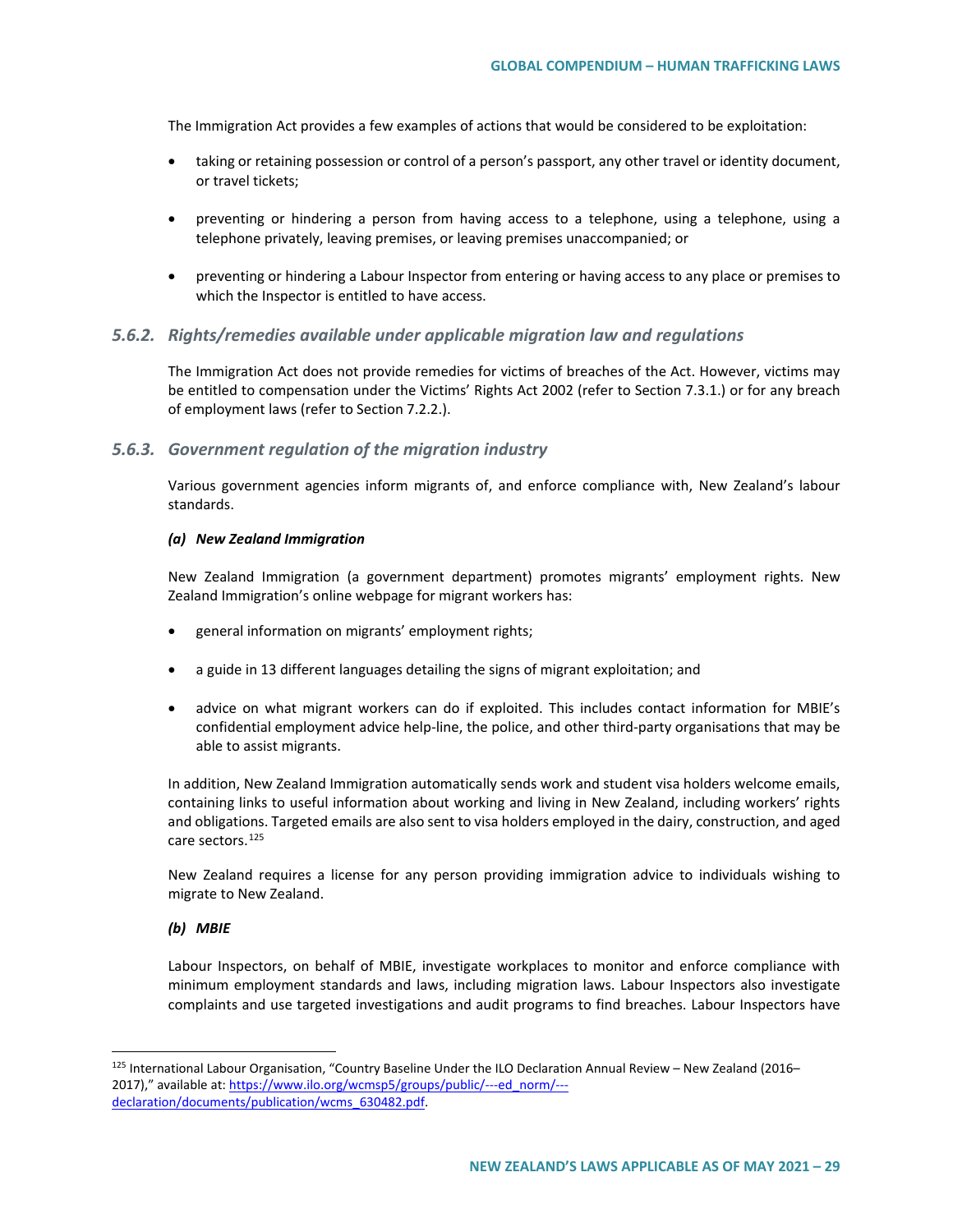The Immigration Act provides a few examples of actions that would be considered to be exploitation:

- taking or retaining possession or control of a person's passport, any other travel or identity document, or travel tickets;
- preventing or hindering a person from having access to a telephone, using a telephone, using a telephone privately, leaving premises, or leaving premises unaccompanied; or
- preventing or hindering a Labour Inspector from entering or having access to any place or premises to which the Inspector is entitled to have access.

#### *5.6.2. Rights/remedies available under applicable migration law and regulations*

The Immigration Act does not provide remedies for victims of breaches of the Act. However, victims may be entitled to compensation under the Victims' Rights Act 2002 (refer to Section 7.3.1.) or for any breach of employment laws (refer to Section 7.2.2.).

#### *5.6.3. Government regulation of the migration industry*

Various government agencies inform migrants of, and enforce compliance with, New Zealand's labour standards.

#### *(a) New Zealand Immigration*

New Zealand Immigration (a government department) promotes migrants' employment rights. New Zealand Immigration's online webpage for migrant workers has:

- general information on migrants' employment rights;
- a guide in 13 different languages detailing the signs of migrant exploitation; and
- advice on what migrant workers can do if exploited. This includes contact information for MBIE's confidential employment advice help-line, the police, and other third-party organisations that may be able to assist migrants.

In addition, New Zealand Immigration automatically sends work and student visa holders welcome emails, containing links to useful information about working and living in New Zealand, including workers' rights and obligations. Targeted emails are also sent to visa holders employed in the dairy, construction, and aged care sectors.<sup>[125](#page-28-0)</sup>

New Zealand requires a license for any person providing immigration advice to individuals wishing to migrate to New Zealand.

#### *(b) MBIE*

Labour Inspectors, on behalf of MBIE, investigate workplaces to monitor and enforce compliance with minimum employment standards and laws, including migration laws. Labour Inspectors also investigate complaints and use targeted investigations and audit programs to find breaches. Labour Inspectors have

<span id="page-28-0"></span> <sup>125</sup> International Labour Organisation, "Country Baseline Under the ILO Declaration Annual Review – New Zealand (2016– 2017)," available at[: https://www.ilo.org/wcmsp5/groups/public/---ed\\_norm/--](https://www.ilo.org/wcmsp5/groups/public/---ed_norm/---declaration/documents/publication/wcms_630482.pdf) [declaration/documents/publication/wcms\\_630482.pdf.](https://www.ilo.org/wcmsp5/groups/public/---ed_norm/---declaration/documents/publication/wcms_630482.pdf)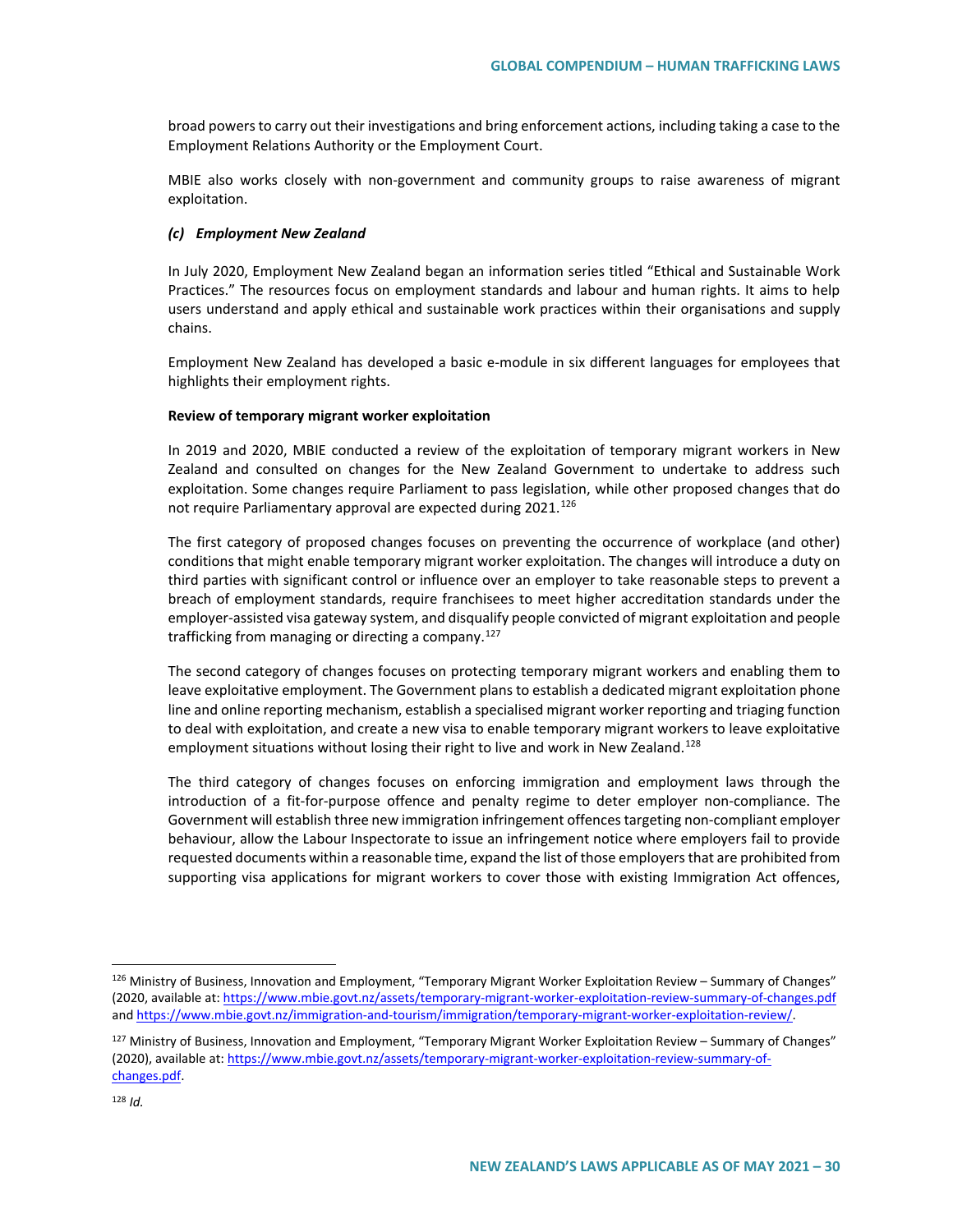broad powers to carry out their investigations and bring enforcement actions, including taking a case to the Employment Relations Authority or the Employment Court.

MBIE also works closely with non-government and community groups to raise awareness of migrant exploitation.

#### *(c) Employment New Zealand*

In July 2020, Employment New Zealand began an information series titled "Ethical and Sustainable Work Practices." The resources focus on employment standards and labour and human rights. It aims to help users understand and apply ethical and sustainable work practices within their organisations and supply chains.

Employment New Zealand has developed a basic e-module in six different languages for employees that highlights their employment rights.

#### **Review of temporary migrant worker exploitation**

In 2019 and 2020, MBIE conducted a review of the exploitation of temporary migrant workers in New Zealand and consulted on changes for the New Zealand Government to undertake to address such exploitation. Some changes require Parliament to pass legislation, while other proposed changes that do not require Parliamentary approval are expected during 2021.<sup>[126](#page-29-0)</sup>

The first category of proposed changes focuses on preventing the occurrence of workplace (and other) conditions that might enable temporary migrant worker exploitation. The changes will introduce a duty on third parties with significant control or influence over an employer to take reasonable steps to prevent a breach of employment standards, require franchisees to meet higher accreditation standards under the employer-assisted visa gateway system, and disqualify people convicted of migrant exploitation and people trafficking from managing or directing a company.<sup>[127](#page-29-1)</sup>

The second category of changes focuses on protecting temporary migrant workers and enabling them to leave exploitative employment. The Government plans to establish a dedicated migrant exploitation phone line and online reporting mechanism, establish a specialised migrant worker reporting and triaging function to deal with exploitation, and create a new visa to enable temporary migrant workers to leave exploitative employment situations without losing their right to live and work in New Zealand.<sup>[128](#page-29-2)</sup>

The third category of changes focuses on enforcing immigration and employment laws through the introduction of a fit-for-purpose offence and penalty regime to deter employer non-compliance. The Government will establish three new immigration infringement offences targeting non-compliant employer behaviour, allow the Labour Inspectorate to issue an infringement notice where employers fail to provide requested documents within a reasonable time, expand the list of those employers that are prohibited from supporting visa applications for migrant workers to cover those with existing Immigration Act offences,

<span id="page-29-0"></span><sup>126</sup> Ministry of Business, Innovation and Employment, "Temporary Migrant Worker Exploitation Review - Summary of Changes" (2020, available at[: https://www.mbie.govt.nz/assets/temporary-migrant-worker-exploitation-review-summary-of-changes.pdf](https://www.mbie.govt.nz/assets/temporary-migrant-worker-exploitation-review-summary-of-changes.pdf) and [https://www.mbie.govt.nz/immigration-and-tourism/immigration/temporary-migrant-worker-exploitation-review/.](https://www.mbie.govt.nz/immigration-and-tourism/immigration/temporary-migrant-worker-exploitation-review/)

<span id="page-29-2"></span><span id="page-29-1"></span><sup>&</sup>lt;sup>127</sup> Ministry of Business, Innovation and Employment, "Temporary Migrant Worker Exploitation Review - Summary of Changes" (2020), available at[: https://www.mbie.govt.nz/assets/temporary-migrant-worker-exploitation-review-summary-of](https://www.mbie.govt.nz/assets/temporary-migrant-worker-exploitation-review-summary-of-changes.pdf)[changes.pdf.](https://www.mbie.govt.nz/assets/temporary-migrant-worker-exploitation-review-summary-of-changes.pdf)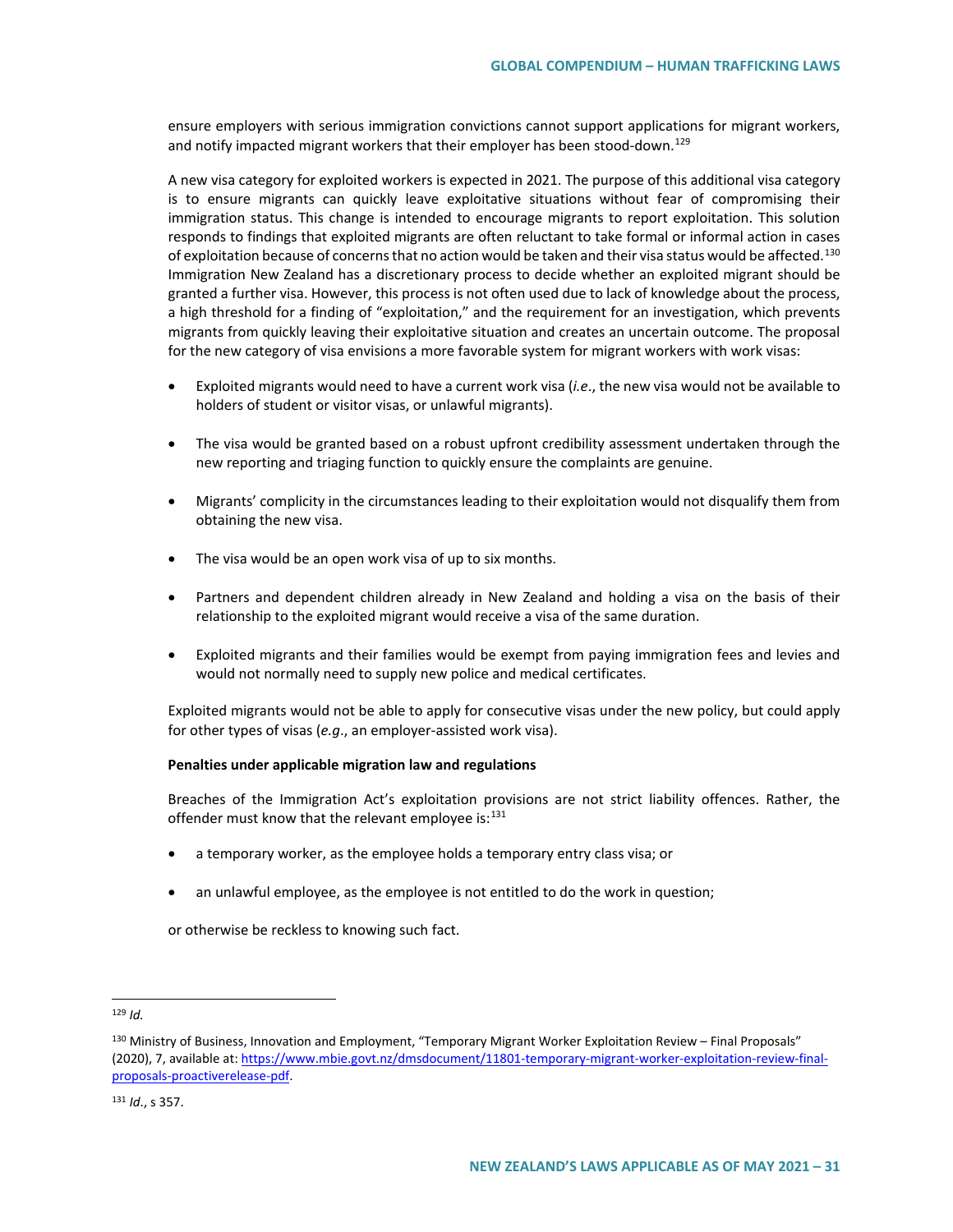ensure employers with serious immigration convictions cannot support applications for migrant workers, and notify impacted migrant workers that their employer has been stood-down.<sup>[129](#page-30-0)</sup>

A new visa category for exploited workers is expected in 2021. The purpose of this additional visa category is to ensure migrants can quickly leave exploitative situations without fear of compromising their immigration status. This change is intended to encourage migrants to report exploitation. This solution responds to findings that exploited migrants are often reluctant to take formal or informal action in cases of exploitation because of concerns that no action would be taken and their visa status would be affected.<sup>[130](#page-30-1)</sup> Immigration New Zealand has a discretionary process to decide whether an exploited migrant should be granted a further visa. However, this process is not often used due to lack of knowledge about the process, a high threshold for a finding of "exploitation," and the requirement for an investigation, which prevents migrants from quickly leaving their exploitative situation and creates an uncertain outcome. The proposal for the new category of visa envisions a more favorable system for migrant workers with work visas:

- Exploited migrants would need to have a current work visa (*i.e*., the new visa would not be available to holders of student or visitor visas, or unlawful migrants).
- The visa would be granted based on a robust upfront credibility assessment undertaken through the new reporting and triaging function to quickly ensure the complaints are genuine.
- Migrants' complicity in the circumstances leading to their exploitation would not disqualify them from obtaining the new visa.
- The visa would be an open work visa of up to six months.
- Partners and dependent children already in New Zealand and holding a visa on the basis of their relationship to the exploited migrant would receive a visa of the same duration.
- Exploited migrants and their families would be exempt from paying immigration fees and levies and would not normally need to supply new police and medical certificates.

Exploited migrants would not be able to apply for consecutive visas under the new policy, but could apply for other types of visas (*e.g*., an employer-assisted work visa).

#### **Penalties under applicable migration law and regulations**

Breaches of the Immigration Act's exploitation provisions are not strict liability offences. Rather, the offender must know that the relevant employee is: $131$ 

- a temporary worker, as the employee holds a temporary entry class visa; or
- an unlawful employee, as the employee is not entitled to do the work in question;

or otherwise be reckless to knowing such fact.

<span id="page-30-0"></span>129 *Id.*

<span id="page-30-1"></span><sup>130</sup> Ministry of Business, Innovation and Employment, "Temporary Migrant Worker Exploitation Review – Final Proposals" (2020), 7, available at[: https://www.mbie.govt.nz/dmsdocument/11801-temporary-migrant-worker-exploitation-review-final](https://www.mbie.govt.nz/dmsdocument/11801-temporary-migrant-worker-exploitation-review-final-proposals-proactiverelease-pdf)[proposals-proactiverelease-pdf.](https://www.mbie.govt.nz/dmsdocument/11801-temporary-migrant-worker-exploitation-review-final-proposals-proactiverelease-pdf)

<span id="page-30-2"></span><sup>131</sup> *Id*., s 357.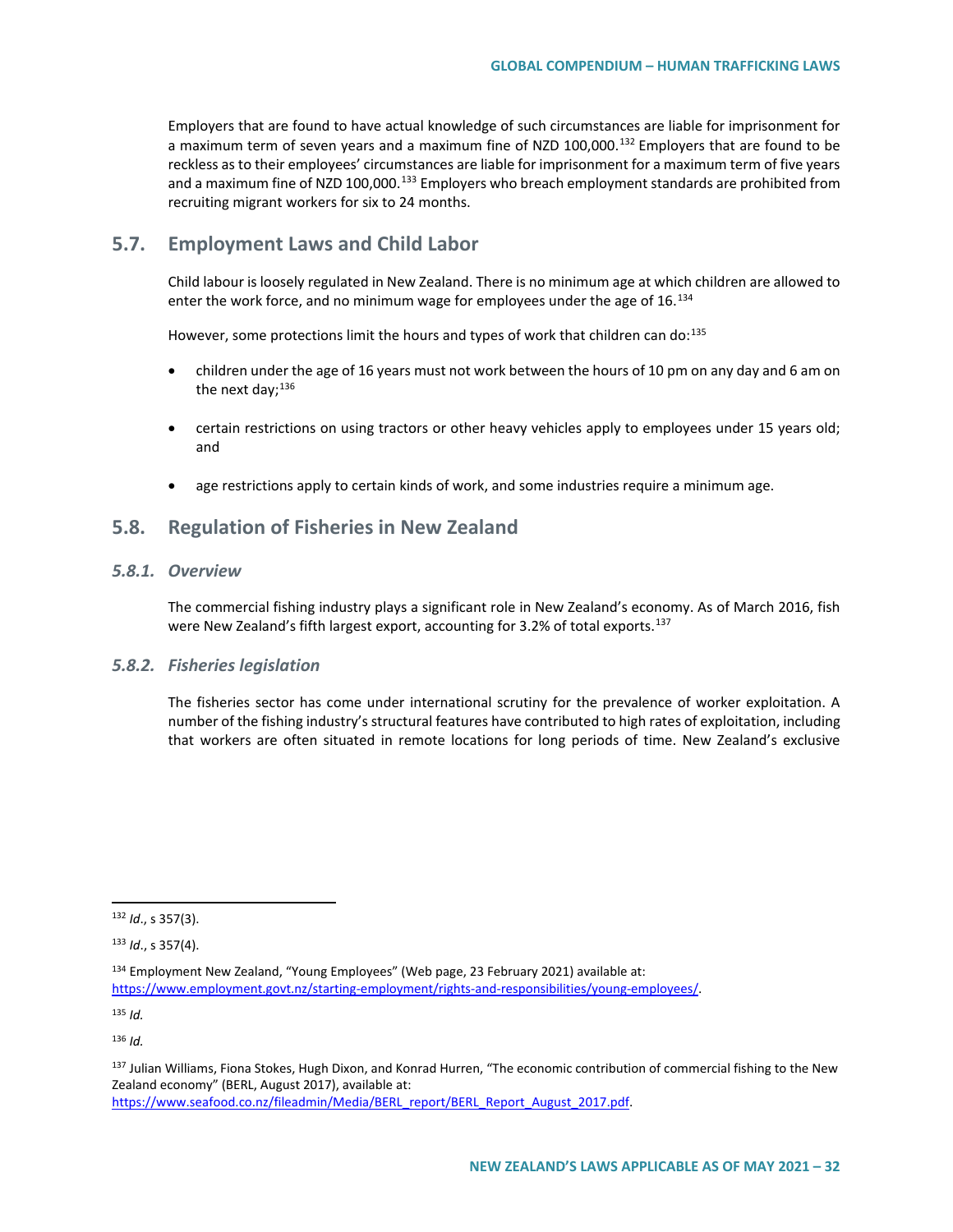Employers that are found to have actual knowledge of such circumstances are liable for imprisonment for a maximum term of seven years and a maximum fine of NZD 100,000.<sup>[132](#page-31-0)</sup> Employers that are found to be reckless as to their employees' circumstances are liable for imprisonment for a maximum term of five years and a maximum fine of NZD 100,000. $^{133}$  $^{133}$  $^{133}$  Employers who breach employment standards are prohibited from recruiting migrant workers for six to 24 months.

# **5.7. Employment Laws and Child Labor**

Child labour is loosely regulated in New Zealand. There is no minimum age at which children are allowed to enter the work force, and no minimum wage for employees under the age of 16.<sup>134</sup>

However, some protections limit the hours and types of work that children can do:<sup>[135](#page-31-3)</sup>

- children under the age of 16 years must not work between the hours of 10 pm on any day and 6 am on the next day; $^{136}$  $^{136}$  $^{136}$
- certain restrictions on using tractors or other heavy vehicles apply to employees under 15 years old; and
- age restrictions apply to certain kinds of work, and some industries require a minimum age.

## **5.8. Regulation of Fisheries in New Zealand**

#### *5.8.1. Overview*

The commercial fishing industry plays a significant role in New Zealand's economy. As of March 2016, fish were New Zealand's fifth largest export, accounting for 3.2% of total exports.<sup>[137](#page-31-5)</sup>

## *5.8.2. Fisheries legislation*

The fisheries sector has come under international scrutiny for the prevalence of worker exploitation. A number of the fishing industry's structural features have contributed to high rates of exploitation, including that workers are often situated in remote locations for long periods of time. New Zealand's exclusive

<span id="page-31-3"></span><sup>135</sup> *Id.*

<span id="page-31-4"></span><sup>136</sup> *Id.*

<span id="page-31-0"></span> <sup>132</sup> *Id*., s 357(3).

<span id="page-31-1"></span><sup>133</sup> *Id*., s 357(4).

<span id="page-31-2"></span><sup>134</sup> Employment New Zealand, "Young Employees" (Web page, 23 February 2021) available at: [https://www.employment.govt.nz/starting-employment/rights-and-responsibilities/young-employees/.](https://www.employment.govt.nz/starting-employment/rights-and-responsibilities/young-employees/)

<span id="page-31-5"></span><sup>137</sup> Julian Williams, Fiona Stokes, Hugh Dixon, and Konrad Hurren, "The economic contribution of commercial fishing to the New Zealand economy" (BERL, August 2017), available at:

[https://www.seafood.co.nz/fileadmin/Media/BERL\\_report/BERL\\_Report\\_August\\_2017.pdf.](https://www.seafood.co.nz/fileadmin/Media/BERL_report/BERL_Report_August_2017.pdf)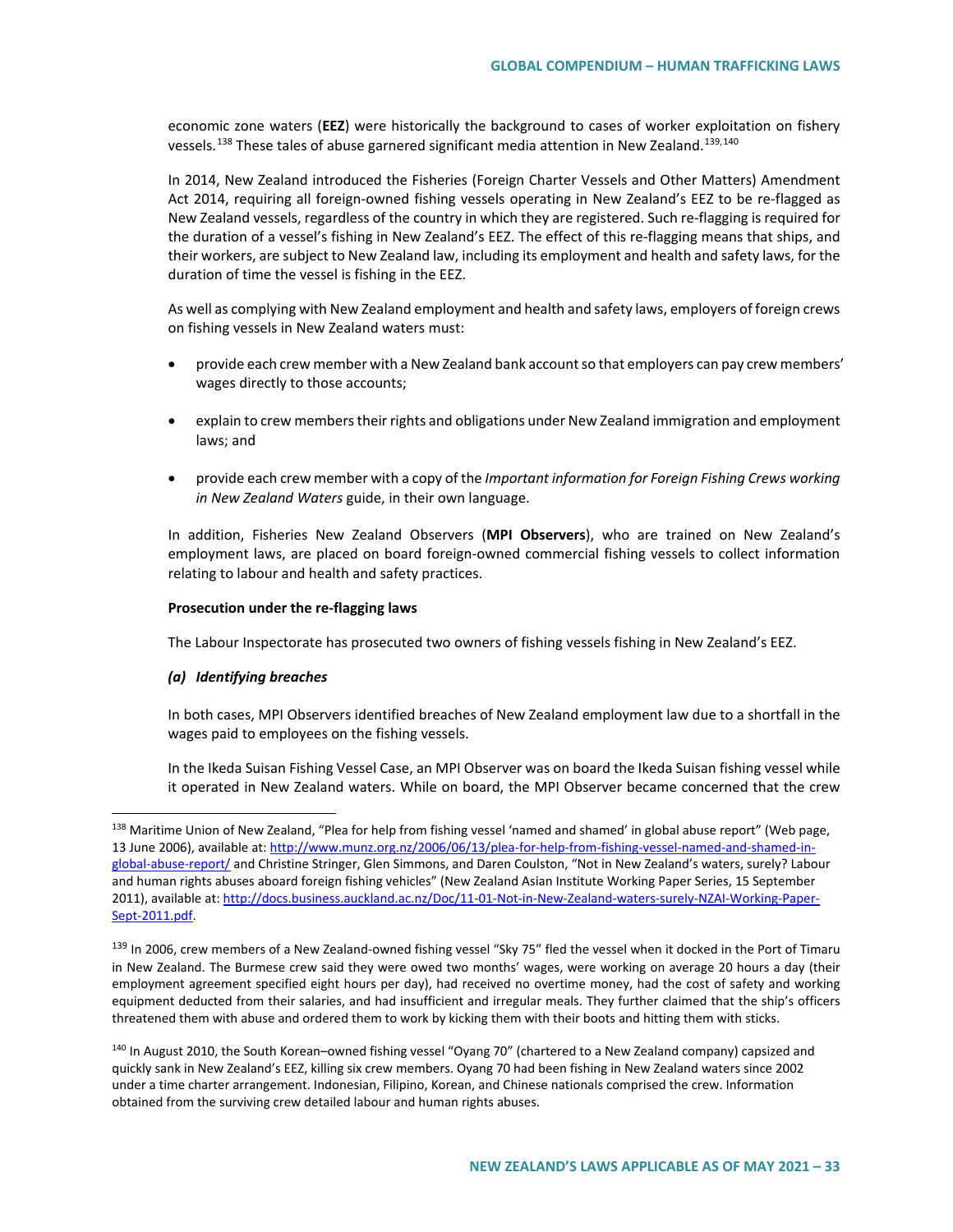economic zone waters (**EEZ**) were historically the background to cases of worker exploitation on fishery vessels.<sup>[138](#page-32-0)</sup> These tales of abuse garnered significant media attention in New Zealand.<sup>[139,](#page-32-1)[140](#page-32-2)</sup>

In 2014, New Zealand introduced the Fisheries (Foreign Charter Vessels and Other Matters) Amendment Act 2014, requiring all foreign-owned fishing vessels operating in New Zealand's EEZ to be re-flagged as New Zealand vessels, regardless of the country in which they are registered. Such re-flagging is required for the duration of a vessel's fishing in New Zealand's EEZ. The effect of this re-flagging means that ships, and their workers, are subject to New Zealand law, including its employment and health and safety laws, for the duration of time the vessel is fishing in the EEZ.

As well as complying with New Zealand employment and health and safety laws, employers of foreign crews on fishing vessels in New Zealand waters must:

- provide each crew member with a New Zealand bank account so that employers can pay crew members' wages directly to those accounts;
- explain to crew members their rights and obligations under New Zealand immigration and employment laws; and
- provide each crew member with a copy of the *Important information for Foreign Fishing Crews working in New Zealand Waters* guide, in their own language.

In addition, Fisheries New Zealand Observers (**MPI Observers**), who are trained on New Zealand's employment laws, are placed on board foreign-owned commercial fishing vessels to collect information relating to labour and health and safety practices.

#### **Prosecution under the re-flagging laws**

The Labour Inspectorate has prosecuted two owners of fishing vessels fishing in New Zealand's EEZ.

#### *(a) Identifying breaches*

In both cases, MPI Observers identified breaches of New Zealand employment law due to a shortfall in the wages paid to employees on the fishing vessels.

In the Ikeda Suisan Fishing Vessel Case, an MPI Observer was on board the Ikeda Suisan fishing vessel while it operated in New Zealand waters. While on board, the MPI Observer became concerned that the crew

<span id="page-32-0"></span><sup>&</sup>lt;sup>138</sup> Maritime Union of New Zealand, "Plea for help from fishing vessel 'named and shamed' in global abuse report" (Web page, 13 June 2006), available at[: http://www.munz.org.nz/2006/06/13/plea-for-help-from-fishing-vessel-named-and-shamed-in](http://www.munz.org.nz/2006/06/13/plea-for-help-from-fishing-vessel-named-and-shamed-in-global-abuse-report/)[global-abuse-report/](http://www.munz.org.nz/2006/06/13/plea-for-help-from-fishing-vessel-named-and-shamed-in-global-abuse-report/) and Christine Stringer, Glen Simmons, and Daren Coulston, "Not in New Zealand's waters, surely? Labour and human rights abuses aboard foreign fishing vehicles" (New Zealand Asian Institute Working Paper Series, 15 September 2011), available at[: http://docs.business.auckland.ac.nz/Doc/11-01-Not-in-New-Zealand-waters-surely-NZAI-Working-Paper-](http://docs.business.auckland.ac.nz/Doc/11-01-Not-in-New-Zealand-waters-surely-NZAI-Working-Paper-Sept-2011.pdf)[Sept-2011.pdf.](http://docs.business.auckland.ac.nz/Doc/11-01-Not-in-New-Zealand-waters-surely-NZAI-Working-Paper-Sept-2011.pdf)

<span id="page-32-1"></span><sup>&</sup>lt;sup>139</sup> In 2006, crew members of a New Zealand-owned fishing vessel "Sky 75" fled the vessel when it docked in the Port of Timaru in New Zealand. The Burmese crew said they were owed two months' wages, were working on average 20 hours a day (their employment agreement specified eight hours per day), had received no overtime money, had the cost of safety and working equipment deducted from their salaries, and had insufficient and irregular meals. They further claimed that the ship's officers threatened them with abuse and ordered them to work by kicking them with their boots and hitting them with sticks.

<span id="page-32-2"></span><sup>&</sup>lt;sup>140</sup> In August 2010, the South Korean–owned fishing vessel "Oyang 70" (chartered to a New Zealand company) capsized and quickly sank in New Zealand's EEZ, killing six crew members. Oyang 70 had been fishing in New Zealand waters since 2002 under a time charter arrangement. Indonesian, Filipino, Korean, and Chinese nationals comprised the crew. Information obtained from the surviving crew detailed labour and human rights abuses.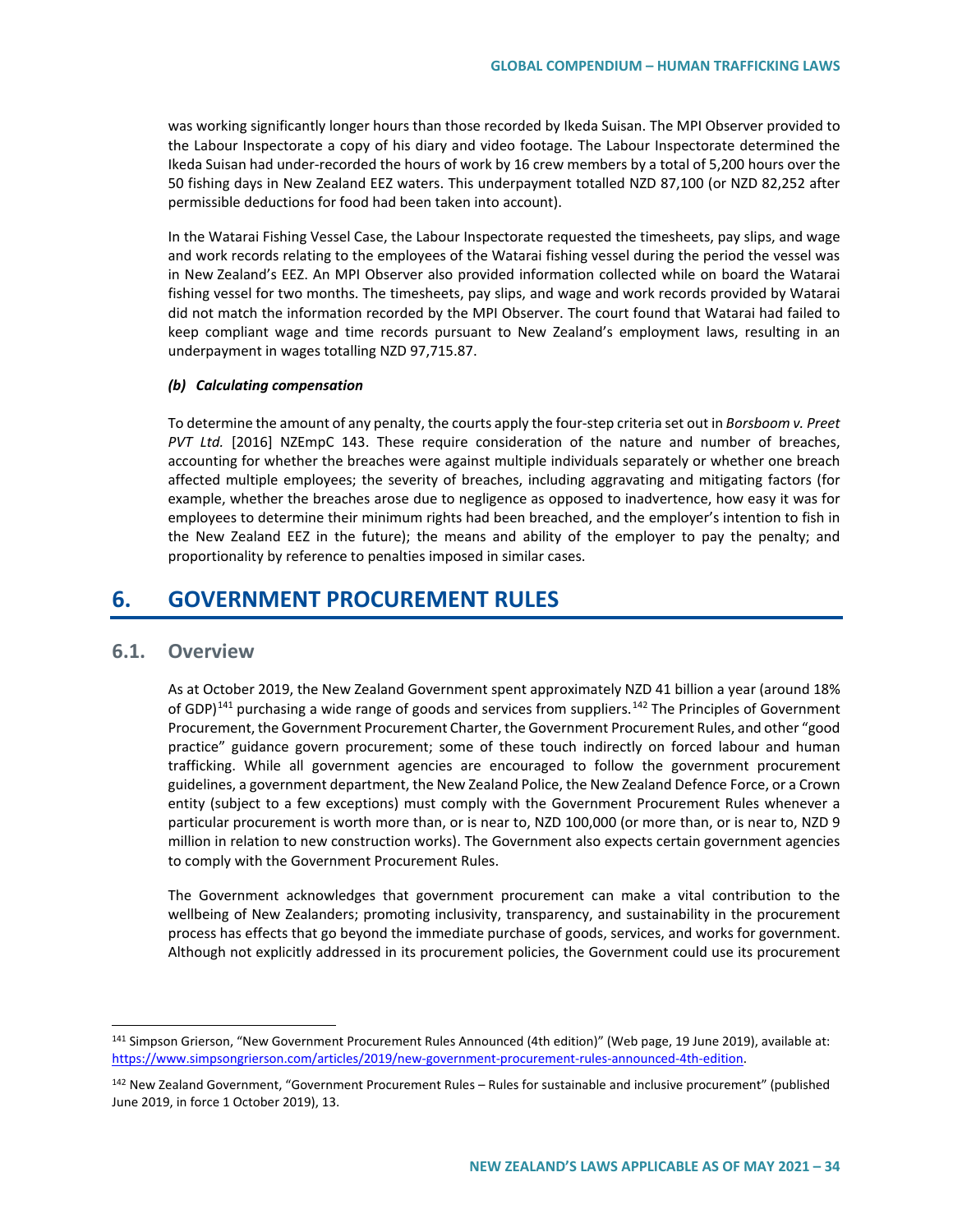was working significantly longer hours than those recorded by Ikeda Suisan. The MPI Observer provided to the Labour Inspectorate a copy of his diary and video footage. The Labour Inspectorate determined the Ikeda Suisan had under-recorded the hours of work by 16 crew members by a total of 5,200 hours over the 50 fishing days in New Zealand EEZ waters. This underpayment totalled NZD 87,100 (or NZD 82,252 after permissible deductions for food had been taken into account).

In the Watarai Fishing Vessel Case, the Labour Inspectorate requested the timesheets, pay slips, and wage and work records relating to the employees of the Watarai fishing vessel during the period the vessel was in New Zealand's EEZ. An MPI Observer also provided information collected while on board the Watarai fishing vessel for two months. The timesheets, pay slips, and wage and work records provided by Watarai did not match the information recorded by the MPI Observer. The court found that Watarai had failed to keep compliant wage and time records pursuant to New Zealand's employment laws, resulting in an underpayment in wages totalling NZD 97,715.87.

#### *(b) Calculating compensation*

To determine the amount of any penalty, the courts apply the four-step criteria set out in *Borsboom v. Preet PVT Ltd.* [2016] NZEmpC 143. These require consideration of the nature and number of breaches, accounting for whether the breaches were against multiple individuals separately or whether one breach affected multiple employees; the severity of breaches, including aggravating and mitigating factors (for example, whether the breaches arose due to negligence as opposed to inadvertence, how easy it was for employees to determine their minimum rights had been breached, and the employer's intention to fish in the New Zealand EEZ in the future); the means and ability of the employer to pay the penalty; and proportionality by reference to penalties imposed in similar cases.

# **6. GOVERNMENT PROCUREMENT RULES**

## **6.1. Overview**

As at October 2019, the New Zealand Government spent approximately NZD 41 billion a year (around 18% of GDP)<sup>[141](#page-33-0)</sup> purchasing a wide range of goods and services from suppliers.<sup>[142](#page-33-1)</sup> The Principles of Government Procurement, the Government Procurement Charter, the Government Procurement Rules, and other "good practice" guidance govern procurement; some of these touch indirectly on forced labour and human trafficking. While all government agencies are encouraged to follow the government procurement guidelines, a government department, the New Zealand Police, the New Zealand Defence Force, or a Crown entity (subject to a few exceptions) must comply with the Government Procurement Rules whenever a particular procurement is worth more than, or is near to, NZD 100,000 (or more than, or is near to, NZD 9 million in relation to new construction works). The Government also expects certain government agencies to comply with the Government Procurement Rules.

The Government acknowledges that government procurement can make a vital contribution to the wellbeing of New Zealanders; promoting inclusivity, transparency, and sustainability in the procurement process has effects that go beyond the immediate purchase of goods, services, and works for government. Although not explicitly addressed in its procurement policies, the Government could use its procurement

<span id="page-33-0"></span> <sup>141</sup> Simpson Grierson, "New Government Procurement Rules Announced (4th edition)" (Web page, 19 June 2019), available at: [https://www.simpsongrierson.com/articles/2019/new-government-procurement-rules-announced-4th-edition.](https://www.simpsongrierson.com/articles/2019/new-government-procurement-rules-announced-4th-edition)

<span id="page-33-1"></span><sup>&</sup>lt;sup>142</sup> New Zealand Government, "Government Procurement Rules – Rules for sustainable and inclusive procurement" (published June 2019, in force 1 October 2019), 13.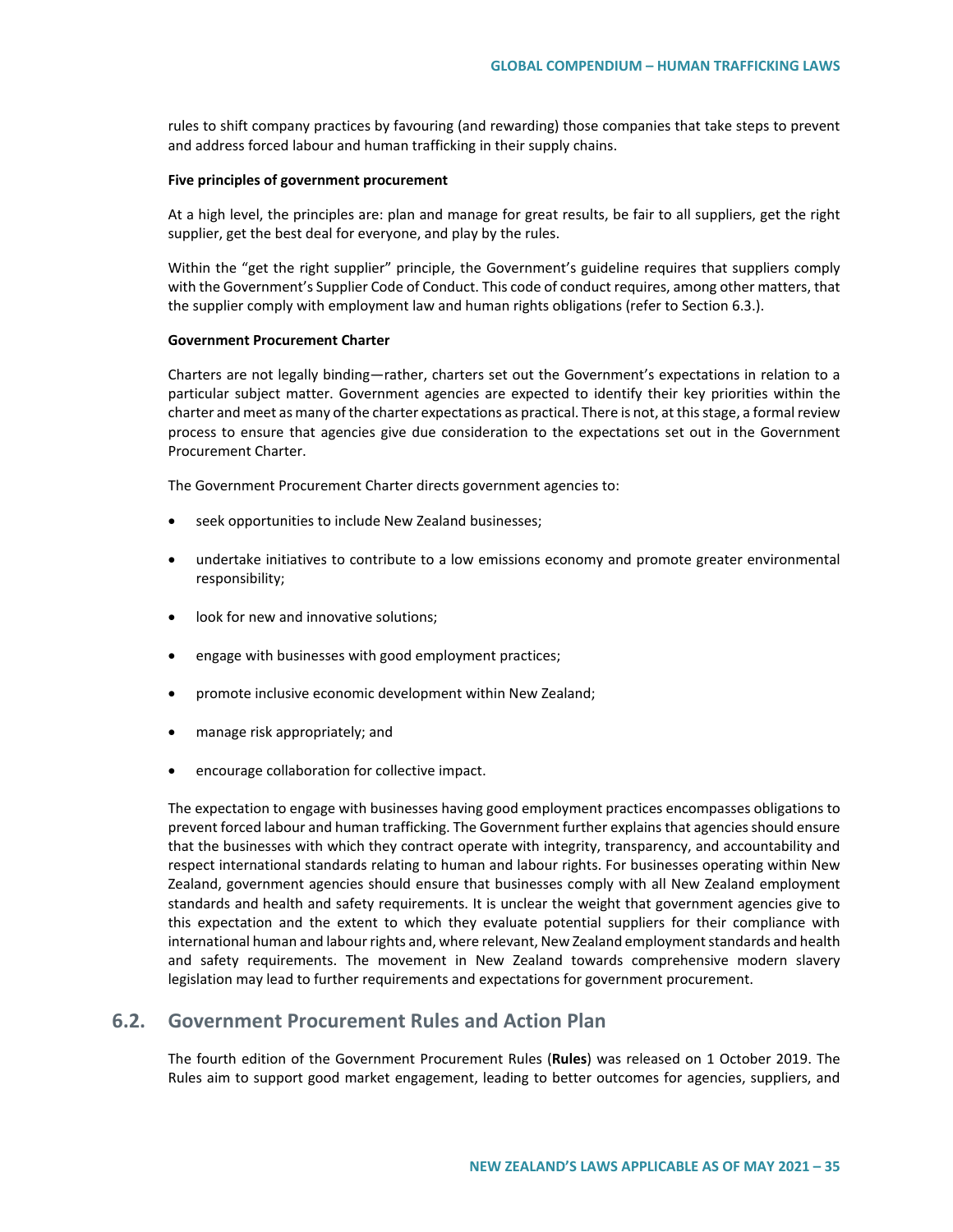rules to shift company practices by favouring (and rewarding) those companies that take steps to prevent and address forced labour and human trafficking in their supply chains.

#### **Five principles of government procurement**

At a high level, the principles are: plan and manage for great results, be fair to all suppliers, get the right supplier, get the best deal for everyone, and play by the rules.

Within the "get the right supplier" principle, the Government's guideline requires that suppliers comply with the Government's Supplier Code of Conduct. This code of conduct requires, among other matters, that the supplier comply with employment law and human rights obligations (refer to Section 6.3.).

#### **Government Procurement Charter**

Charters are not legally binding—rather, charters set out the Government's expectations in relation to a particular subject matter. Government agencies are expected to identify their key priorities within the charter and meet as many of the charter expectations as practical. There is not, at this stage, a formal review process to ensure that agencies give due consideration to the expectations set out in the Government Procurement Charter.

The Government Procurement Charter directs government agencies to:

- seek opportunities to include New Zealand businesses;
- undertake initiatives to contribute to a low emissions economy and promote greater environmental responsibility;
- look for new and innovative solutions;
- engage with businesses with good employment practices;
- promote inclusive economic development within New Zealand;
- manage risk appropriately; and
- encourage collaboration for collective impact.

The expectation to engage with businesses having good employment practices encompasses obligations to prevent forced labour and human trafficking. The Government further explains that agencies should ensure that the businesses with which they contract operate with integrity, transparency, and accountability and respect international standards relating to human and labour rights. For businesses operating within New Zealand, government agencies should ensure that businesses comply with all New Zealand employment standards and health and safety requirements. It is unclear the weight that government agencies give to this expectation and the extent to which they evaluate potential suppliers for their compliance with international human and labour rights and, where relevant, New Zealand employment standards and health and safety requirements. The movement in New Zealand towards comprehensive modern slavery legislation may lead to further requirements and expectations for government procurement.

# **6.2. Government Procurement Rules and Action Plan**

The fourth edition of the Government Procurement Rules (**Rules**) was released on 1 October 2019. The Rules aim to support good market engagement, leading to better outcomes for agencies, suppliers, and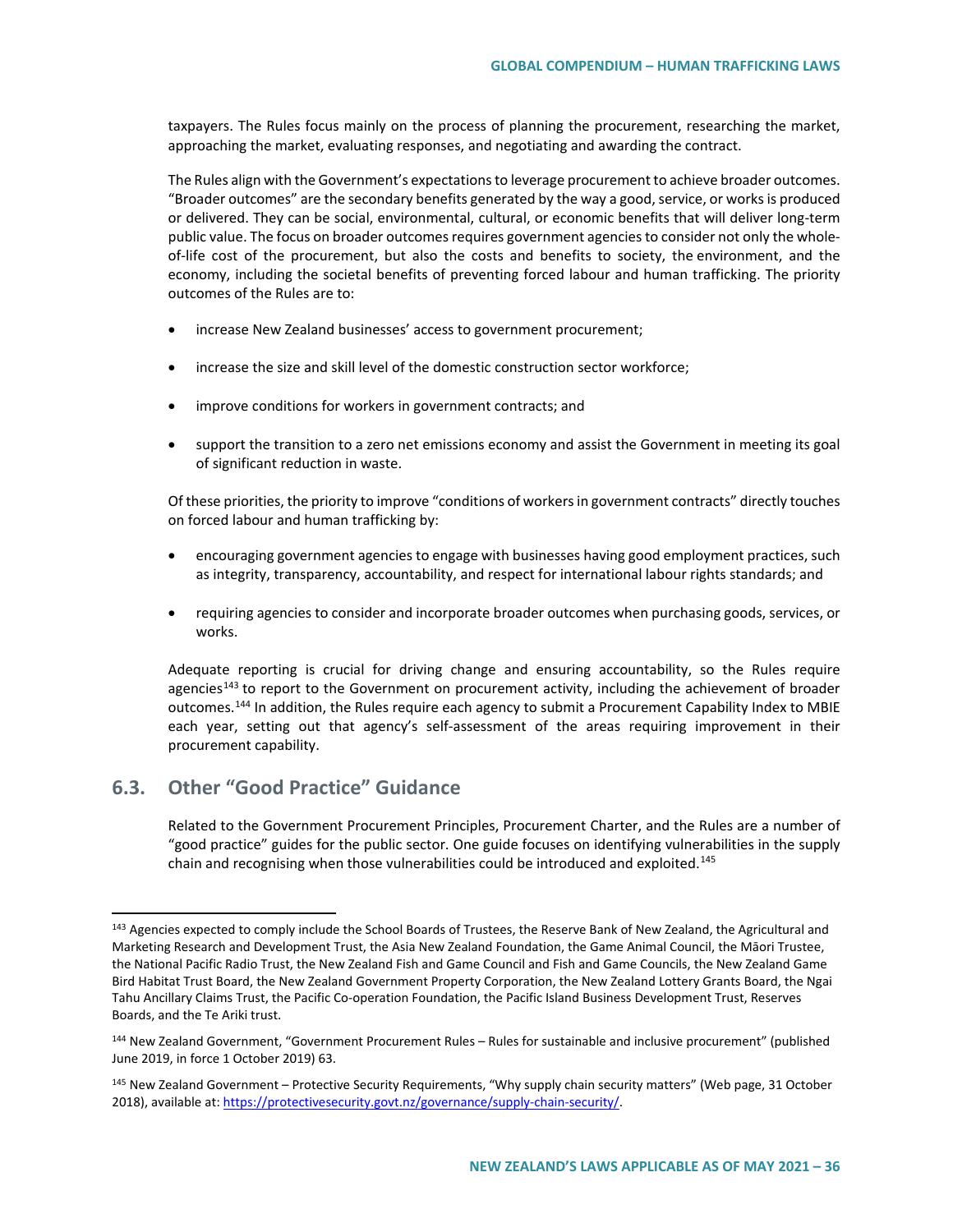taxpayers. The Rules focus mainly on the process of planning the procurement, researching the market, approaching the market, evaluating responses, and negotiating and awarding the contract.

The Rules align with the Government's expectations to leverage procurement to achieve broader outcomes. "Broader outcomes" are the secondary benefits generated by the way a good, service, or worksis produced or delivered. They can be social, environmental, cultural, or economic benefits that will deliver long-term public value. The focus on broader outcomes requires government agencies to consider not only the wholeof-life cost of the procurement, but also the costs and benefits to society, the environment, and the economy, including the societal benefits of preventing forced labour and human trafficking. The priority outcomes of the Rules are to:

- increase New Zealand businesses' access to government procurement;
- increase the size and skill level of the domestic construction sector workforce;
- improve conditions for workers in government contracts; and
- support the transition to a zero net emissions economy and assist the Government in meeting its goal of significant reduction in waste.

Of these priorities, the priority to improve "conditions of workers in government contracts" directly touches on forced labour and human trafficking by:

- encouraging government agencies to engage with businesses having good employment practices, such as integrity, transparency, accountability, and respect for international labour rights standards; and
- requiring agencies to consider and incorporate broader outcomes when purchasing goods, services, or works.

Adequate reporting is crucial for driving change and ensuring accountability, so the Rules require agencies<sup>[143](#page-35-0)</sup> to report to the Government on procurement activity, including the achievement of broader outcomes.<sup>[144](#page-35-1)</sup> In addition, the Rules require each agency to submit a Procurement Capability Index to MBIE each year, setting out that agency's self-assessment of the areas requiring improvement in their procurement capability.

# **6.3. Other "Good Practice" Guidance**

Related to the Government Procurement Principles, Procurement Charter, and the Rules are a number of "good practice" guides for the public sector. One guide focuses on identifying vulnerabilities in the supply chain and recognising when those vulnerabilities could be introduced and exploited.<sup>[145](#page-35-2)</sup>

<span id="page-35-0"></span><sup>&</sup>lt;sup>143</sup> Agencies expected to comply include the School Boards of Trustees, the Reserve Bank of New Zealand, the Agricultural and Marketing Research and Development Trust, the Asia New Zealand Foundation, the Game Animal Council, the Māori Trustee, the National Pacific Radio Trust, the New Zealand Fish and Game Council and Fish and Game Councils, the New Zealand Game Bird Habitat Trust Board, the New Zealand Government Property Corporation, the New Zealand Lottery Grants Board, the Ngai Tahu Ancillary Claims Trust, the Pacific Co-operation Foundation, the Pacific Island Business Development Trust, Reserves Boards, and the Te Ariki trust.

<span id="page-35-1"></span><sup>144</sup> New Zealand Government, "Government Procurement Rules – Rules for sustainable and inclusive procurement" (published June 2019, in force 1 October 2019) 63.

<span id="page-35-2"></span><sup>&</sup>lt;sup>145</sup> New Zealand Government – Protective Security Requirements, "Why supply chain security matters" (Web page, 31 October 2018), available at[: https://protectivesecurity.govt.nz/governance/supply-chain-security/.](https://protectivesecurity.govt.nz/governance/supply-chain-security/)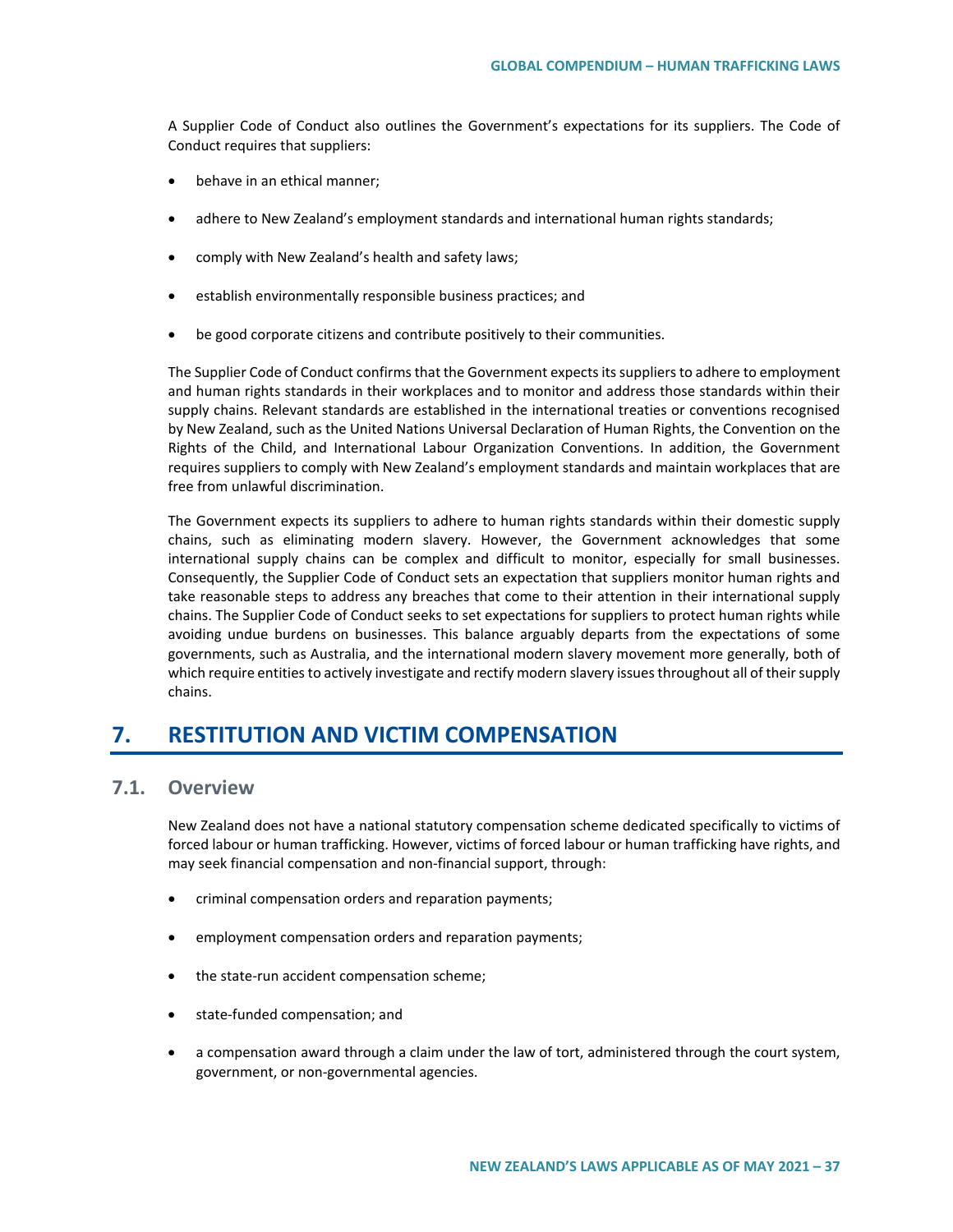A Supplier Code of Conduct also outlines the Government's expectations for its suppliers. The Code of Conduct requires that suppliers:

- behave in an ethical manner;
- adhere to New Zealand's employment standards and international human rights standards;
- comply with New Zealand's health and safety laws;
- establish environmentally responsible business practices; and
- be good corporate citizens and contribute positively to their communities.

The Supplier Code of Conduct confirms that the Government expects its suppliers to adhere to employment and human rights standards in their workplaces and to monitor and address those standards within their supply chains. Relevant standards are established in the international treaties or conventions recognised by New Zealand, such as the United Nations Universal Declaration of Human Rights, the Convention on the Rights of the Child, and International Labour Organization Conventions. In addition, the Government requires suppliers to comply with New Zealand's employment standards and maintain workplaces that are free from unlawful discrimination.

The Government expects its suppliers to adhere to human rights standards within their domestic supply chains, such as eliminating modern slavery. However, the Government acknowledges that some international supply chains can be complex and difficult to monitor, especially for small businesses. Consequently, the Supplier Code of Conduct sets an expectation that suppliers monitor human rights and take reasonable steps to address any breaches that come to their attention in their international supply chains. The Supplier Code of Conduct seeks to set expectations for suppliers to protect human rights while avoiding undue burdens on businesses. This balance arguably departs from the expectations of some governments, such as Australia, and the international modern slavery movement more generally, both of which require entities to actively investigate and rectify modern slavery issues throughout all of their supply chains.

# **7. RESTITUTION AND VICTIM COMPENSATION**

# **7.1. Overview**

New Zealand does not have a national statutory compensation scheme dedicated specifically to victims of forced labour or human trafficking. However, victims of forced labour or human trafficking have rights, and may seek financial compensation and non-financial support, through:

- criminal compensation orders and reparation payments;
- employment compensation orders and reparation payments;
- the state-run accident compensation scheme;
- state-funded compensation; and
- a compensation award through a claim under the law of tort, administered through the court system, government, or non-governmental agencies.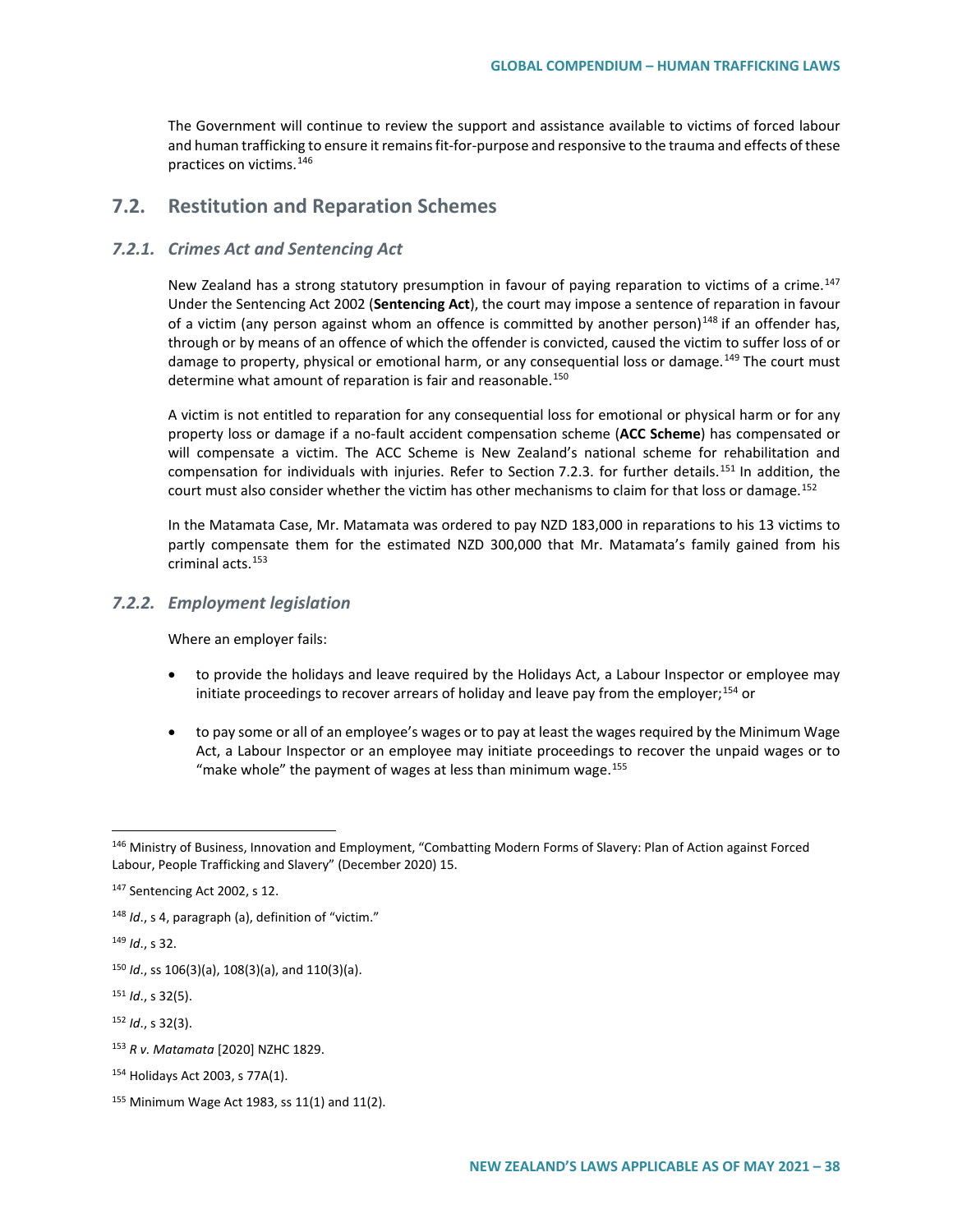The Government will continue to review the support and assistance available to victims of forced labour and human trafficking to ensure it remains fit-for-purpose and responsive to the trauma and effects of these practices on victims.[146](#page-37-0)

# **7.2. Restitution and Reparation Schemes**

### *7.2.1. Crimes Act and Sentencing Act*

New Zealand has a strong statutory presumption in favour of paying reparation to victims of a crime.<sup>[147](#page-37-1)</sup> Under the Sentencing Act 2002 (**Sentencing Act**), the court may impose a sentence of reparation in favour of a victim (any person against whom an offence is committed by another person) $148$  if an offender has, through or by means of an offence of which the offender is convicted, caused the victim to suffer loss of or damage to property, physical or emotional harm, or any consequential loss or damage.<sup>[149](#page-37-3)</sup> The court must determine what amount of reparation is fair and reasonable.<sup>[150](#page-37-4)</sup>

A victim is not entitled to reparation for any consequential loss for emotional or physical harm or for any property loss or damage if a no-fault accident compensation scheme (**ACC Scheme**) has compensated or will compensate a victim. The ACC Scheme is New Zealand's national scheme for rehabilitation and compensation for individuals with injuries. Refer to Section 7.2.3. for further details.<sup>[151](#page-37-5)</sup> In addition, the court must also consider whether the victim has other mechanisms to claim for that loss or damage.<sup>[152](#page-37-6)</sup>

In the Matamata Case, Mr. Matamata was ordered to pay NZD 183,000 in reparations to his 13 victims to partly compensate them for the estimated NZD 300,000 that Mr. Matamata's family gained from his criminal acts.[153](#page-37-7)

### *7.2.2. Employment legislation*

Where an employer fails:

- to provide the holidays and leave required by the Holidays Act, a Labour Inspector or employee may initiate proceedings to recover arrears of holiday and leave pay from the employer;[154](#page-37-8) or
- to pay some or all of an employee's wages or to pay at least the wages required by the Minimum Wage Act, a Labour Inspector or an employee may initiate proceedings to recover the unpaid wages or to "make whole" the payment of wages at less than minimum wage.<sup>[155](#page-37-9)</sup>

<span id="page-37-3"></span><sup>149</sup> *Id*., s 32.

<span id="page-37-5"></span><sup>151</sup> *Id*., s 32(5).

<span id="page-37-6"></span><sup>152</sup> *Id*., s 32(3).

<span id="page-37-0"></span> <sup>146</sup> Ministry of Business, Innovation and Employment, "Combatting Modern Forms of Slavery: Plan of Action against Forced Labour, People Trafficking and Slavery" (December 2020) 15.

<span id="page-37-1"></span><sup>147</sup> Sentencing Act 2002, s 12.

<span id="page-37-2"></span><sup>148</sup> *Id.*, s 4, paragraph (a), definition of "victim."

<span id="page-37-4"></span><sup>150</sup> *Id*., ss 106(3)(a), 108(3)(a), and 110(3)(a).

<span id="page-37-7"></span><sup>153</sup> *R v. Matamata* [2020] NZHC 1829.

<span id="page-37-8"></span><sup>154</sup> Holidays Act 2003, s 77A(1).

<span id="page-37-9"></span><sup>155</sup> Minimum Wage Act 1983, ss 11(1) and 11(2).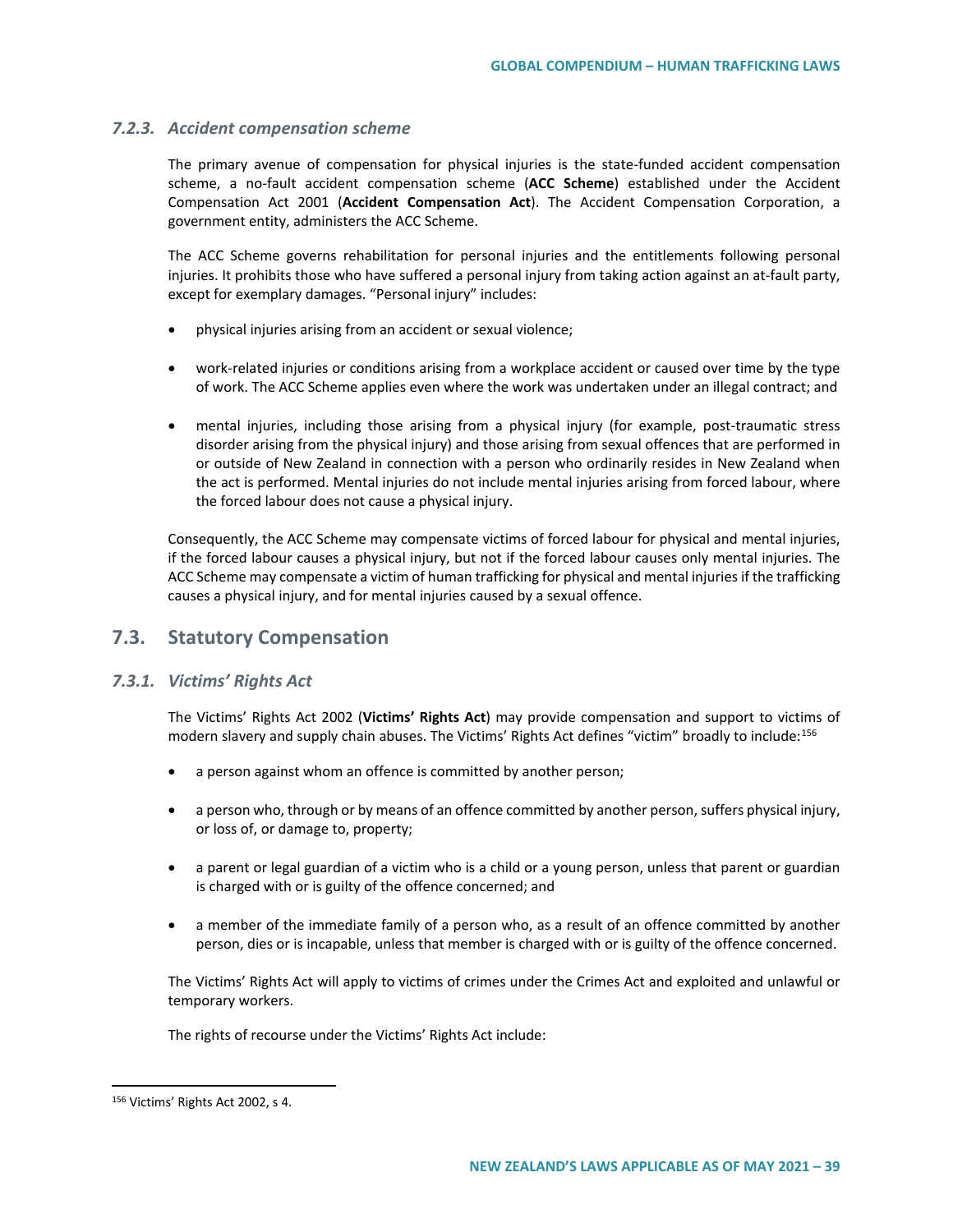### *7.2.3. Accident compensation scheme*

The primary avenue of compensation for physical injuries is the state-funded accident compensation scheme, a no-fault accident compensation scheme (**ACC Scheme**) established under the Accident Compensation Act 2001 (**Accident Compensation Act**). The Accident Compensation Corporation, a government entity, administers the ACC Scheme.

The ACC Scheme governs rehabilitation for personal injuries and the entitlements following personal injuries. It prohibits those who have suffered a personal injury from taking action against an at-fault party, except for exemplary damages. "Personal injury" includes:

- physical injuries arising from an accident or sexual violence;
- work-related injuries or conditions arising from a workplace accident or caused over time by the type of work. The ACC Scheme applies even where the work was undertaken under an illegal contract; and
- mental injuries, including those arising from a physical injury (for example, post-traumatic stress disorder arising from the physical injury) and those arising from sexual offences that are performed in or outside of New Zealand in connection with a person who ordinarily resides in New Zealand when the act is performed. Mental injuries do not include mental injuries arising from forced labour, where the forced labour does not cause a physical injury.

Consequently, the ACC Scheme may compensate victims of forced labour for physical and mental injuries, if the forced labour causes a physical injury, but not if the forced labour causes only mental injuries. The ACC Scheme may compensate a victim of human trafficking for physical and mental injuries if the trafficking causes a physical injury, and for mental injuries caused by a sexual offence.

## **7.3. Statutory Compensation**

## *7.3.1. Victims' Rights Act*

The Victims' Rights Act 2002 (**Victims' Rights Act**) may provide compensation and support to victims of modern slavery and supply chain abuses. The Victims' Rights Act defines "victim" broadly to include:<sup>[156](#page-38-0)</sup>

- a person against whom an offence is committed by another person;
- a person who, through or by means of an offence committed by another person, suffers physical injury, or loss of, or damage to, property;
- a parent or legal guardian of a victim who is a child or a young person, unless that parent or guardian is charged with or is guilty of the offence concerned; and
- a member of the immediate family of a person who, as a result of an offence committed by another person, dies or is incapable, unless that member is charged with or is guilty of the offence concerned.

The Victims' Rights Act will apply to victims of crimes under the Crimes Act and exploited and unlawful or temporary workers.

The rights of recourse under the Victims' Rights Act include:

<span id="page-38-0"></span> <sup>156</sup> Victims' Rights Act 2002, s 4.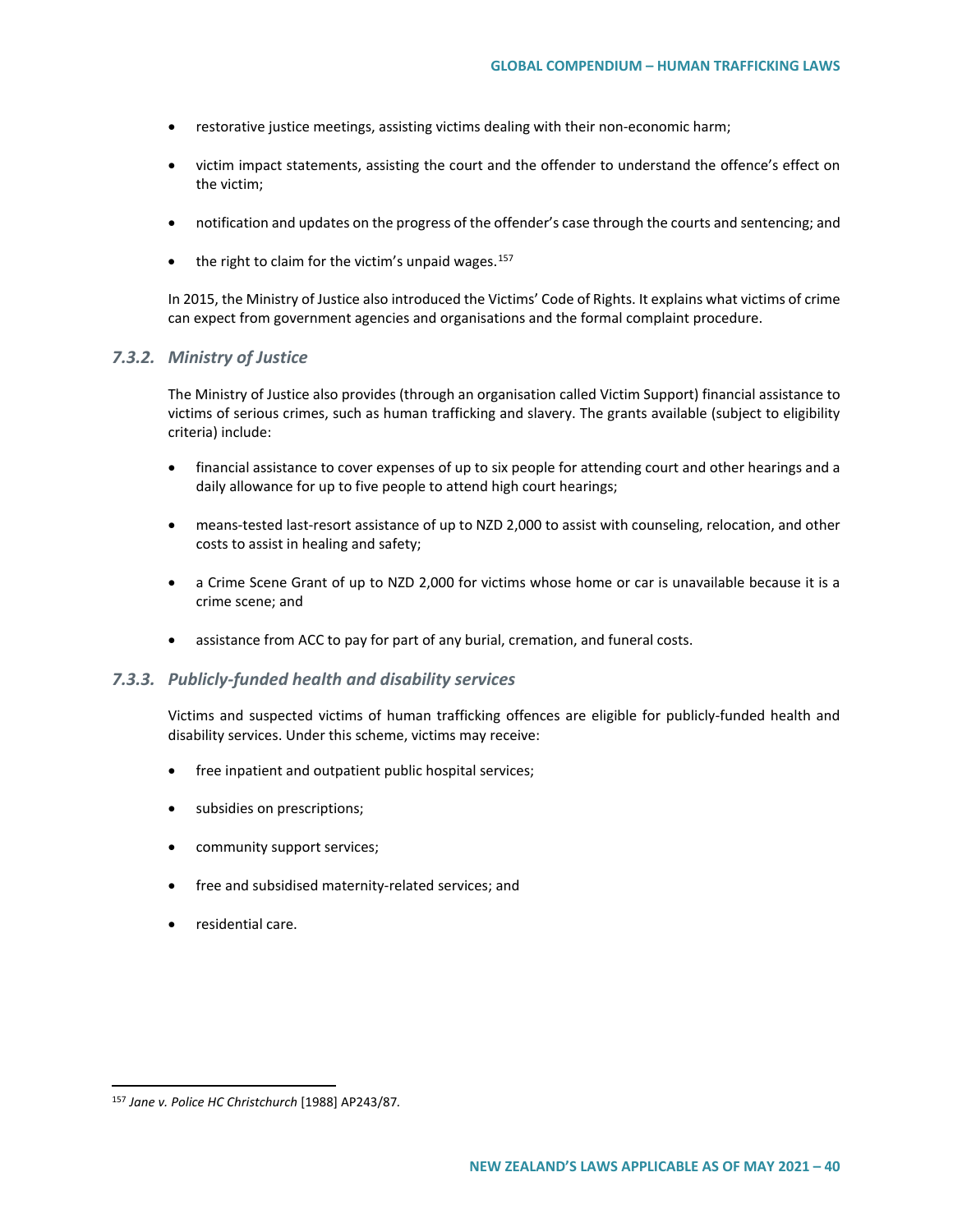- restorative justice meetings, assisting victims dealing with their non-economic harm;
- victim impact statements, assisting the court and the offender to understand the offence's effect on the victim;
- notification and updates on the progress of the offender's case through the courts and sentencing; and
- the right to claim for the victim's unpaid wages.<sup>[157](#page-39-0)</sup>

In 2015, the Ministry of Justice also introduced the Victims' Code of Rights. It explains what victims of crime can expect from government agencies and organisations and the formal complaint procedure.

## *7.3.2. Ministry of Justice*

The Ministry of Justice also provides (through an organisation called Victim Support) financial assistance to victims of serious crimes, such as human trafficking and slavery. The grants available (subject to eligibility criteria) include:

- financial assistance to cover expenses of up to six people for attending court and other hearings and a daily allowance for up to five people to attend high court hearings;
- means-tested last-resort assistance of up to NZD 2,000 to assist with counseling, relocation, and other costs to assist in healing and safety;
- a Crime Scene Grant of up to NZD 2,000 for victims whose home or car is unavailable because it is a crime scene; and
- assistance from ACC to pay for part of any burial, cremation, and funeral costs.

#### *7.3.3. Publicly-funded health and disability services*

Victims and suspected victims of human trafficking offences are eligible for publicly-funded health and disability services. Under this scheme, victims may receive:

- free inpatient and outpatient public hospital services;
- subsidies on prescriptions;
- community support services;
- free and subsidised maternity-related services; and
- residential care.

<span id="page-39-0"></span> <sup>157</sup> *Jane v. Police HC Christchurch* [1988] AP243/87*.*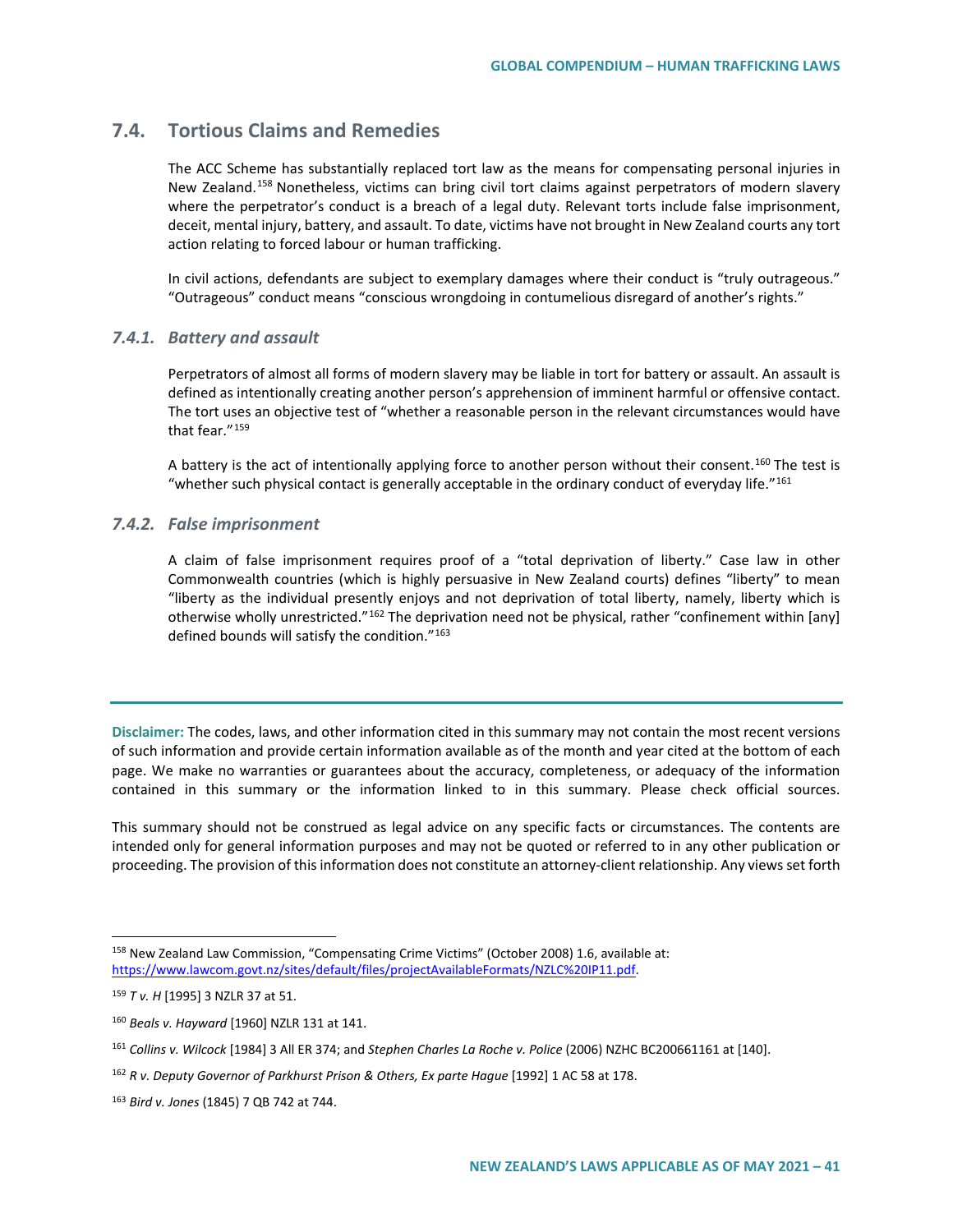# **7.4. Tortious Claims and Remedies**

The ACC Scheme has substantially replaced tort law as the means for compensating personal injuries in New Zealand.<sup>[158](#page-40-0)</sup> Nonetheless, victims can bring civil tort claims against perpetrators of modern slavery where the perpetrator's conduct is a breach of a legal duty. Relevant torts include false imprisonment, deceit, mental injury, battery, and assault. To date, victims have not brought in New Zealand courts any tort action relating to forced labour or human trafficking.

In civil actions, defendants are subject to exemplary damages where their conduct is "truly outrageous." "Outrageous" conduct means "conscious wrongdoing in contumelious disregard of another's rights."

### *7.4.1. Battery and assault*

Perpetrators of almost all forms of modern slavery may be liable in tort for battery or assault. An assault is defined as intentionally creating another person's apprehension of imminent harmful or offensive contact. The tort uses an objective test of "whether a reasonable person in the relevant circumstances would have that fear."<sup>[159](#page-40-1)</sup>

A battery is the act of intentionally applying force to another person without their consent.<sup>[160](#page-40-2)</sup> The test is "whether such physical contact is generally acceptable in the ordinary conduct of everyday life."[161](#page-40-3)

### *7.4.2. False imprisonment*

A claim of false imprisonment requires proof of a "total deprivation of liberty." Case law in other Commonwealth countries (which is highly persuasive in New Zealand courts) defines "liberty" to mean "liberty as the individual presently enjoys and not deprivation of total liberty, namely, liberty which is otherwise wholly unrestricted."<sup>[162](#page-40-4)</sup> The deprivation need not be physical, rather "confinement within [any] defined bounds will satisfy the condition."<sup>[163](#page-40-5)</sup>

**Disclaimer:** The codes, laws, and other information cited in this summary may not contain the most recent versions of such information and provide certain information available as of the month and year cited at the bottom of each page. We make no warranties or guarantees about the accuracy, completeness, or adequacy of the information contained in this summary or the information linked to in this summary. Please check official sources.

This summary should not be construed as legal advice on any specific facts or circumstances. The contents are intended only for general information purposes and may not be quoted or referred to in any other publication or proceeding. The provision of this information does not constitute an attorney-client relationship. Any views set forth

<span id="page-40-0"></span> <sup>158</sup> New Zealand Law Commission, "Compensating Crime Victims" (October 2008) 1.6, available at: [https://www.lawcom.govt.nz/sites/default/files/projectAvailableFormats/NZLC%20IP11.pdf.](https://www.lawcom.govt.nz/sites/default/files/projectAvailableFormats/NZLC%20IP11.pdf)

<span id="page-40-1"></span><sup>159</sup> *T v. H* [1995] 3 NZLR 37 at 51.

<span id="page-40-2"></span><sup>160</sup> *Beals v. Hayward* [1960] NZLR 131 at 141.

<span id="page-40-3"></span><sup>161</sup> *Collins v. Wilcock* [1984] 3 All ER 374; and *Stephen Charles La Roche v. Police* (2006) NZHC BC200661161 at [140].

<span id="page-40-4"></span><sup>162</sup> *R v. Deputy Governor of Parkhurst Prison & Others, Ex parte Hague* [1992] 1 AC 58 at 178.

<span id="page-40-5"></span><sup>163</sup> *Bird v. Jones* (1845) 7 QB 742 at 744.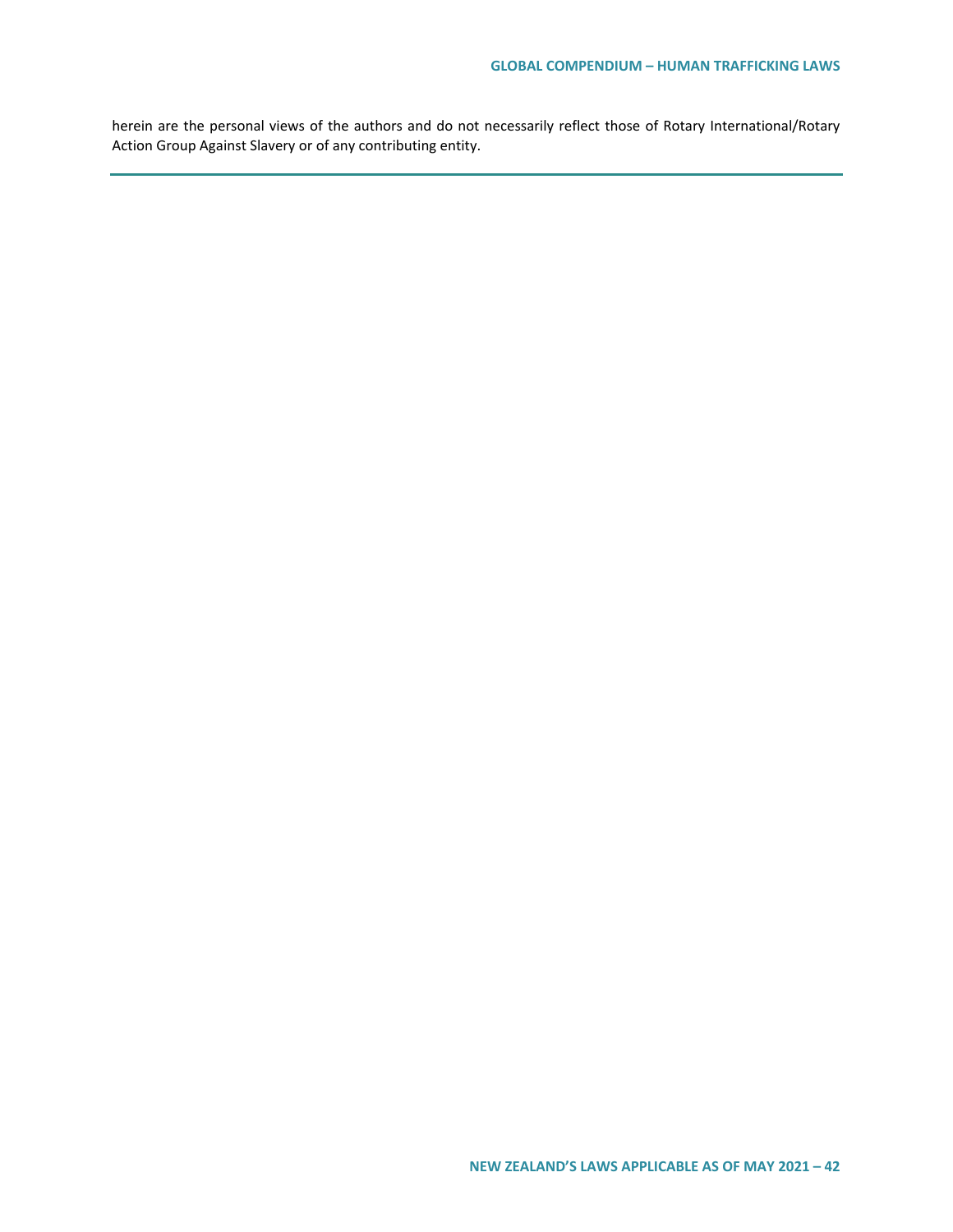herein are the personal views of the authors and do not necessarily reflect those of Rotary International/Rotary Action Group Against Slavery or of any contributing entity.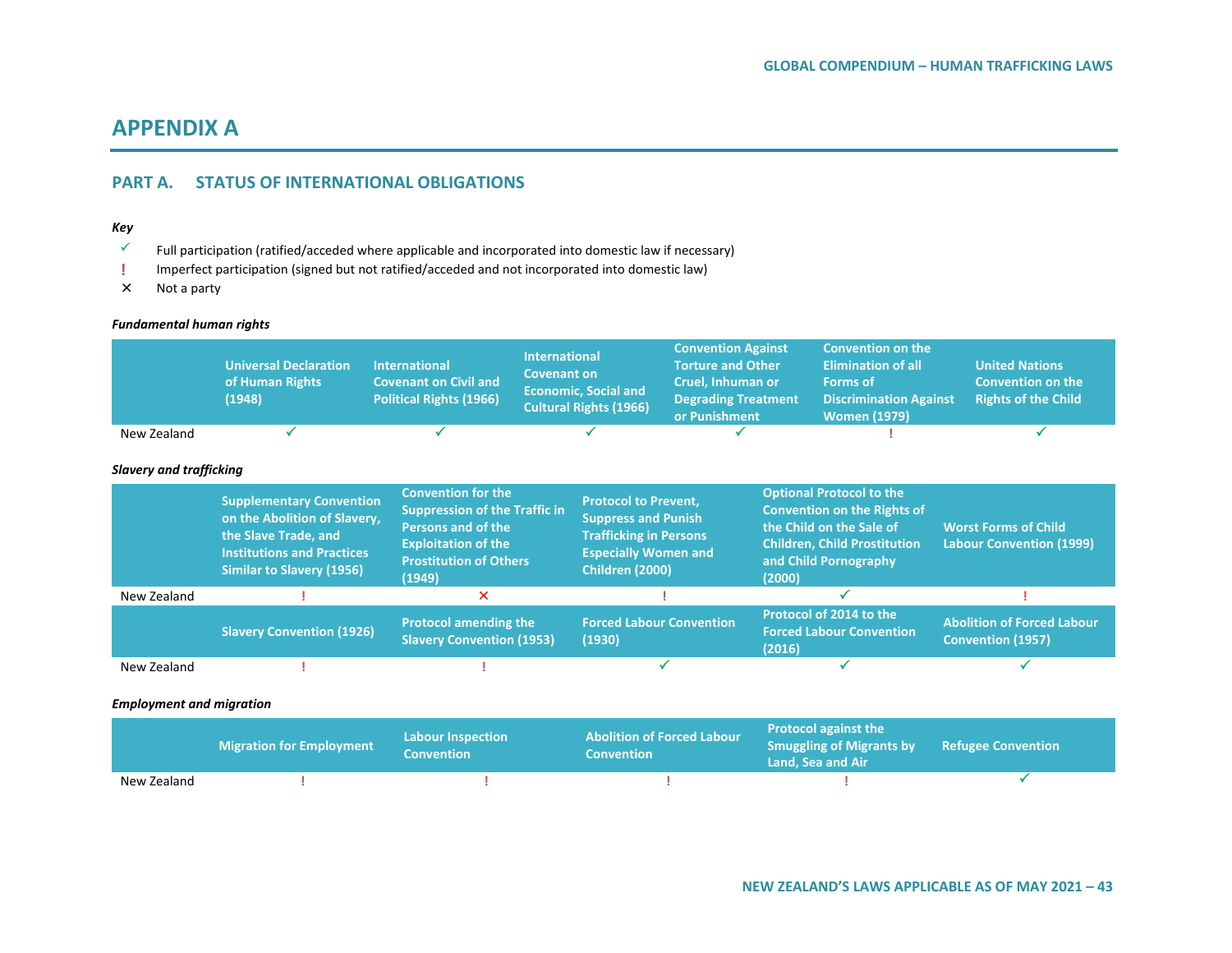# **APPENDIX A**

# **PART A. STATUS OF INTERNATIONAL OBLIGATIONS**

### *Key*

- $\checkmark$  Full participation (ratified/acceded where applicable and incorporated into domestic law if necessary)
- **!** Imperfect participation (signed but not ratified/acceded and not incorporated into domestic law)
- Not a party

#### *Fundamental human rights*

|                                | <b>Universal Declaration</b><br>of Human Rights<br>(1948)                                                                                                        | <b>International</b><br><b>Covenant on Civil and</b><br><b>Political Rights (1966)</b>                                                                                  | <b>International</b><br><b>Covenant on</b> | <b>Economic, Social and</b><br><b>Cultural Rights (1966)</b>                                                                                        | <b>Convention Against</b><br><b>Torture and Other</b><br>Cruel, Inhuman or<br><b>Degrading Treatment</b><br>or Punishment |        | <b>Convention on the</b><br><b>Elimination of all</b><br><b>Forms of</b><br><b>Discrimination Against</b><br><b>Women (1979)</b>                                  | <b>United Nations</b><br><b>Convention on the</b><br><b>Rights of the Child</b> |
|--------------------------------|------------------------------------------------------------------------------------------------------------------------------------------------------------------|-------------------------------------------------------------------------------------------------------------------------------------------------------------------------|--------------------------------------------|-----------------------------------------------------------------------------------------------------------------------------------------------------|---------------------------------------------------------------------------------------------------------------------------|--------|-------------------------------------------------------------------------------------------------------------------------------------------------------------------|---------------------------------------------------------------------------------|
| New Zealand                    |                                                                                                                                                                  |                                                                                                                                                                         |                                            |                                                                                                                                                     |                                                                                                                           |        |                                                                                                                                                                   |                                                                                 |
| <b>Slavery and trafficking</b> |                                                                                                                                                                  |                                                                                                                                                                         |                                            |                                                                                                                                                     |                                                                                                                           |        |                                                                                                                                                                   |                                                                                 |
|                                | <b>Supplementary Convention</b><br>on the Abolition of Slavery,<br>the Slave Trade, and<br><b>Institutions and Practices</b><br><b>Similar to Slavery (1956)</b> | <b>Convention for the</b><br><b>Suppression of the Traffic in</b><br><b>Persons and of the</b><br><b>Exploitation of the</b><br><b>Prostitution of Others</b><br>(1949) |                                            | <b>Protocol to Prevent,</b><br><b>Suppress and Punish</b><br><b>Trafficking in Persons</b><br><b>Especially Women and</b><br><b>Children (2000)</b> |                                                                                                                           | (2000) | <b>Optional Protocol to the</b><br><b>Convention on the Rights of</b><br>the Child on the Sale of<br><b>Children, Child Prostitution</b><br>and Child Pornography | <b>Worst Forms of Child</b><br><b>Labour Convention (1999)</b>                  |
| New Zealand                    |                                                                                                                                                                  | ×                                                                                                                                                                       |                                            |                                                                                                                                                     |                                                                                                                           |        |                                                                                                                                                                   |                                                                                 |
|                                | <b>Slavery Convention (1926)</b>                                                                                                                                 | <b>Protocol amending the</b><br><b>Slavery Convention (1953)</b>                                                                                                        |                                            | <b>Forced Labour Convention</b><br>(1930)                                                                                                           |                                                                                                                           | (2016) | Protocol of 2014 to the<br><b>Forced Labour Convention</b>                                                                                                        | <b>Abolition of Forced Labour</b><br><b>Convention (1957)</b>                   |
| New Zealand                    |                                                                                                                                                                  |                                                                                                                                                                         |                                            |                                                                                                                                                     |                                                                                                                           |        |                                                                                                                                                                   |                                                                                 |

#### *Employment and migration*

|             | <b>Migration for Employment</b> | <b>Labour Inspection</b><br><b>Convention</b> | <b>Abolition of Forced Labour</b><br><b>Convention</b> | <b>Protocol against the</b><br><b>Smuggling of Migrants by Refugee Convention</b><br>Land. Sea and Air |  |
|-------------|---------------------------------|-----------------------------------------------|--------------------------------------------------------|--------------------------------------------------------------------------------------------------------|--|
| New Zealand |                                 |                                               |                                                        |                                                                                                        |  |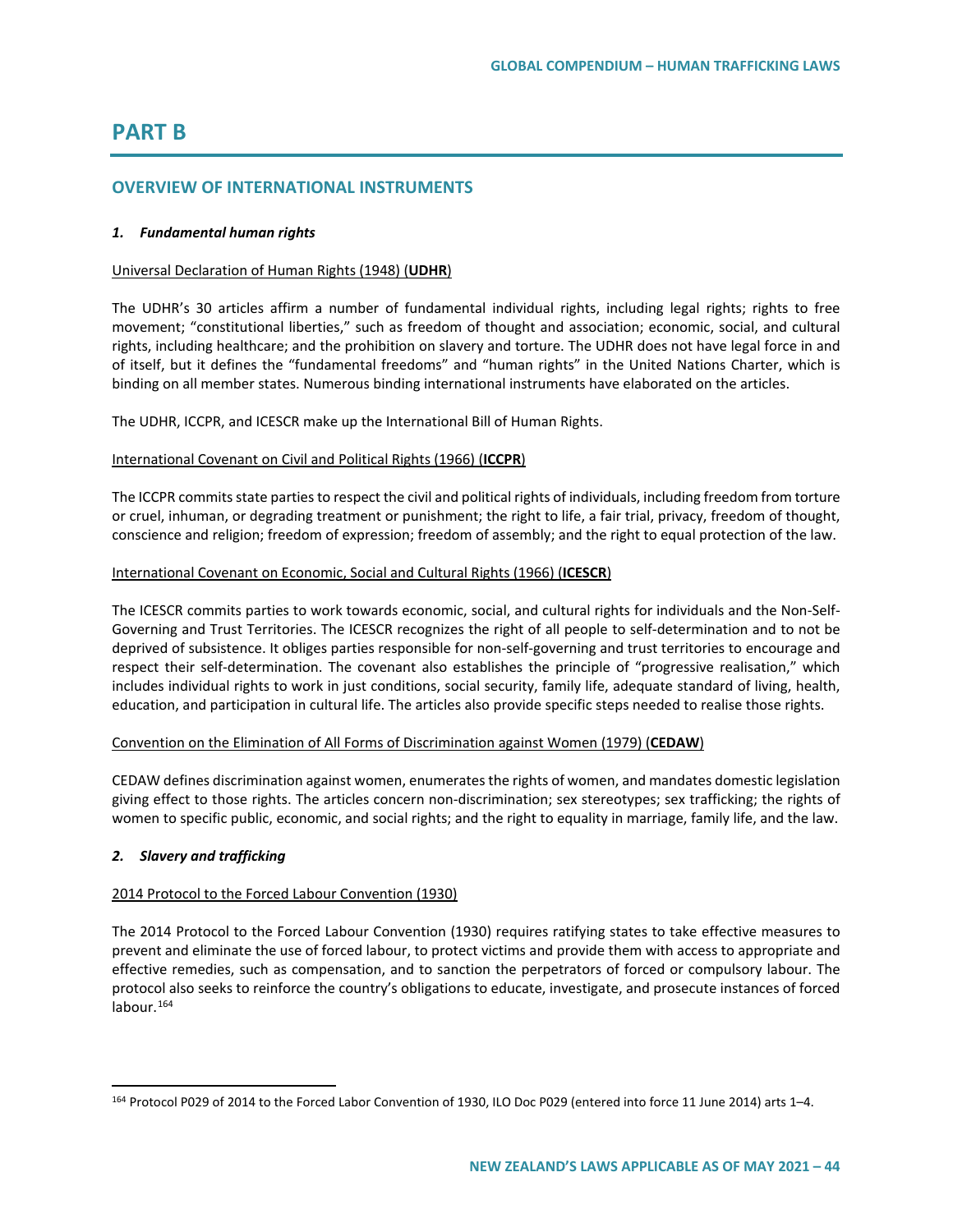# **PART B**

### **OVERVIEW OF INTERNATIONAL INSTRUMENTS**

#### *1. Fundamental human rights*

#### Universal Declaration of Human Rights (1948) (**UDHR**)

The UDHR's 30 articles affirm a number of fundamental individual rights, including legal rights; rights to free movement; "constitutional liberties," such as freedom of thought and association; economic, social, and cultural rights, including healthcare; and the prohibition on slavery and torture. The UDHR does not have legal force in and of itself, but it defines the "fundamental freedoms" and "human rights" in the United Nations Charter, which is binding on all member states. Numerous binding international instruments have elaborated on the articles.

The UDHR, ICCPR, and ICESCR make up the International Bill of Human Rights.

#### International Covenant on Civil and Political Rights (1966) (**ICCPR**)

The ICCPR commits state parties to respect the civil and political rights of individuals, including freedom from torture or cruel, inhuman, or degrading treatment or punishment; the right to life, a fair trial, privacy, freedom of thought, conscience and religion; freedom of expression; freedom of assembly; and the right to equal protection of the law.

#### International Covenant on Economic, Social and Cultural Rights (1966) (**ICESCR**)

The ICESCR commits parties to work towards economic, social, and cultural rights for individuals and the Non-Self-Governing and Trust Territories. The ICESCR recognizes the right of all people to self-determination and to not be deprived of subsistence. It obliges parties responsible for non-self-governing and trust territories to encourage and respect their self-determination. The covenant also establishes the principle of "progressive realisation," which includes individual rights to work in just conditions, social security, family life, adequate standard of living, health, education, and participation in cultural life. The articles also provide specific steps needed to realise those rights.

#### Convention on the Elimination of All Forms of Discrimination against Women (1979) (**CEDAW**)

CEDAW defines discrimination against women, enumerates the rights of women, and mandates domestic legislation giving effect to those rights. The articles concern non-discrimination; sex stereotypes; sex trafficking; the rights of women to specific public, economic, and social rights; and the right to equality in marriage, family life, and the law.

#### *2. Slavery and trafficking*

#### 2014 Protocol to the Forced Labour Convention (1930)

The 2014 Protocol to the Forced Labour Convention (1930) requires ratifying states to take effective measures to prevent and eliminate the use of forced labour, to protect victims and provide them with access to appropriate and effective remedies, such as compensation, and to sanction the perpetrators of forced or compulsory labour. The protocol also seeks to reinforce the country's obligations to educate, investigate, and prosecute instances of forced labour. $164$ 

<span id="page-43-0"></span> <sup>164</sup> Protocol P029 of 2014 to the Forced Labor Convention of 1930, ILO Doc P029 (entered into force 11 June 2014) arts 1–4.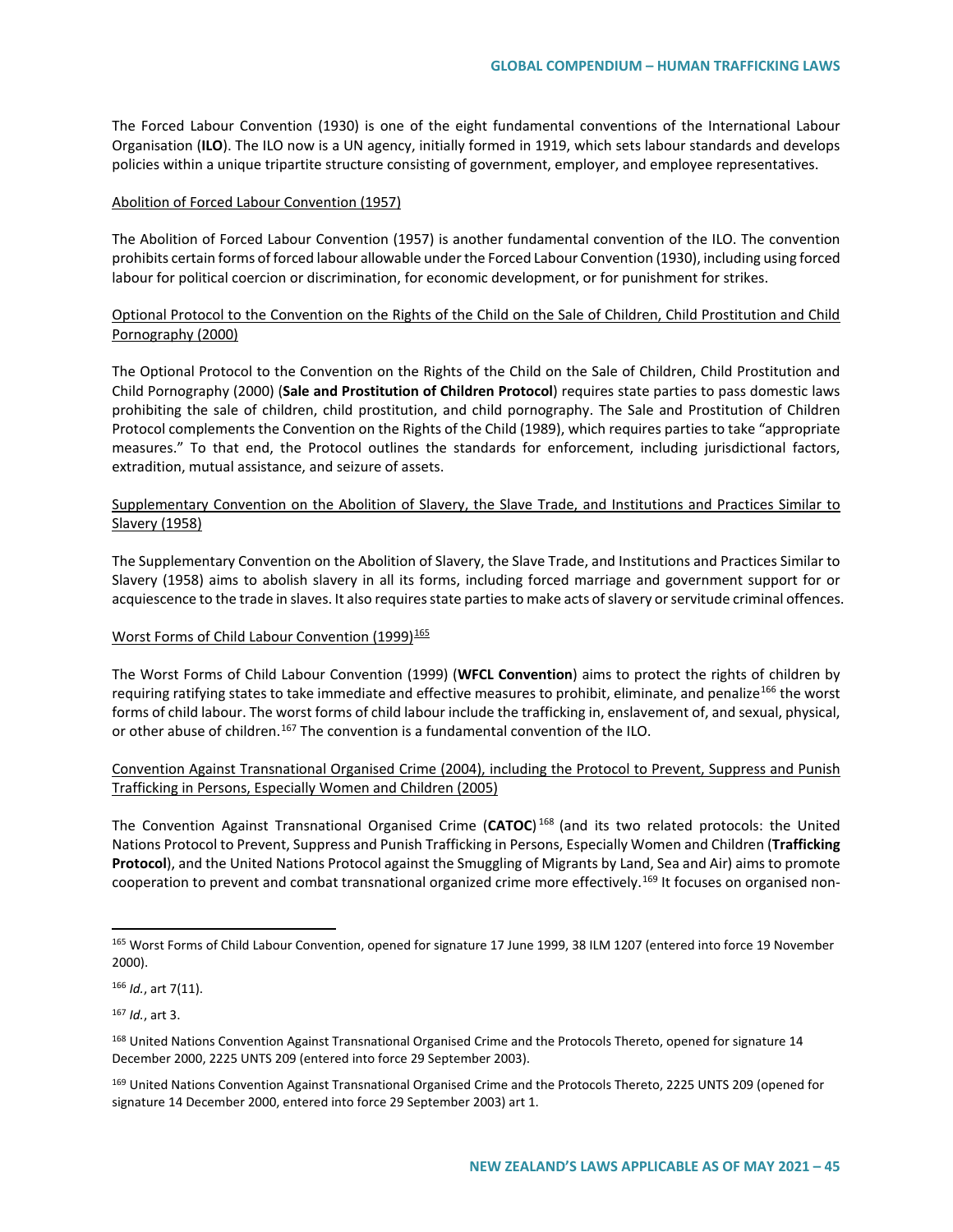The Forced Labour Convention (1930) is one of the eight fundamental conventions of the International Labour Organisation (**ILO**). The ILO now is a UN agency, initially formed in 1919, which sets labour standards and develops policies within a unique tripartite structure consisting of government, employer, and employee representatives.

#### Abolition of Forced Labour Convention (1957)

The Abolition of Forced Labour Convention (1957) is another fundamental convention of the ILO. The convention prohibits certain forms of forced labour allowable under the Forced Labour Convention (1930), including using forced labour for political coercion or discrimination, for economic development, or for punishment for strikes.

### Optional Protocol to the Convention on the Rights of the Child on the Sale of Children, Child Prostitution and Child Pornography (2000)

The Optional Protocol to the Convention on the Rights of the Child on the Sale of Children, Child Prostitution and Child Pornography (2000) (**Sale and Prostitution of Children Protocol**) requires state parties to pass domestic laws prohibiting the sale of children, child prostitution, and child pornography. The Sale and Prostitution of Children Protocol complements the Convention on the Rights of the Child (1989), which requires parties to take "appropriate measures." To that end, the Protocol outlines the standards for enforcement, including jurisdictional factors, extradition, mutual assistance, and seizure of assets.

### Supplementary Convention on the Abolition of Slavery, the Slave Trade, and Institutions and Practices Similar to Slavery (1958)

The Supplementary Convention on the Abolition of Slavery, the Slave Trade, and Institutions and Practices Similar to Slavery (1958) aims to abolish slavery in all its forms, including forced marriage and government support for or acquiescence to the trade in slaves. It also requires state parties to make acts of slavery or servitude criminal offences.

### Worst Forms of Child Labour Convention (1999)<sup>[165](#page-44-0)</sup>

The Worst Forms of Child Labour Convention (1999) (**WFCL Convention**) aims to protect the rights of children by requiring ratifying states to take immediate and effective measures to prohibit, eliminate, and penalize<sup>[166](#page-44-1)</sup> the worst forms of child labour. The worst forms of child labour include the trafficking in, enslavement of, and sexual, physical, or other abuse of children.<sup>[167](#page-44-2)</sup> The convention is a fundamental convention of the ILO.

### Convention Against Transnational Organised Crime (2004), including the Protocol to Prevent, Suppress and Punish Trafficking in Persons, Especially Women and Children (2005)

The Convention Against Transnational Organised Crime (**CATOC**) [168](#page-44-3) (and its two related protocols: the United Nations Protocol to Prevent, Suppress and Punish Trafficking in Persons, Especially Women and Children (**Trafficking Protocol**), and the United Nations Protocol against the Smuggling of Migrants by Land, Sea and Air) aims to promote cooperation to prevent and combat transnational organized crime more effectively.<sup>[169](#page-44-4)</sup> It focuses on organised non-

<span id="page-44-1"></span><sup>166</sup> *Id.*, art 7(11).

<span id="page-44-2"></span><sup>167</sup> *Id.*, art 3.

<span id="page-44-0"></span><sup>165</sup> Worst Forms of Child Labour Convention, opened for signature 17 June 1999, 38 ILM 1207 (entered into force 19 November 2000).

<span id="page-44-3"></span><sup>168</sup> United Nations Convention Against Transnational Organised Crime and the Protocols Thereto, opened for signature 14 December 2000, 2225 UNTS 209 (entered into force 29 September 2003).

<span id="page-44-4"></span><sup>&</sup>lt;sup>169</sup> United Nations Convention Against Transnational Organised Crime and the Protocols Thereto, 2225 UNTS 209 (opened for signature 14 December 2000, entered into force 29 September 2003) art 1.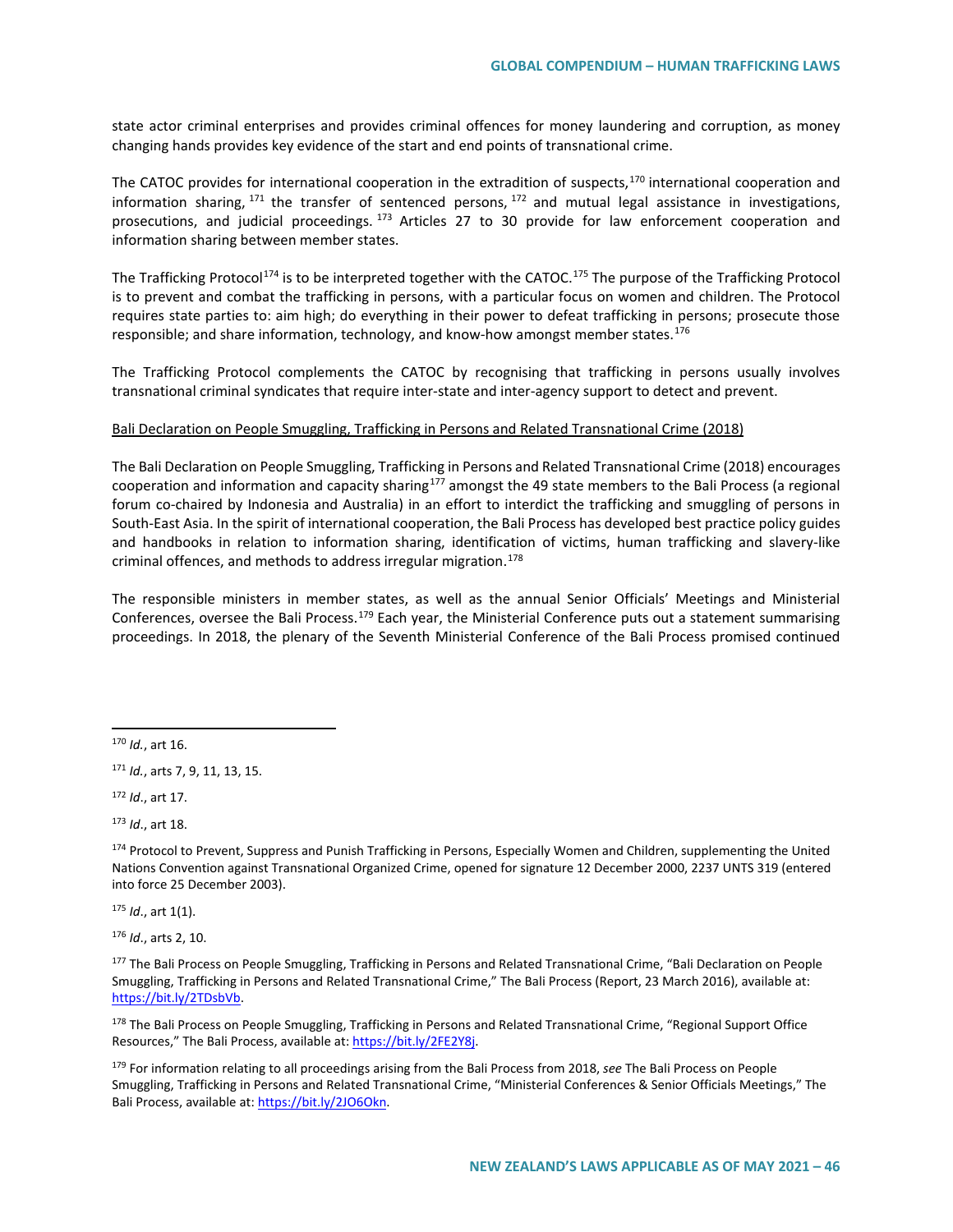state actor criminal enterprises and provides criminal offences for money laundering and corruption, as money changing hands provides key evidence of the start and end points of transnational crime.

The CATOC provides for international cooperation in the extradition of suspects,<sup>[170](#page-45-0)</sup> international cooperation and information sharing,  $171$  the transfer of sentenced persons,  $172$  and mutual legal assistance in investigations, prosecutions, and judicial proceedings. [173](#page-45-3) Articles 27 to 30 provide for law enforcement cooperation and information sharing between member states.

The Trafficking Protocol<sup>[174](#page-45-4)</sup> is to be interpreted together with the CATOC.<sup>[175](#page-45-5)</sup> The purpose of the Trafficking Protocol is to prevent and combat the trafficking in persons, with a particular focus on women and children. The Protocol requires state parties to: aim high; do everything in their power to defeat trafficking in persons; prosecute those responsible; and share information, technology, and know-how amongst member states.<sup>[176](#page-45-6)</sup>

The Trafficking Protocol complements the CATOC by recognising that trafficking in persons usually involves transnational criminal syndicates that require inter-state and inter-agency support to detect and prevent.

#### Bali Declaration on People Smuggling, Trafficking in Persons and Related Transnational Crime (2018)

The Bali Declaration on People Smuggling, Trafficking in Persons and Related Transnational Crime (2018) encourages cooperation and information and capacity sharing<sup>[177](#page-45-7)</sup> amongst the 49 state members to the Bali Process (a regional forum co-chaired by Indonesia and Australia) in an effort to interdict the trafficking and smuggling of persons in South-East Asia. In the spirit of international cooperation, the Bali Process has developed best practice policy guides and handbooks in relation to information sharing, identification of victims, human trafficking and slavery-like criminal offences, and methods to address irregular migration. [178](#page-45-8)

The responsible ministers in member states, as well as the annual Senior Officials' Meetings and Ministerial Conferences, oversee the Bali Process.<sup>[179](#page-45-9)</sup> Each year, the Ministerial Conference puts out a statement summarising proceedings. In 2018, the plenary of the Seventh Ministerial Conference of the Bali Process promised continued

<span id="page-45-3"></span><sup>173</sup> *Id*., art 18.

<span id="page-45-4"></span><sup>174</sup> Protocol to Prevent, Suppress and Punish Trafficking in Persons, Especially Women and Children, supplementing the United Nations Convention against Transnational Organized Crime, opened for signature 12 December 2000, 2237 UNTS 319 (entered into force 25 December 2003).

<span id="page-45-5"></span><sup>175</sup> *Id*., art 1(1).

<span id="page-45-6"></span><sup>176</sup> *Id*., arts 2, 10.

<span id="page-45-8"></span>178 The Bali Process on People Smuggling, Trafficking in Persons and Related Transnational Crime, "Regional Support Office Resources," The Bali Process, available at[: https://bit.ly/2FE2Y8j.](https://bit.ly/2FE2Y8j)

<span id="page-45-9"></span><sup>179</sup> For information relating to all proceedings arising from the Bali Process from 2018, *see* The Bali Process on People Smuggling, Trafficking in Persons and Related Transnational Crime, "Ministerial Conferences & Senior Officials Meetings," The Bali Process, available at[: https://bit.ly/2JO6Okn.](https://bit.ly/2JO6Okn)

<span id="page-45-0"></span> <sup>170</sup> *Id.*, art 16.

<span id="page-45-1"></span><sup>171</sup> *Id.*, arts 7, 9, 11, 13, 15.

<span id="page-45-2"></span><sup>172</sup> *Id*., art 17.

<span id="page-45-7"></span><sup>&</sup>lt;sup>177</sup> The Bali Process on People Smuggling, Trafficking in Persons and Related Transnational Crime, "Bali Declaration on People Smuggling, Trafficking in Persons and Related Transnational Crime," The Bali Process (Report, 23 March 2016), available at: [https://bit.ly/2TDsbVb.](https://bit.ly/2TDsbVb)